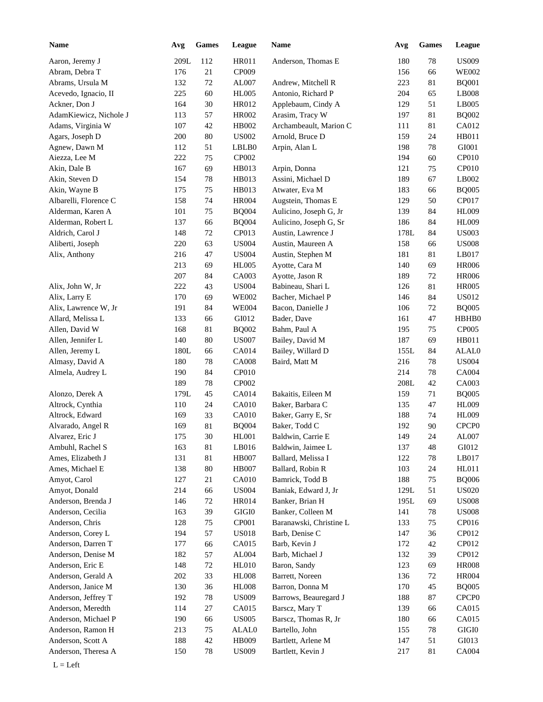| Name                   | Avg  | <b>Games</b> | League       | Name                    | Avg  | <b>Games</b> | League            |
|------------------------|------|--------------|--------------|-------------------------|------|--------------|-------------------|
| Aaron, Jeremy J        | 209L | 112          | <b>HR011</b> | Anderson, Thomas E      | 180  | $78\,$       | <b>US009</b>      |
| Abram, Debra T         | 176  | 21           | CP009        |                         | 156  | 66           | <b>WE002</b>      |
| Abrams, Ursula M       | 132  | $72\,$       | AL007        | Andrew, Mitchell R      | 223  | 81           | <b>BQ001</b>      |
| Acevedo, Ignacio, II   | 225  | 60           | <b>HL005</b> | Antonio, Richard P      | 204  | 65           | LB008             |
| Ackner, Don J          | 164  | $30\,$       | HR012        | Applebaum, Cindy A      | 129  | 51           | LB005             |
| AdamKiewicz, Nichole J | 113  | 57           | <b>HR002</b> | Arasim, Tracy W         | 197  | 81           | <b>BQ002</b>      |
| Adams, Virginia W      | 107  | $42\,$       | HB002        | Archambeault, Marion C  | 111  | 81           | CA012             |
| Agars, Joseph D        | 200  | 80           | <b>US002</b> | Arnold, Bruce D         | 159  | 24           | HB011             |
| Agnew, Dawn M          | 112  | 51           | LBLB0        | Arpin, Alan L           | 198  | 78           | GI001             |
| Aiezza, Lee M          | 222  | $75\,$       | CP002        |                         | 194  | 60           | CP010             |
| Akin, Dale B           | 167  | 69           | HB013        | Arpin, Donna            | 121  | 75           | CP010             |
| Akin, Steven D         | 154  | 78           | HB013        | Assini, Michael D       | 189  | 67           | LB002             |
| Akin, Wayne B          | 175  | $75\,$       | HB013        | Atwater, Eva M          | 183  | 66           | <b>BQ005</b>      |
| Albarelli, Florence C  | 158  | 74           | <b>HR004</b> | Augstein, Thomas E      | 129  | 50           | CP017             |
| Alderman, Karen A      | 101  | $75\,$       | <b>BQ004</b> | Aulicino, Joseph G, Jr  | 139  | 84           | <b>HL009</b>      |
| Alderman, Robert L     | 137  | 66           | <b>BQ004</b> | Aulicino, Joseph G, Sr  | 186  | 84           | <b>HL009</b>      |
| Aldrich, Carol J       | 148  | $72\,$       | CP013        | Austin, Lawrence J      | 178L | 84           | <b>US003</b>      |
|                        | 220  | 63           | <b>US004</b> | Austin, Maureen A       | 158  | 66           | <b>US008</b>      |
| Aliberti, Joseph       |      |              |              |                         |      |              |                   |
| Alix, Anthony          | 216  | 47           | <b>US004</b> | Austin, Stephen M       | 181  | 81           | LB017             |
|                        | 213  | 69           | <b>HL005</b> | Ayotte, Cara M          | 140  | 69           | <b>HR006</b>      |
|                        | 207  | 84           | CA003        | Ayotte, Jason R         | 189  | 72           | <b>HR006</b>      |
| Alix, John W, Jr       | 222  | 43           | <b>US004</b> | Babineau, Shari L       | 126  | 81           | <b>HR005</b>      |
| Alix, Larry E          | 170  | 69           | <b>WE002</b> | Bacher, Michael P       | 146  | 84           | <b>US012</b>      |
| Alix, Lawrence W, Jr   | 191  | 84           | <b>WE004</b> | Bacon, Danielle J       | 106  | 72           | <b>BQ005</b>      |
| Allard, Melissa L      | 133  | 66           | GI012        | Bader, Dave             | 161  | 47           | HBHB0             |
| Allen, David W         | 168  | 81           | <b>BQ002</b> | Bahm, Paul A            | 195  | 75           | <b>CP005</b>      |
| Allen, Jennifer L      | 140  | 80           | <b>US007</b> | Bailey, David M         | 187  | 69           | HB011             |
| Allen, Jeremy L        | 180L | 66           | CA014        | Bailey, Willard D       | 155L | 84           | ALAL0             |
| Almasy, David A        | 180  | 78           | <b>CA008</b> | Baird, Matt M           | 216  | 78           | <b>US004</b>      |
| Almela, Audrey L       | 190  | 84           | CP010        |                         | 214  | 78           | CA004             |
|                        | 189  | 78           | CP002        |                         | 208L | 42           | CA003             |
| Alonzo, Derek A        | 179L | 45           | CA014        | Bakaitis, Eileen M      | 159  | 71           | <b>BQ005</b>      |
| Altrock, Cynthia       | 110  | 24           | CA010        | Baker, Barbara C        | 135  | 47           | <b>HL009</b>      |
| Altrock, Edward        | 169  | 33           | CA010        | Baker, Garry E, Sr      | 188  | 74           | <b>HL009</b>      |
| Alvarado, Angel R      | 169  | $81\,$       | <b>BQ004</b> | Baker, Todd C           | 192  | 90           | CPCP <sub>0</sub> |
| Alvarez, Eric J        | 175  | $30\,$       | $\rm{H}L001$ | Baldwin, Carrie E       | 149  | 24           | AL007             |
| Ambuhl, Rachel S       | 163  | 81           | LB016        | Baldwin, Jaimee L       | 137  | 48           | GI012             |
| Ames, Elizabeth J      | 131  | $81\,$       | <b>HB007</b> | Ballard, Melissa I      | 122  | 78           | LB017             |
| Ames, Michael E        | 138  | $80\,$       | HB007        | Ballard, Robin R        | 103  | 24           | HL011             |
| Amyot, Carol           | 127  | 21           | CA010        | Bamrick, Todd B         | 188  | 75           | <b>BQ006</b>      |
| Amyot, Donald          | 214  | 66           | <b>US004</b> | Baniak, Edward J, Jr    | 129L | 51           | <b>US020</b>      |
| Anderson, Brenda J     | 146  | $72\,$       | HR014        | Banker, Brian H         | 195L | 69           | <b>US008</b>      |
| Anderson, Cecilia      | 163  | 39           | $\rm GIGI0$  | Banker, Colleen M       | 141  | 78           | <b>US008</b>      |
| Anderson, Chris        | 128  | 75           | CP001        | Baranawski, Christine L | 133  | 75           | CP016             |
| Anderson, Corey L      | 194  | 57           | <b>US018</b> | Barb, Denise C          | 147  | 36           | CP012             |
| Anderson, Darren T     | 177  | 66           | CA015        | Barb, Kevin J           | 172  | 42           | CP012             |
| Anderson, Denise M     | 182  | 57           | AL004        | Barb, Michael J         | 132  | 39           | CP012             |
| Anderson, Eric E       | 148  | $72\,$       | <b>HL010</b> | Baron, Sandy            | 123  | 69           | <b>HR008</b>      |
| Anderson, Gerald A     | 202  | 33           | <b>HL008</b> | Barrett, Noreen         | 136  | 72           | <b>HR004</b>      |
| Anderson, Janice M     | 130  | 36           | <b>HL008</b> | Barron, Donna M         | 170  | 45           | <b>BQ005</b>      |
|                        |      |              |              |                         |      |              |                   |
| Anderson, Jeffrey T    | 192  | $78\,$       | <b>US009</b> | Barrows, Beauregard J   | 188  | 87           | CPCP <sub>0</sub> |
| Anderson, Meredth      | 114  | 27           | CA015        | Barscz, Mary T          | 139  | 66           | CA015             |
| Anderson, Michael P    | 190  | 66           | <b>US005</b> | Barscz, Thomas R, Jr    | 180  | 66           | CA015             |
| Anderson, Ramon H      | 213  | 75           | ALAL0        | Bartello, John          | 155  | 78           | $\rm GIGI0$       |
| Anderson, Scott A      | 188  | $42\,$       | HB009        | Bartlett, Arlene M      | 147  | 51           | GI013             |
| Anderson, Theresa A    | 150  | $78\,$       | <b>US009</b> | Bartlett, Kevin J       | 217  | 81           | CA004             |
| $L = Left$             |      |              |              |                         |      |              |                   |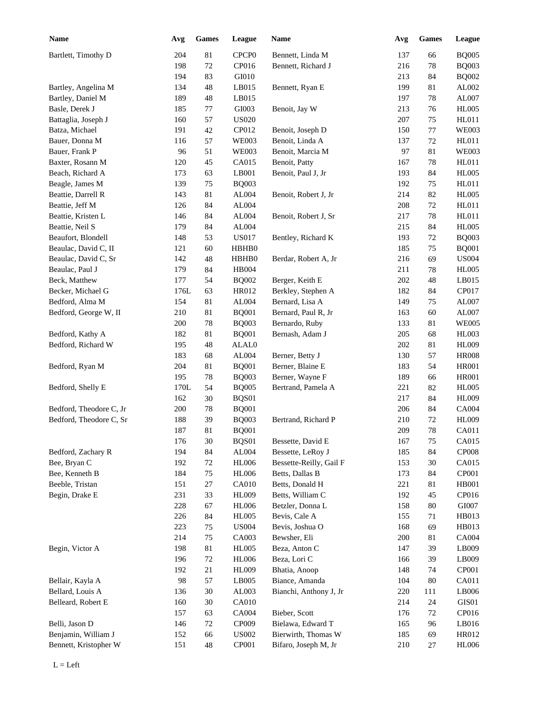| <b>Name</b>             | Avg  | <b>Games</b> | League            | Name                    | Avg | <b>Games</b> | League       |
|-------------------------|------|--------------|-------------------|-------------------------|-----|--------------|--------------|
| Bartlett, Timothy D     | 204  | $81\,$       | CPCP <sub>0</sub> | Bennett, Linda M        | 137 | 66           | <b>BQ005</b> |
|                         | 198  | $72\,$       | CP016             | Bennett, Richard J      | 216 | 78           | <b>BQ003</b> |
|                         | 194  | 83           | GI010             |                         | 213 | 84           | <b>BQ002</b> |
| Bartley, Angelina M     | 134  | 48           | LB015             | Bennett, Ryan E         | 199 | 81           | AL002        |
| Bartley, Daniel M       | 189  | 48           | LB015             |                         | 197 | 78           | AL007        |
| Basle, Derek J          | 185  | $77 \,$      | GI003             | Benoit, Jay W           | 213 | 76           | <b>HL005</b> |
| Battaglia, Joseph J     | 160  | 57           | <b>US020</b>      |                         | 207 | 75           | HL011        |
| Batza, Michael          | 191  | 42           | CP012             | Benoit, Joseph D        | 150 | 77           | <b>WE003</b> |
| Bauer, Donna M          | 116  | 57           | <b>WE003</b>      | Benoit, Linda A         | 137 | 72           | HL011        |
| Bauer, Frank P          | 96   | 51           | <b>WE003</b>      | Benoit, Marcia M        | 97  | 81           | <b>WE003</b> |
| Baxter, Rosann M        | 120  | 45           | CA015             | Benoit, Patty           | 167 | 78           | HL011        |
| Beach, Richard A        | 173  | 63           | LB001             | Benoit, Paul J, Jr      | 193 | 84           | <b>HL005</b> |
| Beagle, James M         | 139  | 75           | <b>BQ003</b>      |                         | 192 | 75           | HL011        |
| Beattie, Darrell R      | 143  | 81           | AL004             | Benoit, Robert J, Jr    | 214 | 82           | <b>HL005</b> |
| Beattie, Jeff M         | 126  | 84           | ${\rm AL004}$     |                         | 208 | 72           | HL011        |
| Beattie, Kristen L      | 146  | 84           | ${\rm AL004}$     | Benoit, Robert J, Sr    | 217 | 78           | HL011        |
| Beattie, Neil S         | 179  | 84           | ${\rm AL004}$     |                         | 215 | 84           | <b>HL005</b> |
| Beaufort, Blondell      | 148  | 53           | <b>US017</b>      | Bentley, Richard K      | 193 | 72           | <b>BQ003</b> |
| Beaulac, David C, II    | 121  | 60           | HBHB0             |                         | 185 | 75           | <b>BQ001</b> |
| Beaulac, David C, Sr    | 142  | 48           | HBHB0             | Berdar, Robert A, Jr    | 216 | 69           | <b>US004</b> |
| Beaulac, Paul J         | 179  | 84           | HB004             |                         | 211 | 78           | <b>HL005</b> |
| Beck, Matthew           | 177  | 54           | <b>BQ002</b>      | Berger, Keith E         | 202 | 48           | LB015        |
| Becker, Michael G       | 176L | 63           | HR012             | Berkley, Stephen A      | 182 | 84           | CP017        |
| Bedford, Alma M         | 154  | 81           | AL004             | Bernard, Lisa A         | 149 | 75           | AL007        |
| Bedford, George W, II   | 210  | 81           | <b>BQ001</b>      | Bernard, Paul R, Jr     | 163 | 60           | AL007        |
|                         | 200  | 78           | <b>BQ003</b>      | Bernardo, Ruby          | 133 | 81           | <b>WE005</b> |
| Bedford, Kathy A        | 182  | 81           | <b>BQ001</b>      | Bernash, Adam J         | 205 | 68           | HL003        |
| Bedford, Richard W      | 195  | 48           | ALAL0             |                         | 202 | 81           | <b>HL009</b> |
|                         | 183  | 68           | AL004             | Berner, Betty J         | 130 | 57           | <b>HR008</b> |
| Bedford, Ryan M         | 204  | 81           | <b>BQ001</b>      | Berner, Blaine E        | 183 | 54           | <b>HR001</b> |
|                         | 195  | 78           | <b>BQ003</b>      | Berner, Wayne F         | 189 | 66           | <b>HR001</b> |
| Bedford, Shelly E       | 170L | 54           | <b>BQ005</b>      | Bertrand, Pamela A      | 221 | 82           | <b>HL005</b> |
|                         | 162  | 30           | BQS01             |                         | 217 | 84           | <b>HL009</b> |
| Bedford, Theodore C, Jr | 200  | 78           | <b>BQ001</b>      |                         | 206 | 84           | CA004        |
| Bedford, Theodore C, Sr | 188  | 39           | <b>BQ003</b>      | Bertrand, Richard P     | 210 | 72           | <b>HL009</b> |
|                         | 187  | $81\,$       | <b>BQ001</b>      |                         | 209 | $78\,$       | CA011        |
|                         | 176  | $30\,$       | BQS01             | Bessette, David E       | 167 | 75           | CA015        |
| Bedford, Zachary R      | 194  | 84           | ${\rm AL004}$     | Bessette, LeRoy J       | 185 | 84           | <b>CP008</b> |
| Bee, Bryan C            | 192  | $72\,$       | <b>HL006</b>      | Bessette-Reilly, Gail F | 153 | 30           | CA015        |
| Bee, Kenneth B          | 184  | 75           | <b>HL006</b>      | Betts, Dallas B         | 173 | 84           | CP001        |
| Beeble, Tristan         | 151  | $27\,$       | <b>CA010</b>      | Betts, Donald H         | 221 | 81           | <b>HB001</b> |
| Begin, Drake E          | 231  | 33           | HL009             | Betts, William C        | 192 | 45           | CP016        |
|                         | 228  | 67           | <b>HL006</b>      | Betzler, Donna L        | 158 | 80           | GI007        |
|                         | 226  | 84           | <b>HL005</b>      | Bevis, Cale A           | 155 | 71           | HB013        |
|                         | 223  | 75           | <b>US004</b>      | Bevis, Joshua O         | 168 | 69           | HB013        |
|                         | 214  | 75           | CA003             | Bewsher, Eli            | 200 | 81           | <b>CA004</b> |
| Begin, Victor A         | 198  | $81\,$       | <b>HL005</b>      | Beza, Anton C           | 147 | 39           | LB009        |
|                         | 196  | $72\,$       | <b>HL006</b>      | Beza, Lori C            | 166 | 39           | LB009        |
|                         | 192  | 21           | HL009             | Bhatia, Anoop           | 148 | 74           | CP001        |
| Bellair, Kayla A        | 98   | 57           | LB005             | Biance, Amanda          | 104 | 80           | CA011        |
| Bellard, Louis A        | 136  | $30\,$       | AL003             | Bianchi, Anthony J, Jr  | 220 | 111          | LB006        |
| Belleard, Robert E      | 160  | $30\,$       | CA010             |                         | 214 | 24           | GIS01        |
|                         | 157  | 63           | CA004             | Bieber, Scott           | 176 | $72\,$       | CP016        |
| Belli, Jason D          | 146  | $72\,$       | CP009             | Bielawa, Edward T       | 165 | 96           | LB016        |
| Benjamin, William J     | 152  | 66           | <b>US002</b>      | Bierwirth, Thomas W     | 185 | 69           | HR012        |
| Bennett, Kristopher W   | 151  | 48           | CP001             | Bifaro, Joseph M, Jr    | 210 | $27\,$       | <b>HL006</b> |
|                         |      |              |                   |                         |     |              |              |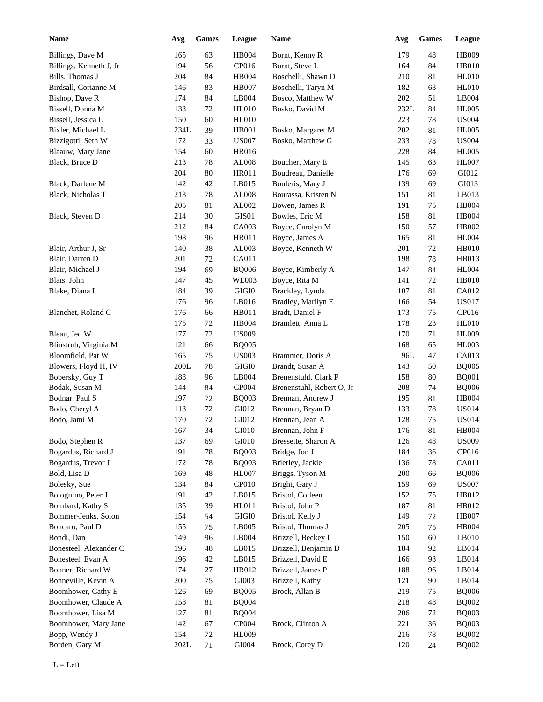| <b>Name</b>                            | Avg             | Games            | League                 | Name                               | Avg        | Games    | League                |
|----------------------------------------|-----------------|------------------|------------------------|------------------------------------|------------|----------|-----------------------|
| Billings, Dave M                       | 165             | 63               | <b>HB004</b>           | Bornt, Kenny R                     | 179        | 48       | HB009                 |
| Billings, Kenneth J, Jr                | 194             | 56               | CP016                  | Bornt, Steve L                     | 164        | 84       | HB010                 |
| Bills, Thomas J                        | 204             | 84               | <b>HB004</b>           | Boschelli, Shawn D                 | 210        | 81       | HL010                 |
| Birdsall, Corianne M                   | 146             | 83               | <b>HB007</b>           | Boschelli, Taryn M                 | 182        | 63       | <b>HL010</b>          |
| Bishop, Dave R                         | 174             | 84               | $\operatorname{LB}004$ | Bosco, Matthew W                   | 202        | 51       | LB004                 |
| Bissell, Donna M                       | 133             | 72               | <b>HL010</b>           | Bosko, David M                     | 232L       | 84       | <b>HL005</b>          |
| Bissell, Jessica L                     | 150             | 60               | <b>HL010</b>           |                                    | 223        | 78       | <b>US004</b>          |
| Bixler, Michael L                      | 234L            | 39               | HB001                  | Bosko, Margaret M                  | 202        | 81       | <b>HL005</b>          |
| Bizzigotti, Seth W                     | 172             | 33               | <b>US007</b>           | Bosko, Matthew G                   | 233        | 78       | <b>US004</b>          |
| Blaauw, Mary Jane                      | 154             | 60               | <b>HR016</b>           |                                    | 228        | 84       | <b>HL005</b>          |
| Black, Bruce D                         | 213             | 78               | AL008                  | Boucher, Mary E                    | 145        | 63       | <b>HL007</b>          |
|                                        | 204             | 80               | HR011                  | Boudreau, Danielle                 | 176        | 69       | GI012                 |
| Black, Darlene M                       | 142             | 42               | LB015                  | Bouleris, Mary J                   | 139        | 69       | GI013                 |
| Black, Nicholas T                      | 213             | 78               | AL008                  | Bourassa, Kristen N                | 151        | 81       | LB013                 |
|                                        | 205             | 81               | AL002                  | Bowen, James R                     | 191        | 75       | <b>HB004</b>          |
| Black, Steven D                        | 214             | 30               | GIS01                  | Bowles, Eric M                     | 158        | 81       | <b>HB004</b>          |
|                                        | 212             | 84               | CA003                  | Boyce, Carolyn M                   | 150        | 57       | HB002                 |
|                                        | 198             | 96               | <b>HR011</b>           | Boyce, James A                     | 165        | 81       | <b>HL004</b>          |
| Blair, Arthur J, Sr                    | 140             | 38               | AL003                  | Boyce, Kenneth W                   | 201        | 72       | <b>HB010</b>          |
| Blair, Darren D                        | 201             | $72\,$           | CA011                  |                                    | 198        | 78       | HB013                 |
| Blair, Michael J                       | 194             | 69               | <b>BQ006</b>           | Boyce, Kimberly A                  | 147        | 84       | <b>HL004</b>          |
| Blais, John                            | 147             | 45               | <b>WE003</b>           | Boyce, Rita M                      | 141        | 72       | HB010                 |
| Blake, Diana L                         | 184             | 39               | $\rm GIGI0$            | Brackley, Lynda                    | 107        | 81       | CA012                 |
|                                        | 176             | 96               | LB016                  | Bradley, Marilyn E                 | 166        | 54       | <b>US017</b>          |
| Blanchet, Roland C                     | 176             | 66               | HB011                  | Bradt, Daniel F                    | 173        | 75       | CP016                 |
|                                        | 175             | $72\,$           | <b>HB004</b>           | Bramlett, Anna L                   | 178        | 23       | HL010                 |
| Bleau, Jed W                           | 177             | $72\,$           | <b>US009</b>           |                                    | 170        | 71       | <b>HL009</b>          |
| Blinstrub, Virginia M                  | 121             | 66               | <b>BQ005</b>           |                                    | 168        | 65       | HL003                 |
| Bloomfield, Pat W                      | 165             | 75               | <b>US003</b>           | Brammer, Doris A                   | 96L        | 47       | CA013                 |
| Blowers, Floyd H, IV                   | 200L            | 78               | $\rm GIGI0$            | Brandt, Susan A                    | 143        | 50       | <b>BQ005</b>          |
| Bobersky, Guy T                        | 188             | 96               | LB004                  | Brenenstuhl, Clark P               | 158        | 80       | <b>BQ001</b>          |
| Bodak, Susan M                         | 144             | 84               | CP004                  | Brenenstuhl, Robert O, Jr          | 208        | 74       | <b>BQ006</b>          |
|                                        |                 |                  |                        | Brennan, Andrew J                  |            |          |                       |
| Bodnar, Paul S                         | 197<br>113      | $72\,$<br>$72\,$ | <b>BQ003</b><br>GI012  | Brennan, Bryan D                   | 195<br>133 | 81<br>78 | HB004<br><b>US014</b> |
| Bodo, Cheryl A<br>Bodo, Jami M         | 170             | 72               | GI012                  | Brennan, Jean A                    | 128        | 75       | <b>US014</b>          |
|                                        | 167             | 34               | GI010                  | Brennan, John F                    | 176        | $81\,$   | HB004                 |
|                                        |                 |                  |                        |                                    |            |          |                       |
| Bodo, Stephen R                        | 137             | 69               | GI010                  | Bressette, Sharon A                | 126        | 48       | <b>US009</b>          |
| Bogardus, Richard J                    | 191             | $78\,$           | <b>BQ003</b>           | Bridge, Jon J                      | 184        | 36       | CP016                 |
| Bogardus, Trevor J                     | 172             | $78\,$           | <b>BQ003</b>           | Brierley, Jackie                   | 136        | 78       | CA011                 |
| Bold, Lisa D                           | 169             | $\sqrt{48}$      | HL007                  | Briggs, Tyson M                    | 200        | 66       | <b>BQ006</b>          |
| Bolesky, Sue                           | 134             | 84               | CP010                  | Bright, Gary J<br>Bristol, Colleen | 159        | 69       | <b>US007</b>          |
| Bolognino, Peter J<br>Bombard, Kathy S | 191<br>135      | 42<br>39         | LB015<br>HL011         | Bristol, John P                    | 152<br>187 | 75<br>81 | HB012<br>HB012        |
| Bommer-Jenks, Solon                    | 154             |                  | $\rm GIGI0$            |                                    | 149        |          | <b>HB007</b>          |
|                                        |                 | 54               |                        | Bristol, Kelly J                   |            | 72       |                       |
| Boncaro, Paul D                        | 155             | 75               | LB005                  | Bristol, Thomas J                  | 205        | 75       | <b>HB004</b>          |
| Bondi, Dan                             | 149             | 96               | LB004                  | Brizzell, Beckey L                 | 150        | 60       | LB010                 |
| Bonesteel, Alexander C                 | 196             | 48               | LB015                  | Brizzell, Benjamin D               | 184        | 92       | LB014                 |
| Bonesteel, Evan A                      | 196             | 42               | LB015                  | Brizzell, David E                  | 166        | 93       | LB014                 |
| Bonner, Richard W                      | 174             | $27\,$           | HR012                  | Brizzell, James P                  | 188        | 96       | LB014                 |
| Bonneville, Kevin A                    | 200             | 75               | GI003                  | Brizzell, Kathy                    | 121        | 90       | LB014                 |
| Boomhower, Cathy E                     | 126             | 69               | <b>BQ005</b>           | Brock, Allan B                     | 219        | 75       | <b>BQ006</b>          |
| Boomhower, Claude A                    | 158             | 81               | <b>BQ004</b>           |                                    | 218        | 48       | <b>BQ002</b>          |
| Boomhower, Lisa M                      | 127             | 81               | <b>BQ004</b>           |                                    | 206        | 72       | <b>BQ003</b>          |
| Boomhower, Mary Jane                   | 142             | 67               | CP004                  | Brock, Clinton A                   | 221        | 36       | <b>BQ003</b>          |
| Bopp, Wendy J                          | 154             | 72               | HL009                  |                                    | 216        | 78       | <b>BQ002</b>          |
| Borden, Gary M                         | $202\mathrm{L}$ | 71               | GI004                  | Brock, Corey D                     | 120        | 24       | <b>BQ002</b>          |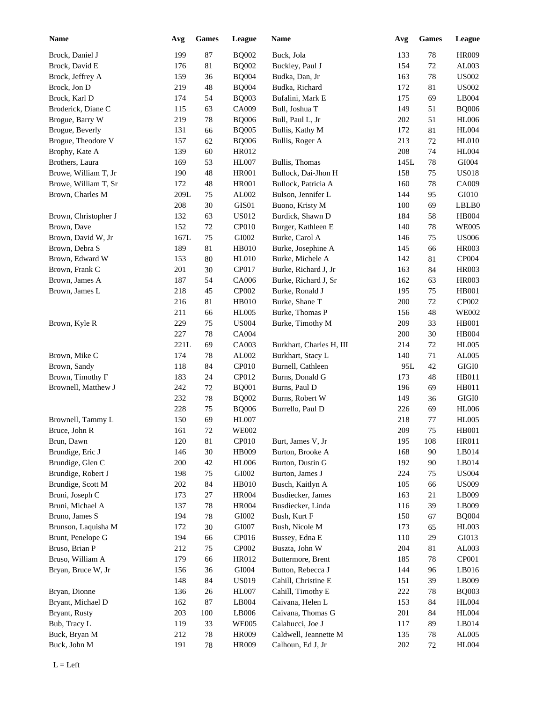| <b>Name</b>          | Avg  | <b>Games</b> | League       | Name                     | Avg     | Games  | League        |
|----------------------|------|--------------|--------------|--------------------------|---------|--------|---------------|
| Brock, Daniel J      | 199  | 87           | <b>BQ002</b> | Buck, Jola               | 133     | 78     | <b>HR009</b>  |
| Brock, David E       | 176  | 81           | <b>BQ002</b> | Buckley, Paul J          | 154     | 72     | AL003         |
| Brock, Jeffrey A     | 159  | 36           | <b>BQ004</b> | Budka, Dan, Jr           | 163     | 78     | <b>US002</b>  |
| Brock, Jon D         | 219  | 48           | <b>BQ004</b> | Budka, Richard           | 172     | 81     | <b>US002</b>  |
| Brock, Karl D        | 174  | 54           | <b>BQ003</b> | Bufalini, Mark E         | 175     | 69     | LB004         |
| Broderick, Diane C   | 115  | 63           | CA009        | Bull, Joshua T           | 149     | 51     | <b>BQ006</b>  |
| Brogue, Barry W      | 219  | 78           | <b>BQ006</b> | Bull, Paul L, Jr         | 202     | 51     | <b>HL006</b>  |
| Brogue, Beverly      | 131  | 66           | <b>BQ005</b> | Bullis, Kathy M          | 172     | 81     | <b>HL004</b>  |
| Brogue, Theodore V   | 157  | 62           | <b>BQ006</b> | Bullis, Roger A          | 213     | 72     | <b>HL010</b>  |
| Brophy, Kate A       | 139  | 60           | HR012        |                          | 208     | 74     | <b>HL004</b>  |
| Brothers, Laura      | 169  | 53           | <b>HL007</b> | Bullis, Thomas           | 145L    | 78     | GI004         |
| Browe, William T, Jr | 190  | 48           | $\rm HR001$  | Bullock, Dai-Jhon H      | 158     | 75     | <b>US018</b>  |
| Browe, William T, Sr | 172  | 48           | <b>HR001</b> | Bullock, Patricia A      | 160     | 78     | CA009         |
| Brown, Charles M     | 209L | 75           | AL002        | Bulson, Jennifer L       | 144     | 95     | GI010         |
|                      | 208  | 30           | $\rm GIS01$  | Buono, Kristy M          | 100     | 69     | LBLB0         |
| Brown, Christopher J | 132  | 63           | <b>US012</b> | Burdick, Shawn D         | 184     | 58     | HB004         |
| Brown, Dave          | 152  | 72           | CP010        | Burger, Kathleen E       | 140     | 78     | <b>WE005</b>  |
| Brown, David W, Jr   | 167L | 75           | GI002        | Burke, Carol A           | 146     | 75     | <b>US006</b>  |
| Brown, Debra S       | 189  | 81           | <b>HB010</b> | Burke, Josephine A       | 145     | 66     | <b>HR003</b>  |
| Brown, Edward W      | 153  | 80           | <b>HL010</b> | Burke, Michele A         | 142     | 81     | CP004         |
| Brown, Frank C       | 201  | 30           | CP017        | Burke, Richard J, Jr     | 163     | 84     | <b>HR003</b>  |
| Brown, James A       | 187  | 54           | CA006        | Burke, Richard J, Sr     | 162     | 63     | <b>HR003</b>  |
| Brown, James L       | 218  | 45           | CP002        | Burke, Ronald J          | 195     | 75     | <b>HB001</b>  |
|                      | 216  | 81           | <b>HB010</b> | Burke, Shane T           | 200     | 72     | CP002         |
|                      | 211  | 66           | <b>HL005</b> | Burke, Thomas P          | 156     | 48     | <b>WE002</b>  |
| Brown, Kyle R        | 229  | 75           | <b>US004</b> | Burke, Timothy M         | 209     | 33     | <b>HB001</b>  |
|                      | 227  | 78           | <b>CA004</b> |                          | 200     | 30     | HB004         |
|                      | 221L | 69           | CA003        | Burkhart, Charles H, III | 214     | 72     | <b>HL005</b>  |
| Brown, Mike C        | 174  | 78           | AL002        | Burkhart, Stacy L        | 140     | 71     | AL005         |
| Brown, Sandy         | 118  | 84           | CP010        | Burnell, Cathleen        | 95L     | 42     | $\rm GIGI0$   |
| Brown, Timothy F     | 183  | 24           | CP012        | Burns, Donald G          | 173     | 48     | HB011         |
| Brownell, Matthew J  | 242  | 72           | <b>BQ001</b> | Burns, Paul D            | 196     | 69     | HB011         |
|                      | 232  | 78           | <b>BQ002</b> | Burns, Robert W          | 149     | 36     | $\rm GIGI0$   |
|                      | 228  | 75           | <b>BQ006</b> | Burrello, Paul D         | 226     | 69     | <b>HL006</b>  |
| Brownell, Tammy L    | 150  | 69           | <b>HL007</b> |                          | 218     | 77     | <b>HL005</b>  |
| Bruce, John R        | 161  | $72\,$       | <b>WE002</b> |                          | 209     | 75     | <b>HB001</b>  |
| Brun, Dawn           | 120  | 81           | CP010        | Burt, James V, Jr        | 195     | 108    | HR011         |
| Brundige, Eric J     | 146  | $30\,$       | HB009        | Burton, Brooke A         | 168     | $90\,$ | LB014         |
| Brundige, Glen C     | 200  | 42           | <b>HL006</b> | Burton, Dustin G         | 192     | $90\,$ | LB014         |
| Brundige, Robert J   | 198  | 75           | GI002        | Burton, James J          | 224     | 75     | <b>US004</b>  |
| Brundige, Scott M    | 202  | 84           | <b>HB010</b> | Busch, Kaitlyn A         | 105     | 66     | <b>US009</b>  |
| Bruni, Joseph C      | 173  | 27           | <b>HR004</b> | Busdiecker, James        | 163     | 21     | LB009         |
| Bruni, Michael A     | 137  | 78           | <b>HR004</b> | Busdiecker, Linda        | 116     | 39     | LB009         |
| Bruno, James S       | 194  | 78           | GI002        | Bush, Kurt F             | 150     | 67     | <b>BQ004</b>  |
| Brunson, Laquisha M  | 172  | 30           | GI007        | Bush, Nicole M           | 173     | 65     | <b>HL003</b>  |
| Brunt, Penelope G    | 194  | 66           | CP016        | Bussey, Edna E           | 110     | 29     | GI013         |
| Bruso, Brian P       | 212  | 75           | CP002        | Buszta, John W           | 204     | 81     | AL003         |
| Bruso, William A     | 179  | 66           | HR012        | Buttermore, Brent        | 185     | 78     | CP001         |
| Bryan, Bruce W, Jr   | 156  | 36           | GI004        | Button, Rebecca J        | 144     |        | LB016         |
|                      |      |              |              | Cahill, Christine E      |         | 96     | LB009         |
|                      | 148  | 84           | <b>US019</b> |                          | 151     | 39     |               |
| Bryan, Dionne        | 136  | 26           | HL007        | Cahill, Timothy E        | 222     | 78     | <b>BQ003</b>  |
| Bryant, Michael D    | 162  | 87           | LB004        | Caivana, Helen L         | 153     | 84     | <b>HL004</b>  |
| Bryant, Rusty        | 203  | 100          | LB006        | Caivana, Thomas G        | 201     | 84     | HL004         |
| Bub, Tracy L         | 119  | 33           | <b>WE005</b> | Calahucci, Joe J         | 117     | 89     | LB014         |
| Buck, Bryan M        | 212  | $78\,$       | HR009        | Caldwell, Jeannette M    | 135     | $78\,$ | ${\rm AL005}$ |
| Buck, John M         | 191  | 78           | HR009        | Calhoun, Ed J, Jr        | $202\,$ | 72     | HL004         |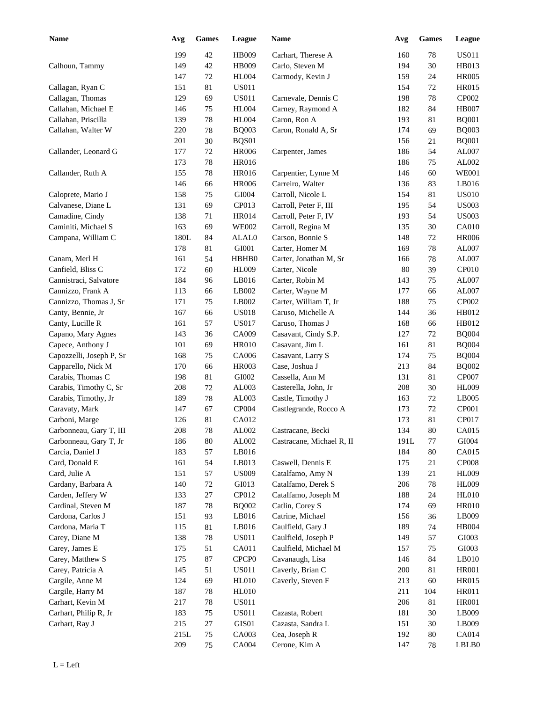| <b>Name</b>              | Avg  | <b>Games</b> | League            | <b>Name</b>               | Avg        | <b>Games</b> | League        |
|--------------------------|------|--------------|-------------------|---------------------------|------------|--------------|---------------|
|                          | 199  | 42           | HB009             | Carhart, Therese A        | 160        | 78           | <b>US011</b>  |
| Calhoun, Tammy           | 149  | 42           | HB009             | Carlo, Steven M           | 194        | $30\,$       | HB013         |
|                          | 147  | 72           | <b>HL004</b>      | Carmody, Kevin J          | 159        | 24           | <b>HR005</b>  |
| Callagan, Ryan C         | 151  | 81           | <b>US011</b>      |                           | 154        | 72           | <b>HR015</b>  |
| Callagan, Thomas         | 129  | 69           | <b>US011</b>      | Carnevale, Dennis C       | 198        | 78           | CP002         |
| Callahan, Michael E      | 146  | 75           | <b>HL004</b>      | Carney, Raymond A         | 182        | 84           | <b>HB007</b>  |
| Callahan, Priscilla      | 139  | $78\,$       | <b>HL004</b>      | Caron, Ron A              | 193        | 81           | <b>BQ001</b>  |
| Callahan, Walter W       | 220  | 78           | <b>BQ003</b>      | Caron, Ronald A, Sr       | 174        | 69           | <b>BQ003</b>  |
|                          | 201  | 30           | BQS01             |                           | 156        | 21           | <b>BQ001</b>  |
| Callander, Leonard G     | 177  | 72           | <b>HR006</b>      | Carpenter, James          | 186        | 54           | AL007         |
|                          | 173  | $78\,$       | <b>HR016</b>      |                           | 186        | 75           | AL002         |
| Callander, Ruth A        | 155  | 78           | <b>HR016</b>      | Carpentier, Lynne M       | 146        | 60           | <b>WE001</b>  |
|                          | 146  | 66           | <b>HR006</b>      | Carreiro, Walter          | 136        | 83           | LB016         |
| Caloprete, Mario J       | 158  | 75           | GI004             | Carroll, Nicole L         | 154        | 81           | <b>US010</b>  |
| Calvanese, Diane L       | 131  | 69           | CP013             | Carroll, Peter F, III     | 195        | 54           | <b>US003</b>  |
| Camadine, Cindy          | 138  | 71           | <b>HR014</b>      | Carroll, Peter F, IV      | 193        | 54           | <b>US003</b>  |
| Caminiti, Michael S      | 163  | 69           | <b>WE002</b>      | Carroll, Regina M         | 135        | 30           | <b>CA010</b>  |
| Campana, William C       | 180L | 84           | ALAL0             | Carson, Bonnie S          | 148        | 72           | <b>HR006</b>  |
|                          | 178  | 81           | GI001             | Carter, Homer M           | 169        | 78           | AL007         |
| Canam, Merl H            | 161  | 54           | HBHB0             | Carter, Jonathan M, Sr    | 166        | 78           | AL007         |
| Canfield, Bliss C        | 172  | 60           | HL009             | Carter, Nicole            | 80         | 39           | CP010         |
| Cannistraci, Salvatore   | 184  | 96           | LB016             | Carter, Robin M           | 143        | 75           | AL007         |
| Cannizzo, Frank A        | 113  | 66           | LB002             | Carter, Wayne M           | 177        | 66           | AL007         |
| Cannizzo, Thomas J, Sr   | 171  | 75           | LB002             | Carter, William T, Jr     | 188        | 75           | CP002         |
| Canty, Bennie, Jr        | 167  | 66           | <b>US018</b>      | Caruso, Michelle A        | 144        | 36           | HB012         |
| Canty, Lucille R         | 161  | 57           | <b>US017</b>      | Caruso, Thomas J          | 168        | 66           | HB012         |
| Capano, Mary Agnes       | 143  | 36           | CA009             | Casavant, Cindy S.P.      | 127        | 72           | <b>BQ004</b>  |
| Capece, Anthony J        | 101  | 69           | <b>HR010</b>      | Casavant, Jim L           | 161        | 81           | <b>BQ004</b>  |
| Capozzelli, Joseph P, Sr | 168  | 75           | CA006             | Casavant, Larry S         | 174        | 75           | <b>BQ004</b>  |
| Capparello, Nick M       | 170  | 66           | <b>HR003</b>      | Case, Joshua J            | 213        | 84           | <b>BQ002</b>  |
| Carabis, Thomas C        | 198  | 81           | GI002             | Cassella, Ann M           | 131        | 81           | CP007         |
| Carabis, Timothy C, Sr   | 208  | 72           | AL003             | Casterella, John, Jr      | 208        | 30           | <b>HL009</b>  |
| Carabis, Timothy, Jr     | 189  | 78           | AL003             | Castle, Timothy J         | 163        | 72           | LB005         |
| Caravaty, Mark           | 147  | 67           | CP004             | Castlegrande, Rocco A     | 173        | 72           | CP001         |
| Carboni, Marge           | 126  | 81           | CA012             |                           | 173        | 81           | CP017         |
| Carbonneau, Gary T, III  | 208  | 78           | AL002             | Castracane, Becki         | 134        | $80\,$       | CA015         |
| Carbonneau, Gary T, Jr   | 186  | 80           | AL002             | Castracane, Michael R, II | 191L       | 77           | GI004         |
| Carcia, Daniel J         | 183  | 57           | LB016             |                           | 184        | 80           | CA015         |
| Card, Donald E           | 161  | 54           | LB013             | Caswell, Dennis E         | 175        | 21           | <b>CP008</b>  |
| Card, Julie A            | 151  | 57           | <b>US009</b>      | Catalfamo, Amy N          | 139        | 21           | <b>HL009</b>  |
| Cardany, Barbara A       | 140  | $72\,$       | GI013             | Catalfamo, Derek S        | 206        | 78           | <b>HL009</b>  |
| Carden, Jeffery W        | 133  | $27\,$       | CP012             | Catalfamo, Joseph M       | 188        | 24           | <b>HL010</b>  |
| Cardinal, Steven M       | 187  | 78           | <b>BQ002</b>      | Catlin, Corey S           | 174        | 69           | <b>HR010</b>  |
| Cardona, Carlos J        | 151  | 93           | LB016             | Catrine, Michael          | 156        | 36           | LB009         |
| Cardona, Maria T         | 115  | 81           | LB016             | Caulfield, Gary J         | 189        | 74           | <b>HB004</b>  |
| Carey, Diane M           | 138  | $78\,$       | <b>US011</b>      | Caulfield, Joseph P       | 149        | 57           | GI003         |
| Carey, James E           | 175  | 51           | CA011             | Caulfield, Michael M      | 157        | 75           | ${\rm G}1003$ |
| Carey, Matthew S         | 175  | 87           | CPCP <sub>0</sub> | Cavanaugh, Lisa           | 146        | 84           | LB010         |
| Carey, Patricia A        | 145  | 51           | <b>US011</b>      | Caverly, Brian C          |            | 81           | <b>HR001</b>  |
| Cargile, Anne M          | 124  | 69           | <b>HL010</b>      | Caverly, Steven F         | 200<br>213 | 60           | HR015         |
|                          | 187  | 78           | <b>HL010</b>      |                           | 211        | 104          | HR011         |
| Cargile, Harry M         |      |              |                   |                           |            |              |               |
| Carhart, Kevin M         | 217  | 78           | <b>US011</b>      |                           | 206        | 81           | <b>HR001</b>  |
| Carhart, Philip R, Jr    | 183  | 75           | <b>US011</b>      | Cazasta, Robert           | 181        | 30           | LB009         |
| Carhart, Ray J           | 215  | 27           | GIS01             | Cazasta, Sandra L         | 151        | 30           | LB009         |
|                          | 215L | 75           | CA003             | Cea, Joseph R             | 192        | 80           | CA014         |
|                          | 209  | 75           | CA004             | Cerone, Kim A             | 147        | 78           | LBLB0         |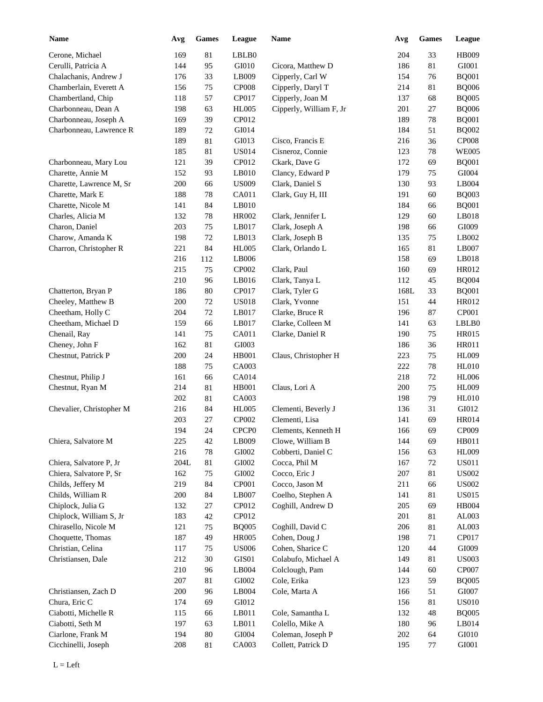| <b>Name</b>              | Avg             | <b>Games</b> | League                 | Name                    | Avg  | <b>Games</b> | League        |
|--------------------------|-----------------|--------------|------------------------|-------------------------|------|--------------|---------------|
| Cerone, Michael          | 169             | 81           | LBLB0                  |                         | 204  | 33           | <b>HB009</b>  |
| Cerulli, Patricia A      | 144             | 95           | GI010                  | Cicora, Matthew D       | 186  | 81           | GI001         |
| Chalachanis, Andrew J    | 176             | 33           | LB009                  | Cipperly, Carl W        | 154  | 76           | <b>BQ001</b>  |
| Chamberlain, Everett A   | 156             | 75           | <b>CP008</b>           | Cipperly, Daryl T       | 214  | 81           | <b>BQ006</b>  |
| Chambertland, Chip       | 118             | 57           | CP017                  | Cipperly, Joan M        | 137  | 68           | <b>BQ005</b>  |
| Charbonneau, Dean A      | 198             | 63           | <b>HL005</b>           | Cipperly, William F, Jr | 201  | 27           | <b>BQ006</b>  |
| Charbonneau, Joseph A    | 169             | 39           | CP012                  |                         | 189  | 78           | <b>BQ001</b>  |
| Charbonneau, Lawrence R  | 189             | $72\,$       | GI014                  |                         | 184  | 51           | <b>BQ002</b>  |
|                          | 189             | 81           | GI013                  | Cisco, Francis E        | 216  | 36           | <b>CP008</b>  |
|                          | 185             | 81           | <b>US014</b>           | Cisneroz, Connie        | 123  | 78           | <b>WE005</b>  |
| Charbonneau, Mary Lou    | 121             | 39           | CP012                  | Ckark, Dave G           | 172  | 69           | <b>BQ001</b>  |
| Charette, Annie M        | 152             | 93           | LB010                  | Clancy, Edward P        | 179  | 75           | GI004         |
| Charette, Lawrence M, Sr | 200             | 66           | <b>US009</b>           | Clark, Daniel S         | 130  | 93           | LB004         |
| Charette, Mark E         | 188             | 78           | CA011                  | Clark, Guy H, III       | 191  | 60           | <b>BQ003</b>  |
| Charette, Nicole M       | 141             | 84           | LB010                  |                         | 184  | 66           | <b>BQ001</b>  |
| Charles, Alicia M        | 132             | 78           | <b>HR002</b>           | Clark, Jennifer L       | 129  | 60           | LB018         |
| Charon, Daniel           | 203             | 75           | LB017                  | Clark, Joseph A         | 198  | 66           | GI009         |
| Charow, Amanda K         | 198             | 72           | LB013                  | Clark, Joseph B         | 135  | 75           | LB002         |
| Charron, Christopher R   | 221             | 84           | <b>HL005</b>           | Clark, Orlando L        | 165  | 81           | LB007         |
|                          | 216             | 112          | LB006                  |                         | 158  | 69           | LB018         |
|                          | 215             | 75           | CP002                  | Clark, Paul             | 160  | 69           | HR012         |
|                          | 210             | 96           | LB016                  | Clark, Tanya L          | 112  | 45           | <b>BQ004</b>  |
| Chatterton, Bryan P      | 186             | 80           | CP017                  | Clark, Tyler G          | 168L | 33           | <b>BQ001</b>  |
| Cheeley, Matthew B       | 200             | 72           | <b>US018</b>           | Clark, Yvonne           | 151  | 44           | HR012         |
| Cheetham, Holly C        | 204             |              | LB017                  | Clarke, Bruce R         | 196  |              | CP001         |
|                          | 159             | 72           |                        |                         |      | 87           | LBLB0         |
| Cheetham, Michael D      | 141             | 66<br>75     | LB017                  | Clarke, Colleen M       | 141  | 63           | <b>HR015</b>  |
| Chenail, Ray             |                 |              | CA011                  | Clarke, Daniel R        | 190  | 75           |               |
| Cheney, John F           | 162             | 81           | GI003                  |                         | 186  | 36           | <b>HR011</b>  |
| Chestnut, Patrick P      | 200             | 24           | <b>HB001</b>           | Claus, Christopher H    | 223  | 75           | <b>HL009</b>  |
|                          | 188             | 75           | CA003                  |                         | 222  | 78           | <b>HL010</b>  |
| Chestnut, Philip J       | 161             | 66           | CA014                  |                         | 218  | 72           | <b>HL006</b>  |
| Chestnut, Ryan M         | 214             | 81           | <b>HB001</b>           | Claus, Lori A           | 200  | 75           | <b>HL009</b>  |
|                          | 202             | 81           | CA003                  |                         | 198  | 79           | <b>HL010</b>  |
| Chevalier, Christopher M | 216             | 84           | <b>HL005</b>           | Clementi, Beverly J     | 136  | 31           | GI012         |
|                          | 203             | 27           | CP002                  | Clementi, Lisa          | 141  | 69           | <b>HR014</b>  |
|                          | 194             | $24\,$       | CPCP0                  | Clements, Kenneth H     | 166  | 69           | CP009         |
| Chiera, Salvatore M      | 225             | 42           | LB009                  | Clowe, William B        | 144  | 69           | HB011         |
|                          | 216             | $78\,$       | GI002                  | Cobberti, Daniel C      | 156  | 63           | <b>HL009</b>  |
| Chiera, Salvatore P, Jr  | $204\mathrm{L}$ | 81           | GI002                  | Cocca, Phil M           | 167  | $72\,$       | <b>US011</b>  |
| Chiera, Salvatore P, Sr  | 162             | 75           | GI002                  | Cocco, Eric J           | 207  | 81           | <b>US002</b>  |
| Childs, Jeffery M        | 219             | $84\,$       | CP001                  | Cocco, Jason M          | 211  | 66           | <b>US002</b>  |
| Childs, William R        | 200             | 84           | $\operatorname{LB}007$ | Coelho, Stephen A       | 141  | 81           | <b>US015</b>  |
| Chiplock, Julia G        | 132             | 27           | CP012                  | Coghill, Andrew D       | 205  | 69           | HB004         |
| Chiplock, William S, Jr  | 183             | $42\,$       | CP012                  |                         | 201  | 81           | AL003         |
| Chirasello, Nicole M     | 121             | 75           | <b>BQ005</b>           | Coghill, David C        | 206  | 81           | AL003         |
| Choquette, Thomas        | 187             | 49           | <b>HR005</b>           | Cohen, Doug J           | 198  | 71           | CP017         |
| Christian, Celina        | 117             | 75           | <b>US006</b>           | Cohen, Sharice C        | 120  | 44           | GI009         |
| Christiansen, Dale       | 212             | $30\,$       | $\rm GIS01$            | Colabufo, Michael A     | 149  | 81           | <b>US003</b>  |
|                          | 210             | 96           | LB004                  | Colclough, Pam          | 144  | 60           | CP007         |
|                          | 207             | 81           | ${\rm GIO}02$          | Cole, Erika             | 123  | 59           | <b>BQ005</b>  |
| Christiansen, Zach D     | 200             | 96           | LB004                  | Cole, Marta A           | 166  | 51           | GI007         |
| Chura, Eric C            | 174             | 69           | GI012                  |                         | 156  | 81           | <b>US010</b>  |
| Ciabotti, Michelle R     | 115             | 66           | LB011                  | Cole, Samantha L        | 132  | 48           | <b>BQ005</b>  |
| Ciabotti, Seth M         | 197             | 63           | LB011                  | Colello, Mike A         | 180  | 96           | LB014         |
| Ciarlone, Frank M        | 194             | $80\,$       | ${\rm GIO}04$          | Coleman, Joseph P       | 202  | 64           | GI010         |
| Cicchinelli, Joseph      | 208             | 81           | CA003                  | Collett, Patrick D      | 195  | 77           | ${\rm GIO}01$ |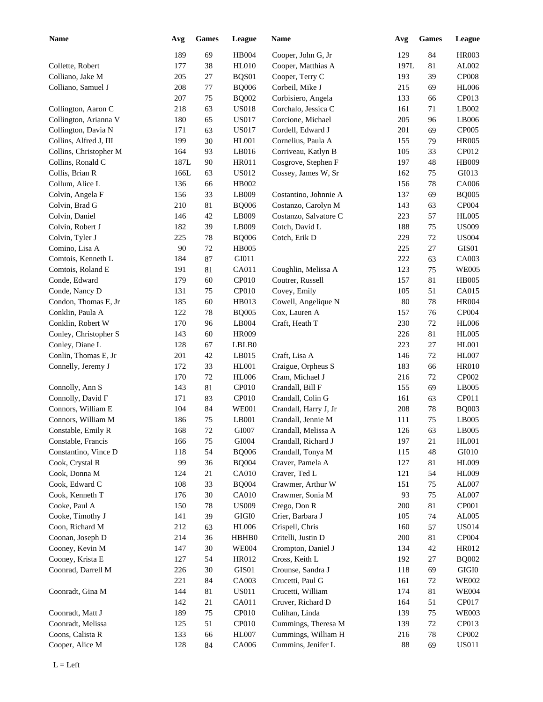| <b>Name</b>            | Avg  | <b>Games</b> | League       | Name                  | Avg    | <b>Games</b> | League       |
|------------------------|------|--------------|--------------|-----------------------|--------|--------------|--------------|
|                        | 189  | 69           | HB004        | Cooper, John G, Jr    | 129    | 84           | <b>HR003</b> |
| Collette, Robert       | 177  | 38           | HL010        | Cooper, Matthias A    | 197L   | 81           | AL002        |
| Colliano, Jake M       | 205  | $27\,$       | BQS01        | Cooper, Terry C       | 193    | 39           | <b>CP008</b> |
| Colliano, Samuel J     | 208  | 77           | <b>BQ006</b> | Corbeil, Mike J       | 215    | 69           | <b>HL006</b> |
|                        | 207  | 75           | <b>BQ002</b> | Corbisiero, Angela    | 133    | 66           | CP013        |
| Collington, Aaron C    | 218  | 63           | <b>US018</b> | Corchalo, Jessica C   | 161    | 71           | LB002        |
| Collington, Arianna V  | 180  | 65           | <b>US017</b> | Corcione, Michael     | 205    | 96           | LB006        |
| Collington, Davia N    | 171  | 63           | <b>US017</b> | Cordell, Edward J     | 201    | 69           | CP005        |
| Collins, Alfred J, III | 199  | 30           | HL001        | Cornelius, Paula A    | 155    | 79           | <b>HR005</b> |
| Collins, Christopher M | 164  | 93           | LB016        | Corriveau, Katlyn B   | 105    | 33           | CP012        |
| Collins, Ronald C      | 187L | 90           | HR011        | Cosgrove, Stephen F   | 197    | 48           | <b>HB009</b> |
| Collis, Brian R        | 166L | 63           | US012        | Cossey, James W, Sr   | 162    | 75           | GI013        |
| Collum, Alice L        | 136  | 66           | HB002        |                       | 156    | 78           | CA006        |
| Colvin, Angela F       | 156  | 33           | LB009        | Costantino, Johnnie A | 137    | 69           | <b>BQ005</b> |
| Colvin, Brad G         | 210  | 81           | <b>BQ006</b> | Costanzo, Carolyn M   | 143    | 63           | CP004        |
| Colvin, Daniel         | 146  | 42           | LB009        | Costanzo, Salvatore C | 223    | 57           | <b>HL005</b> |
| Colvin, Robert J       | 182  | 39           | LB009        | Cotch, David L        | 188    | 75           | <b>US009</b> |
| Colvin, Tyler J        | 225  | 78           | <b>BQ006</b> | Cotch, Erik D         | 229    | 72           | <b>US004</b> |
| Comino, Lisa A         | 90   | 72           | <b>HB005</b> |                       | 225    | 27           | GIS01        |
| Comtois, Kenneth L     | 184  | 87           | GI011        |                       | 222    | 63           | CA003        |
| Comtois, Roland E      | 191  | 81           | CA011        | Coughlin, Melissa A   | 123    | 75           | <b>WE005</b> |
| Conde, Edward          | 179  | 60           | CP010        | Coutrer, Russell      | 157    | 81           | <b>HB005</b> |
| Conde, Nancy D         | 131  | 75           | CP010        | Covey, Emily          | 105    | 51           | CA015        |
| Condon, Thomas E, Jr   | 185  | 60           | HB013        | Cowell, Angelique N   | 80     | 78           | <b>HR004</b> |
| Conklin, Paula A       | 122  | 78           | <b>BQ005</b> | Cox, Lauren A         | 157    | 76           | CP004        |
| Conklin, Robert W      | 170  | 96           | LB004        | Craft, Heath T        | 230    | 72           | <b>HL006</b> |
| Conley, Christopher S  | 143  | 60           | <b>HR009</b> |                       | 226    | 81           | <b>HL005</b> |
| Conley, Diane L        | 128  | 67           | LBLB0        |                       | 223    | 27           | HL001        |
| Conlin, Thomas E, Jr   | 201  | 42           | LB015        | Craft, Lisa A         | 146    | 72           | <b>HL007</b> |
| Connelly, Jeremy J     | 172  | 33           | <b>HL001</b> | Craigue, Orpheus S    | 183    | 66           | <b>HR010</b> |
|                        | 170  | 72           | <b>HL006</b> | Cram, Michael J       | 216    | 72           | CP002        |
| Connolly, Ann S        | 143  | 81           | CP010        | Crandall, Bill F      | 155    | 69           | LB005        |
| Connolly, David F      | 171  | 83           | CP010        | Crandall, Colin G     | 161    | 63           | CP011        |
| Connors, William E     | 104  | 84           | <b>WE001</b> | Crandall, Harry J, Jr | 208    | 78           | <b>BQ003</b> |
| Connors, William M     | 186  | 75           | LB001        | Crandall, Jennie M    | 111    | 75           | LB005        |
| Constable, Emily R     | 168  | $72\,$       | GI007        | Crandall, Melissa A   | 126    | 63           | LB005        |
| Constable, Francis     | 166  | 75           | GI004        | Crandall, Richard J   | 197    | 21           | HL001        |
| Constantino, Vince D   | 118  | 54           | <b>BQ006</b> | Crandall, Tonya M     | 115    | 48           | GI010        |
| Cook, Crystal R        | 99   | 36           | <b>BQ004</b> | Craver, Pamela A      | 127    | 81           | <b>HL009</b> |
| Cook, Donna M          | 124  | 21           | CA010        | Craver, Ted L         | 121    | 54           | <b>HL009</b> |
| Cook, Edward C         | 108  | 33           | <b>BQ004</b> | Crawmer, Arthur W     | 151    | 75           | AL007        |
| Cook, Kenneth T        | 176  | $30\,$       | CA010        | Crawmer, Sonia M      | 93     | 75           | AL007        |
| Cooke, Paul A          | 150  | 78           | <b>US009</b> | Crego, Don R          | 200    | 81           | CP001        |
| Cooke, Timothy J       | 141  | 39           | GIGI0        | Crier, Barbara J      | 105    | 74           | AL005        |
| Coon, Richard M        | 212  | 63           | <b>HL006</b> | Crispell, Chris       | 160    | 57           | <b>US014</b> |
| Coonan, Joseph D       | 214  | 36           | HBHB0        | Critelli, Justin D    | 200    | 81           | CP004        |
| Cooney, Kevin M        | 147  | $30\,$       | <b>WE004</b> | Crompton, Daniel J    | 134    | 42           | HR012        |
| Cooney, Krista E       | 127  | 54           | HR012        | Cross, Keith L        | 192    | 27           | <b>BQ002</b> |
| Coonrad, Darrell M     | 226  | $30\,$       | GIS01        | Crounse, Sandra J     | 118    | 69           | $\rm GIGI0$  |
|                        | 221  | 84           | CA003        | Crucetti, Paul G      | 161    | 72           | <b>WE002</b> |
| Coonradt, Gina M       | 144  | 81           | <b>US011</b> | Crucetti, William     | 174    | 81           | <b>WE004</b> |
|                        | 142  | 21           | CA011        | Cruver, Richard D     | 164    | 51           | CP017        |
| Coonradt, Matt J       | 189  | 75           | CP010        | Culihan, Linda        | 139    | 75           | <b>WE003</b> |
| Coonradt, Melissa      | 125  | 51           | CP010        | Cummings, Theresa M   | 139    | 72           | CP013        |
| Coons, Calista R       | 133  | 66           | <b>HL007</b> | Cummings, William H   | 216    | 78           | CP002        |
| Cooper, Alice M        | 128  | 84           | CA006        | Cummins, Jenifer L    | $88\,$ | 69           | <b>US011</b> |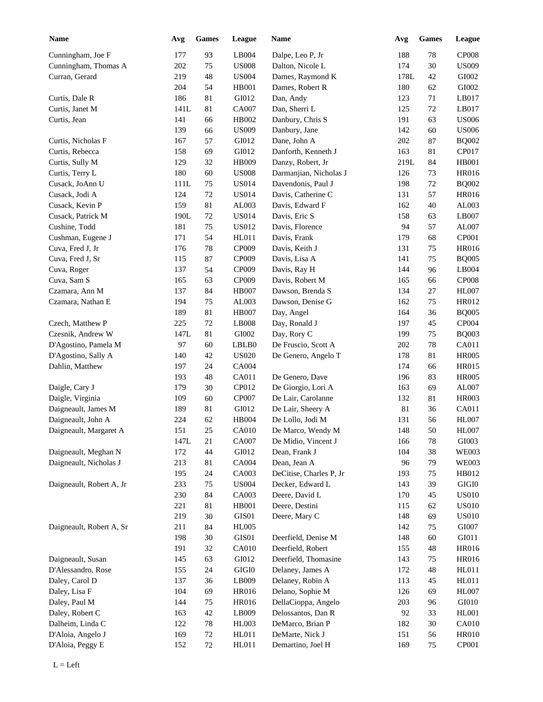| <b>Name</b>              | Avg  | <b>Games</b> | League        | Name                    | Avg  | <b>Games</b> | League        |
|--------------------------|------|--------------|---------------|-------------------------|------|--------------|---------------|
| Cunningham, Joe F        | 177  | 93           | LB004         | Dalpe, Leo P, Jr        | 188  | 78           | <b>CP008</b>  |
| Cunningham, Thomas A     | 202  | 75           | <b>US008</b>  | Dalton, Nicole L        | 174  | 30           | <b>US009</b>  |
| Curran, Gerard           | 219  | 48           | <b>US004</b>  | Dames, Raymond K        | 178L | 42           | GI002         |
|                          | 204  | 54           | <b>HB001</b>  | Dames, Robert R         | 180  | 62           | GI002         |
| Curtis, Dale R           | 186  | 81           | GI012         | Dan, Andy               | 123  | 71           | LB017         |
| Curtis, Janet M          | 141L | 81           | <b>CA007</b>  | Dan, Sherri L           | 125  | 72           | LB017         |
| Curtis, Jean             | 141  | 66           | HB002         | Danbury, Chris S        | 191  | 63           | <b>US006</b>  |
|                          | 139  | 66           | <b>US009</b>  | Danbury, Jane           | 142  | 60           | <b>US006</b>  |
| Curtis, Nicholas F       | 167  | 57           | GI012         | Dane, John A            | 202  | 87           | <b>BQ002</b>  |
| Curtis, Rebecca          | 158  | 69           | GI012         | Danforth, Kenneth J     | 163  | 81           | CP017         |
| Curtis, Sully M          | 129  | 32           | HB009         | Danzy, Robert, Jr       | 219L | 84           | <b>HB001</b>  |
| Curtis, Terry L          | 180  | 60           | <b>US008</b>  | Darmanjian, Nicholas J  | 126  | 73           | HR016         |
| Cusack, JoAnn U          | 111L | 75           | <b>US014</b>  | Davendonis, Paul J      | 198  | 72           | <b>BQ002</b>  |
| Cusack, Jodi A           | 124  | $72\,$       | <b>US014</b>  | Davis, Catherine C      | 131  | 57           | HR016         |
| Cusack, Kevin P          | 159  | 81           | AL003         | Davis, Edward F         | 162  | 40           | AL003         |
| Cusack, Patrick M        | 190L | 72           | <b>US014</b>  | Davis, Eric S           | 158  | 63           | LB007         |
| Cushine, Todd            | 181  | 75           | <b>US012</b>  | Davis, Florence         | 94   | 57           | AL007         |
| Cushman, Eugene J        | 171  | 54           | HL011         | Davis, Frank            | 179  | 68           | CP001         |
| Cuva, Fred J, Jr         | 176  | 78           | CP009         | Davis, Keith J          | 131  | 75           | HR016         |
| Cuva, Fred J, Sr         | 115  | 87           | CP009         | Davis, Lisa A           | 141  | 75           | <b>BQ005</b>  |
| Cuva, Roger              | 137  | 54           | CP009         | Davis, Ray H            | 144  | 96           | LB004         |
| Cuva, Sam S              | 165  | 63           | CP009         | Davis, Robert M         | 165  | 66           | <b>CP008</b>  |
| Czamara, Ann M           | 137  | 84           | <b>HB007</b>  | Dawson, Brenda S        | 134  | 27           | <b>HL007</b>  |
| Czamara, Nathan E        | 194  | 75           | AL003         | Dawson, Denise G        | 162  | 75           | HR012         |
|                          | 189  | 81           | <b>HB007</b>  | Day, Angel              | 164  | 36           | <b>BQ005</b>  |
| Czech, Matthew P         | 225  | 72           | LB008         | Day, Ronald J           | 197  | 45           | CP004         |
| Czesnik, Andrew W        | 147L | 81           | GI002         | Day, Rory C             | 199  | 75           | <b>BQ003</b>  |
| D'Agostino, Pamela M     | 97   | 60           | LBLB0         | De Fruscio, Scott A     | 202  | 78           | CA011         |
| D'Agostino, Sally A      | 140  | 42           | <b>US020</b>  | De Genero, Angelo T     | 178  | 81           | <b>HR005</b>  |
| Dahlin, Matthew          | 197  | 24           | CA004         |                         | 174  | 66           | <b>HR015</b>  |
|                          | 193  | 48           | CA011         | De Genero, Dave         | 196  | 83           | <b>HR005</b>  |
| Daigle, Cary J           | 179  | 30           | CP012         | De Giorgio, Lori A      | 163  | 69           | AL007         |
| Daigle, Virginia         | 109  | 60           | CP007         | De Lair, Carolanne      | 132  | 81           | <b>HR003</b>  |
| Daigneault, James M      | 189  | 81           | GI012         | De Lair, Sheery A       | 81   | 36           | CA011         |
| Daigneault, John A       | 224  | 62           | HB004         | De Lollo, Jodi M        | 131  | 56           | <b>HL007</b>  |
| Daigneault, Margaret A   | 151  | $25\,$       | CA010         | De Marco, Wendy M       | 148  | 50           | <b>HL007</b>  |
|                          | 147L | 21           | <b>CA007</b>  | De Midio, Vincent J     | 166  | 78           | GI003         |
| Daigneault, Meghan N     | 172  | $44\,$       | GI012         | Dean, Frank J           | 104  | 38           | <b>WE003</b>  |
| Daigneault, Nicholas J   | 213  | 81           | CA004         | Dean, Jean A            | 96   | 79           | <b>WE003</b>  |
|                          | 195  | 24           | CA003         | DeCitise, Charles P, Jr | 193  | 75           | HB012         |
| Daigneault, Robert A, Jr | 233  | 75           | <b>US004</b>  | Decker, Edward L        | 143  | 39           | $\rm GIGI0$   |
|                          | 230  | $84\,$       | CA003         | Deere, David L          | 170  | 45           | <b>US010</b>  |
|                          | 221  | 81           | HB001         | Deere, Destini          | 115  | 62           | <b>US010</b>  |
|                          | 219  | $30\,$       | $\rm GIS01$   | Deere, Mary C           | 148  | 69           | <b>US010</b>  |
| Daigneault, Robert A, Sr | 211  | 84           | <b>HL005</b>  |                         | 142  | 75           | GI007         |
|                          | 198  | $30\,$       | GIS01         | Deerfield, Denise M     | 148  | 60           | ${\rm G}I011$ |
|                          | 191  | 32           | CA010         | Deerfield, Robert       | 155  | 48           | HR016         |
| Daigneault, Susan        | 145  | 63           | ${\rm G}I012$ | Deerfield, Thomasine    | 143  | 75           | HR016         |
| D'Alessandro, Rose       | 155  | 24           | $\rm GIGI0$   | Delaney, James A        | 172  | 48           | HL011         |
| Daley, Carol D           | 137  | 36           | LB009         | Delaney, Robin A        | 113  | 45           | HL011         |
| Daley, Lisa F            | 104  | 69           | <b>HR016</b>  | Delano, Sophie M        | 126  | 69           | <b>HL007</b>  |
| Daley, Paul M            | 144  | 75           | <b>HR016</b>  | DellaCioppa, Angelo     | 203  | 96           | GI010         |
| Daley, Robert C          | 163  | $42\,$       | LB009         | Delossantos, Dan R      | 92   | 33           | HL001         |
| Dalheim, Linda C         | 122  | $78\,$       | HL003         | DeMarco, Brian P        | 182  | $30\,$       | CA010         |
| D'Aloia, Angelo J        | 169  | $72\,$       | HL011         | DeMarte, Nick J         | 151  | 56           | <b>HR010</b>  |
| D'Aloia, Peggy E         | 152  | $72\,$       | HL011         | Demartino, Joel H       | 169  | 75           | CP001         |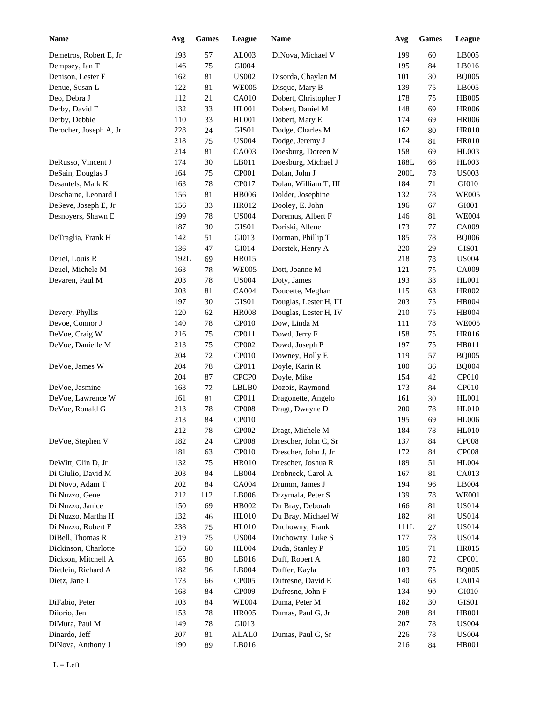| <b>Name</b>            | Avg        | ${\bf Games}$ | League            | <b>Name</b>            | Avg        | <b>Games</b> | League       |
|------------------------|------------|---------------|-------------------|------------------------|------------|--------------|--------------|
| Demetros, Robert E, Jr | 193        | 57            | AL003             | DiNova, Michael V      | 199        | 60           | LB005        |
| Dempsey, Ian T         | 146        | $75\,$        | GI004             |                        | 195        | 84           | LB016        |
| Denison, Lester E      | 162        | 81            | <b>US002</b>      | Disorda, Chaylan M     | 101        | 30           | <b>BQ005</b> |
| Denue, Susan L         | 122        | 81            | <b>WE005</b>      | Disque, Mary B         | 139        | 75           | LB005        |
| Deo, Debra J           | 112        | $21\,$        | CA010             | Dobert, Christopher J  | 178        | 75           | <b>HB005</b> |
| Derby, David E         | 132        | 33            | HL001             | Dobert, Daniel M       | 148        | 69           | <b>HR006</b> |
| Derby, Debbie          | 110        | 33            | HL001             | Dobert, Mary E         | 174        | 69           | <b>HR006</b> |
| Derocher, Joseph A, Jr | 228        | 24            | GIS01             | Dodge, Charles M       | 162        | 80           | <b>HR010</b> |
|                        | 218        | 75            | <b>US004</b>      | Dodge, Jeremy J        | 174        | 81           | <b>HR010</b> |
|                        | 214        | $81\,$        | CA003             | Doesburg, Doreen M     | 158        | 69           | <b>HL003</b> |
| DeRusso, Vincent J     | 174        | 30            | LB011             | Doesburg, Michael J    | 188L       | 66           | <b>HL003</b> |
| DeSain, Douglas J      | 164        | 75            | CP001             | Dolan, John J          | 200L       | 78           | <b>US003</b> |
| Desautels, Mark K      | 163        | 78            | CP017             | Dolan, William T, III  | 184        | 71           | GI010        |
| Deschaine, Leonard I   | 156        | 81            | <b>HB006</b>      | Dolder, Josephine      | 132        | 78           | <b>WE005</b> |
| DeSeve, Joseph E, Jr   | 156        | 33            | HR012             | Dooley, E. John        | 196        | 67           | GI001        |
| Desnoyers, Shawn E     | 199        | 78            | <b>US004</b>      | Doremus, Albert F      | 146        | 81           | <b>WE004</b> |
|                        | 187        | 30            | GIS01             | Doriski, Allene        | 173        | 77           | CA009        |
| DeTraglia, Frank H     | 142        | 51            | GI013             | Dorman, Phillip T      | 185        | 78           | <b>BQ006</b> |
|                        | 136        | $47\,$        | GI014             | Dorstek, Henry A       | 220        | 29           | GIS01        |
| Deuel, Louis R         | 192L       | 69            | <b>HR015</b>      |                        | 218        | 78           | <b>US004</b> |
| Deuel, Michele M       | 163        | 78            | <b>WE005</b>      | Dott, Joanne M         | 121        | 75           | CA009        |
| Devaren, Paul M        | 203        | 78            | <b>US004</b>      | Doty, James            | 193        | 33           | <b>HL001</b> |
|                        | 203        | 81            | CA004             | Doucette, Meghan       | 115        | 63           | HR002        |
|                        | 197        | 30            | GIS01             | Douglas, Lester H, III | 203        | 75           | HB004        |
| Devery, Phyllis        | 120        | 62            | <b>HR008</b>      | Douglas, Lester H, IV  | 210        | 75           | HB004        |
| Devoe, Connor J        | 140        | 78            | CP010             | Dow, Linda M           | 111        | $78\,$       | <b>WE005</b> |
| DeVoe, Craig W         | 216        | 75            | CP011             | Dowd, Jerry F          | 158        | 75           | HR016        |
| DeVoe, Danielle M      | 213        | 75            | CP002             | Dowd, Joseph P         | 197        | 75           | HB011        |
|                        | 204        | $72\,$        | CP010             | Downey, Holly E        | 119        | 57           | <b>BQ005</b> |
| DeVoe, James W         | 204        | $78\,$        | CP011             | Doyle, Karin R         | 100        | 36           | <b>BQ004</b> |
|                        | 204        | 87            | CPCP <sub>0</sub> | Doyle, Mike            | 154        | 42           | CP010        |
| DeVoe, Jasmine         | 163        | 72            | LBLB0             | Dozois, Raymond        | 173        | 84           | CP010        |
| DeVoe, Lawrence W      |            | 81            | CP011             | Dragonette, Angelo     |            |              |              |
|                        | 161        |               |                   |                        | 161        | 30           | <b>HL001</b> |
| DeVoe, Ronald G        | 213<br>213 | $78\,$<br>84  | CP008<br>CP010    | Dragt, Dwayne D        | 200<br>195 | $78\,$<br>69 | <b>HL010</b> |
|                        |            |               |                   |                        |            |              | <b>HL006</b> |
|                        | 212        | $78\,$        | CP002             | Dragt, Michele M       | 184        | 78           | <b>HL010</b> |
| DeVoe, Stephen V       | 182        | 24            | CP008             | Drescher, John C, Sr   | 137        | 84           | <b>CP008</b> |
|                        | 181        | 63            | CP010             | Drescher, John J, Jr   | 172        | 84           | <b>CP008</b> |
| DeWitt, Olin D, Jr     | 132        | 75            | <b>HR010</b>      | Drescher, Joshua R     | 189        | 51           | <b>HL004</b> |
| Di Giulio, David M     | 203        | 84            | LB004             | Drobneck, Carol A      | 167        | 81           | CA013        |
| Di Novo, Adam T        | 202        | 84            | CA004             | Drumm, James J         | 194        | 96           | LB004        |
| Di Nuzzo, Gene         | 212        | 112           | LB006             | Drzymala, Peter S      | 139        | 78           | <b>WE001</b> |
| Di Nuzzo, Janice       | 150        | 69            | HB002             | Du Bray, Deborah       | 166        | 81           | <b>US014</b> |
| Di Nuzzo, Martha H     | 132        | 46            | <b>HL010</b>      | Du Bray, Michael W     | 182        | 81           | <b>US014</b> |
| Di Nuzzo, Robert F     | 238        | 75            | <b>HL010</b>      | Duchowny, Frank        | 111L       | 27           | <b>US014</b> |
| DiBell, Thomas R       | 219        | 75            | <b>US004</b>      | Duchowny, Luke S       | 177        | 78           | <b>US014</b> |
| Dickinson, Charlotte   | 150        | 60            | <b>HL004</b>      | Duda, Stanley P        | 185        | 71           | HR015        |
| Dickson, Mitchell A    | 165        | 80            | LB016             | Duff, Robert A         | 180        | $72\,$       | CP001        |
| Dietlein, Richard A    | 182        | 96            | LB004             | Duffer, Kayla          | 103        | 75           | <b>BQ005</b> |
| Dietz, Jane L          | 173        | 66            | CP005             | Dufresne, David E      | 140        | 63           | CA014        |
|                        | 168        | 84            | CP009             | Dufresne, John F       | 134        | 90           | GI010        |
| DiFabio, Peter         | 103        | 84            | <b>WE004</b>      | Duma, Peter M          | 182        | 30           | GIS01        |
| Diiorio, Jen           | 153        | 78            | <b>HR005</b>      | Dumas, Paul G, Jr      | 208        | 84           | <b>HB001</b> |
| DiMura, Paul M         | 149        | 78            | GI013             |                        | 207        | 78           | <b>US004</b> |
| Dinardo, Jeff          | 207        | 81            | ALAL0             | Dumas, Paul G, Sr      | 226        | 78           | <b>US004</b> |
| DiNova, Anthony J      | 190        | 89            | LB016             |                        | 216        | 84           | <b>HB001</b> |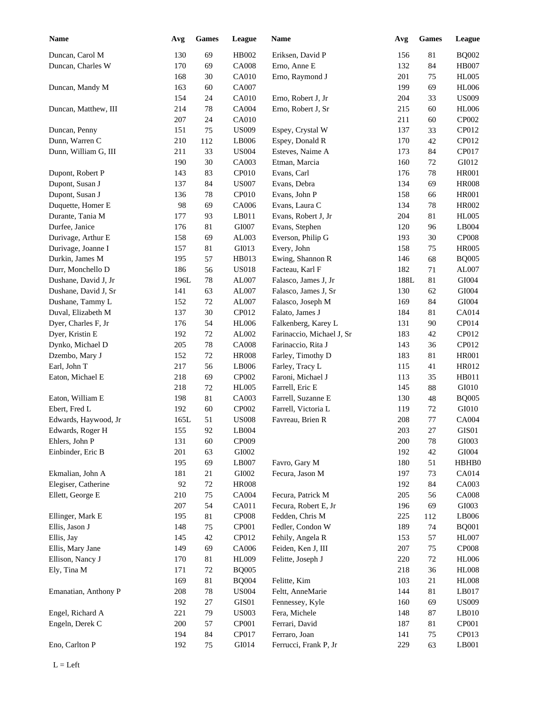| <b>Name</b>          | Avg     | <b>Games</b> | League        | <b>Name</b>               | Avg     | <b>Games</b> | League                 |
|----------------------|---------|--------------|---------------|---------------------------|---------|--------------|------------------------|
| Duncan, Carol M      | 130     | 69           | HB002         | Eriksen, David P          | 156     | 81           | <b>BQ002</b>           |
| Duncan, Charles W    | 170     | 69           | <b>CA008</b>  | Erno, Anne E              | 132     | 84           | <b>HB007</b>           |
|                      | 168     | 30           | CA010         | Erno, Raymond J           | 201     | 75           | <b>HL005</b>           |
| Duncan, Mandy M      | 163     | 60           | CA007         |                           | 199     | 69           | <b>HL006</b>           |
|                      | 154     | 24           | CA010         | Erno, Robert J, Jr        | 204     | 33           | <b>US009</b>           |
| Duncan, Matthew, III | 214     | 78           | CA004         | Erno, Robert J, Sr        | 215     | 60           | <b>HL006</b>           |
|                      | 207     | 24           | CA010         |                           | 211     | 60           | CP002                  |
| Duncan, Penny        | 151     | 75           | <b>US009</b>  | Espey, Crystal W          | 137     | 33           | CP012                  |
| Dunn, Warren C       | 210     | 112          | LB006         | Espey, Donald R           | 170     | 42           | CP012                  |
| Dunn, William G, III | 211     | 33           | <b>US004</b>  | Esteves, Naime A          | 173     | 84           | CP017                  |
|                      | 190     | 30           | CA003         | Etman, Marcia             | 160     | 72           | GI012                  |
| Dupont, Robert P     | 143     | 83           | CP010         | Evans, Carl               | 176     | 78           | <b>HR001</b>           |
| Dupont, Susan J      | 137     | 84           | <b>US007</b>  | Evans, Debra              | 134     | 69           | <b>HR008</b>           |
| Dupont, Susan J      | 136     | 78           | CP010         | Evans, John P             | 158     | 66           | <b>HR001</b>           |
| Duquette, Homer E    | 98      | 69           | CA006         | Evans, Laura C            | 134     | 78           | HR002                  |
| Durante, Tania M     | 177     | 93           | LB011         | Evans, Robert J, Jr       | 204     | 81           | <b>HL005</b>           |
| Durfee, Janice       | 176     | 81           | GI007         | Evans, Stephen            | 120     | 96           | LB004                  |
|                      |         |              |               | Everson, Philip G         |         |              | <b>CP008</b>           |
| Durivage, Arthur E   | 158     | 69           | AL003         |                           | 193     | 30           |                        |
| Durivage, Joanne I   | 157     | 81           | GI013         | Every, John               | 158     | 75           | <b>HR005</b>           |
| Durkin, James M      | 195     | 57           | HB013         | Ewing, Shannon R          | 146     | 68           | <b>BQ005</b>           |
| Durr, Monchello D    | 186     | 56           | <b>US018</b>  | Facteau, Karl F           | 182     | 71           | AL007                  |
| Dushane, David J, Jr | 196L    | 78           | AL007         | Falasco, James J, Jr      | 188L    | 81           | GI004                  |
| Dushane, David J, Sr | 141     | 63           | AL007         | Falasco, James J, Sr      | 130     | 62           | GI004                  |
| Dushane, Tammy L     | 152     | $72\,$       | AL007         | Falasco, Joseph M         | 169     | 84           | GI004                  |
| Duval, Elizabeth M   | 137     | 30           | CP012         | Falato, James J           | 184     | 81           | CA014                  |
| Dyer, Charles F, Jr  | 176     | 54           | <b>HL006</b>  | Falkenberg, Karey L       | 131     | 90           | CP014                  |
| Dyer, Kristin E      | 192     | $72\,$       | AL002         | Farinaccio, Michael J, Sr | 183     | 42           | CP012                  |
| Dynko, Michael D     | 205     | 78           | <b>CA008</b>  | Farinaccio, Rita J        | 143     | 36           | CP012                  |
| Dzembo, Mary J       | 152     | 72           | <b>HR008</b>  | Farley, Timothy D         | 183     | 81           | <b>HR001</b>           |
| Earl, John T         | 217     | 56           | LB006         | Farley, Tracy L           | 115     | 41           | HR012                  |
| Eaton, Michael E     | 218     | 69           | CP002         | Faroni, Michael J         | 113     | 35           | HB011                  |
|                      | 218     | 72           | <b>HL005</b>  | Farrell, Eric E           | 145     | 88           | GI010                  |
| Eaton, William E     | 198     | 81           | CA003         | Farrell, Suzanne E        | 130     | 48           | <b>BQ005</b>           |
| Ebert, Fred L        | 192     | 60           | CP002         | Farrell, Victoria L       | 119     | 72           | GI010                  |
| Edwards, Haywood, Jr | 165L    | 51           | <b>US008</b>  | Favreau, Brien R          | 208     | 77           | <b>CA004</b>           |
| Edwards, Roger H     | 155     | 92           | LB004         |                           | 203     | $27\,$       | GIS01                  |
| Ehlers, John P       | 131     | 60           | CP009         |                           | 200     | 78           | GI003                  |
| Einbinder, Eric B    | 201     | 63           | ${\rm GIO}02$ |                           | 192     | 42           | ${\rm G}1004$          |
|                      | 195     | 69           | LB007         | Favro, Gary M             | 180     | 51           | HBHB0                  |
| Ekmalian, John A     | 181     | 21           | ${\rm GIO}02$ | Fecura, Jason M           | 197     | 73           | CA014                  |
| Elegiser, Catherine  | 92      | $72\,$       | <b>HR008</b>  |                           | 192     | 84           | CA003                  |
| Ellett, George E     | $210\,$ | $75\,$       | CA004         | Fecura, Patrick M         | 205     | 56           | <b>CA008</b>           |
|                      | 207     | 54           | CA011         | Fecura, Robert E, Jr      | 196     | 69           | ${\rm G}1003$          |
| Ellinger, Mark E     | 195     |              | <b>CP008</b>  | Fedden, Chris M           | 225     |              | $\operatorname{LBO06}$ |
| Ellis, Jason J       |         | 81           |               | Fedler, Condon W          |         | 112          |                        |
|                      | 148     | 75           | CP001         |                           | 189     | 74           | <b>BQ001</b>           |
| Ellis, Jay           | 145     | 42           | CP012         | Fehily, Angela R          | 153     | 57           | <b>HL007</b>           |
| Ellis, Mary Jane     | 149     | 69           | CA006         | Feiden, Ken J, III        | $207\,$ | 75           | CP008                  |
| Ellison, Nancy J     | 170     | 81           | <b>HL009</b>  | Felitte, Joseph J         | 220     | 72           | <b>HL006</b>           |
| Ely, Tina M          | 171     | $72\,$       | <b>BQ005</b>  |                           | 218     | 36           | ${\rm H} {\rm L} 008$  |
|                      | 169     | $81\,$       | <b>BQ004</b>  | Felitte, Kim              | 103     | 21           | <b>HL008</b>           |
| Emanatian, Anthony P | 208     | $78\,$       | <b>US004</b>  | Feltt, AnneMarie          | 144     | 81           | LB017                  |
|                      | 192     | $27\,$       | GIS01         | Fennessey, Kyle           | 160     | 69           | <b>US009</b>           |
| Engel, Richard A     | 221     | 79           | <b>US003</b>  | Fera, Michele             | 148     | 87           | $L$ B010               |
| Engeln, Derek C      | 200     | 57           | CP001         | Ferrari, David            | 187     | 81           | CP001                  |
|                      | 194     | 84           | CP017         | Ferraro, Joan             | 141     | 75           | CP013                  |
| Eno, Carlton P       | 192     | $75\,$       | GI014         | Ferrucci, Frank P, Jr     | 229     | 63           | LB001                  |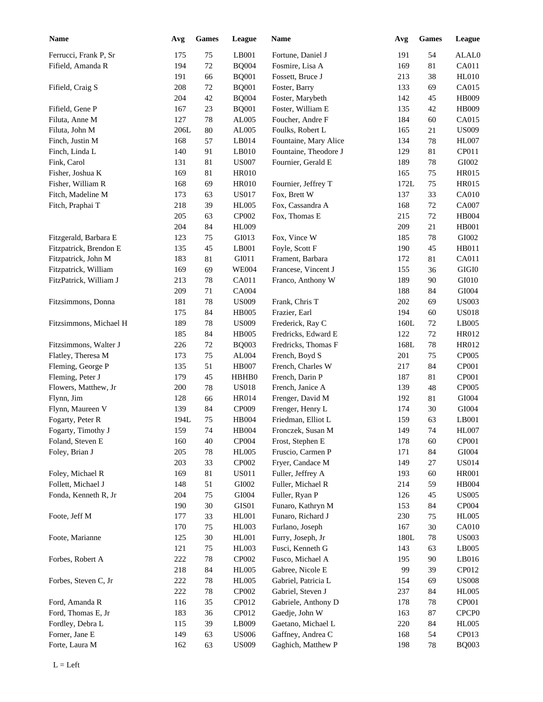| <b>Name</b>                        | Avg  | <b>Games</b> | League        | Name                                    | Avg  | <b>Games</b> | League            |
|------------------------------------|------|--------------|---------------|-----------------------------------------|------|--------------|-------------------|
| Ferrucci, Frank P, Sr              | 175  | 75           | LB001         | Fortune, Daniel J                       | 191  | 54           | ALAL0             |
| Fifield, Amanda R                  | 194  | $72\,$       | <b>BQ004</b>  | Fosmire, Lisa A                         | 169  | 81           | CA011             |
|                                    | 191  | 66           | <b>BQ001</b>  | Fossett, Bruce J                        | 213  | 38           | <b>HL010</b>      |
| Fifield, Craig S                   | 208  | 72           | <b>BQ001</b>  | Foster, Barry                           | 133  | 69           | CA015             |
|                                    | 204  | 42           | <b>BQ004</b>  | Foster, Marybeth                        | 142  | 45           | HB009             |
| Fifield, Gene P                    | 167  | 23           | <b>BQ001</b>  | Foster, William E                       | 135  | 42           | HB009             |
| Filuta, Anne M                     | 127  | 78           | AL005         | Foucher, Andre F                        | 184  | 60           | CA015             |
| Filuta, John M                     | 206L | 80           | AL005         | Foulks, Robert L                        | 165  | 21           | <b>US009</b>      |
| Finch, Justin M                    | 168  | 57           | LB014         | Fountaine, Mary Alice                   | 134  | 78           | <b>HL007</b>      |
| Finch, Linda L                     | 140  | 91           | LB010         | Fountaine, Theodore J                   | 129  | 81           | CP011             |
| Fink, Carol                        | 131  | 81           | <b>US007</b>  | Fournier, Gerald E                      | 189  | $78\,$       | GI002             |
| Fisher, Joshua K                   | 169  | 81           | <b>HR010</b>  |                                         | 165  | 75           | <b>HR015</b>      |
| Fisher, William R                  | 168  | 69           | <b>HR010</b>  | Fournier, Jeffrey T                     | 172L | 75           | <b>HR015</b>      |
| Fitch, Madeline M                  | 173  | 63           | <b>US017</b>  | Fox, Brett W                            | 137  | 33           | <b>CA010</b>      |
| Fitch, Praphai T                   | 218  | 39           | <b>HL005</b>  | Fox, Cassandra A                        | 168  | 72           | CA007             |
|                                    | 205  | 63           | CP002         | Fox, Thomas E                           | 215  | 72           | <b>HB004</b>      |
|                                    | 204  | 84           | HL009         |                                         | 209  | 21           | <b>HB001</b>      |
| Fitzgerald, Barbara E              | 123  | 75           | GI013         | Fox, Vince W                            | 185  | 78           | GI002             |
| Fitzpatrick, Brendon E             | 135  | 45           | LB001         | Foyle, Scott F                          | 190  | 45           | HB011             |
| Fitzpatrick, John M                | 183  | 81           | GI011         | Frament, Barbara                        | 172  | 81           | CA011             |
| Fitzpatrick, William               | 169  | 69           | <b>WE004</b>  | Francese, Vincent J                     | 155  | 36           | $\rm GIGI0$       |
| FitzPatrick, William J             | 213  | 78           | CA011         | Franco, Anthony W                       | 189  | 90           | GI010             |
|                                    | 209  | 71           | CA004         |                                         | 188  | 84           | GI004             |
| Fitzsimmons, Donna                 | 181  | 78           | <b>US009</b>  | Frank, Chris T                          | 202  | 69           | <b>US003</b>      |
|                                    | 175  | 84           | <b>HB005</b>  | Frazier, Earl                           | 194  | 60           | <b>US018</b>      |
| Fitzsimmons, Michael H             | 189  | 78           | <b>US009</b>  | Frederick, Ray C                        | 160L | $72\,$       | LB005             |
|                                    | 185  | 84           | <b>HB005</b>  | Fredricks, Edward E                     | 122  | $72\,$       | HR012             |
| Fitzsimmons, Walter J              | 226  | 72           | <b>BQ003</b>  | Fredricks, Thomas F                     | 168L | $78\,$       | HR012             |
| Flatley, Theresa M                 | 173  | 75           | AL004         | French, Boyd S                          | 201  | 75           | CP005             |
| Fleming, George P                  | 135  | 51           | <b>HB007</b>  | French, Charles W                       | 217  | 84           | CP001             |
| Fleming, Peter J                   | 179  | 45           | HBHB0         | French, Darin P                         | 187  | 81           | CP001             |
| Flowers, Matthew, Jr               | 200  | 78           | <b>US018</b>  | French, Janice A                        | 139  | 48           | CP005             |
| Flynn, Jim                         | 128  | 66           | HR014         | Frenger, David M                        | 192  | 81           | GI004             |
| Flynn, Maureen V                   | 139  | 84           | CP009         | Frenger, Henry L                        | 174  | 30           | GI004             |
| Fogarty, Peter R                   | 194L | 75           | <b>HB004</b>  | Friedman, Elliot L                      | 159  | 63           | LB001             |
| Fogarty, Timothy J                 | 159  | 74           | HB004         | Fronczek, Susan M                       | 149  | 74           | HL007             |
| Foland, Steven E                   | 160  | 40           | CP004         | Frost, Stephen E                        | 178  | 60           | CP001             |
| Foley, Brian J                     | 205  | $78\,$       | <b>HL005</b>  | Fruscio, Carmen P                       | 171  | 84           | GI004             |
|                                    | 203  | 33           | CP002         | Fryer, Candace M                        | 149  | 27           | <b>US014</b>      |
| Foley, Michael R                   | 169  | 81           | <b>US011</b>  | Fuller, Jeffrey A                       | 193  | 60           | <b>HR001</b>      |
| Follett, Michael J                 | 148  | 51           | ${\rm GIO}02$ | Fuller, Michael R                       | 214  | 59           | <b>HB004</b>      |
| Fonda, Kenneth R, Jr               | 204  | 75           | GI004         | Fuller, Ryan P                          | 126  | 45           | <b>US005</b>      |
|                                    | 190  | $30\,$       | GIS01         | Funaro, Kathryn M                       | 153  | 84           | CP004             |
| Foote, Jeff M                      | 177  | 33           | HL001         | Funaro, Richard J                       | 230  | 75           | <b>HL005</b>      |
|                                    | 170  | 75           | HL003         | Furlano, Joseph                         | 167  | $30\,$       | CA010             |
| Foote, Marianne                    | 125  | $30\,$       | HL001         | Furry, Joseph, Jr                       | 180L | 78           | <b>US003</b>      |
|                                    | 121  | 75           | HL003         | Fusci, Kenneth G                        | 143  | 63           | LB005             |
| Forbes, Robert A                   | 222  | $78\,$       | CP002         | Fusco, Michael A                        | 195  | $90\,$       | LB016             |
|                                    | 218  | 84           | <b>HL005</b>  | Gabree, Nicole E                        | 99   | 39           | CP012             |
| Forbes, Steven C, Jr               | 222  | $78\,$       | <b>HL005</b>  | Gabriel, Patricia L                     | 154  | 69           | <b>US008</b>      |
|                                    | 222  | $78\,$       | CP002         | Gabriel, Steven J                       | 237  | 84           | HL005             |
| Ford, Amanda R                     | 116  | 35           | CP012         | Gabriele, Anthony D                     | 178  | $78\,$       | CP001             |
| Ford, Thomas E, Jr                 |      |              |               | Gaedje, John W                          |      |              | CPCP <sub>0</sub> |
|                                    | 183  | 36<br>39     | CP012         |                                         | 163  | $87\,$       |                   |
| Fordley, Debra L<br>Forner, Jane E | 115  |              | LB009         | Gaetano, Michael L<br>Gaffney, Andrea C | 220  | 84           | HL005<br>CP013    |
|                                    | 149  | 63           | <b>US006</b>  |                                         | 168  | 54           |                   |
| Forte, Laura M                     | 162  | 63           | <b>US009</b>  | Gaghich, Matthew P                      | 198  | $78\,$       | <b>BQ003</b>      |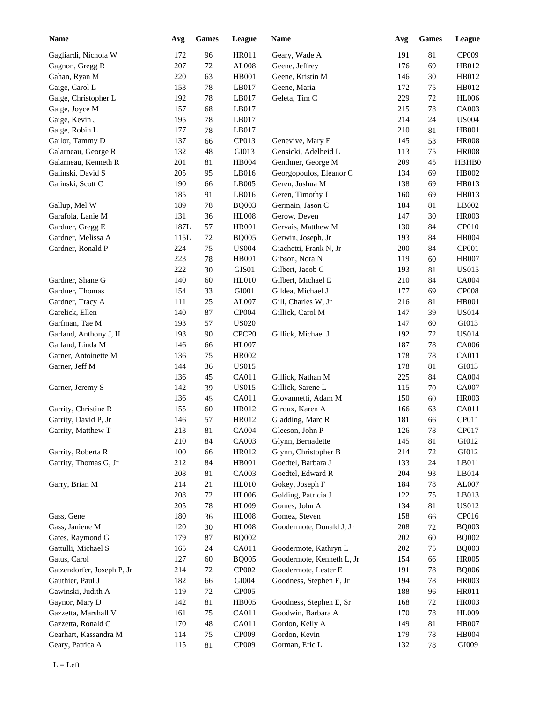| <b>Name</b>                | Avg  | <b>Games</b> | League            | <b>Name</b>               | Avg | <b>Games</b> | League       |
|----------------------------|------|--------------|-------------------|---------------------------|-----|--------------|--------------|
| Gagliardi, Nichola W       | 172  | 96           | <b>HR011</b>      | Geary, Wade A             | 191 | 81           | CP009        |
| Gagnon, Gregg R            | 207  | $72\,$       | AL008             | Geene, Jeffrey            | 176 | 69           | HB012        |
| Gahan, Ryan M              | 220  | 63           | <b>HB001</b>      | Geene, Kristin M          | 146 | 30           | HB012        |
| Gaige, Carol L             | 153  | 78           | LB017             | Geene, Maria              | 172 | 75           | HB012        |
| Gaige, Christopher L       | 192  | 78           | LB017             | Geleta, Tim C             | 229 | 72           | <b>HL006</b> |
| Gaige, Joyce M             | 157  | 68           | LB017             |                           | 215 | 78           | CA003        |
| Gaige, Kevin J             | 195  | 78           | LB017             |                           | 214 | 24           | <b>US004</b> |
| Gaige, Robin L             | 177  | 78           | LB017             |                           | 210 | 81           | <b>HB001</b> |
| Gailor, Tammy D            | 137  | 66           | CP013             | Genevive, Mary E          | 145 | 53           | <b>HR008</b> |
| Galarneau, George R        | 132  | 48           | GI013             | Gensicki, Adelheid L      | 113 | 75           | <b>HR008</b> |
| Galarneau, Kenneth R       | 201  | 81           | <b>HB004</b>      | Genthner, George M        | 209 | 45           | HBHB0        |
| Galinski, David S          | 205  | 95           | LB016             | Georgopoulos, Eleanor C   | 134 | 69           | HB002        |
| Galinski, Scott C          | 190  | 66           | LB005             | Geren, Joshua M           | 138 | 69           | HB013        |
|                            | 185  | 91           | LB016             | Geren, Timothy J          | 160 | 69           | HB013        |
| Gallup, Mel W              | 189  | 78           | <b>BQ003</b>      | Germain, Jason C          | 184 | 81           | LB002        |
| Garafola, Lanie M          | 131  | 36           | <b>HL008</b>      | Gerow, Deven              | 147 | 30           | <b>HR003</b> |
| Gardner, Gregg E           | 187L | 57           | <b>HR001</b>      | Gervais, Matthew M        | 130 | 84           | CP010        |
| Gardner, Melissa A         | 115L | $72\,$       | <b>BQ005</b>      | Gerwin, Joseph, Jr        | 193 | 84           | <b>HB004</b> |
| Gardner, Ronald P          | 224  | 75           | <b>US004</b>      | Giachetti, Frank N, Jr    | 200 | 84           | <b>CP001</b> |
|                            | 223  | 78           | <b>HB001</b>      | Gibson, Nora N            | 119 | 60           | <b>HB007</b> |
|                            | 222  | 30           | GIS01             | Gilbert, Jacob C          | 193 | 81           | US015        |
| Gardner, Shane G           | 140  | 60           | <b>HL010</b>      | Gilbert, Michael E        | 210 | 84           | CA004        |
| Gardner, Thomas            | 154  | 33           | GI001             | Gildea, Michael J         | 177 | 69           | <b>CP008</b> |
| Gardner, Tracy A           | 111  | $25\,$       | AL007             | Gill, Charles W, Jr       | 216 | 81           | HB001        |
| Garelick, Ellen            | 140  | 87           | CP004             | Gillick, Carol M          | 147 | 39           | <b>US014</b> |
| Garfman, Tae M             | 193  | 57           | <b>US020</b>      |                           | 147 | 60           | GI013        |
| Garland, Anthony J, II     | 193  | 90           | CPCP <sub>0</sub> | Gillick, Michael J        | 192 | 72           | <b>US014</b> |
| Garland, Linda M           | 146  | 66           | HL007             |                           | 187 | 78           | CA006        |
| Garner, Antoinette M       | 136  | $75\,$       | HR002             |                           | 178 | 78           | CA011        |
| Garner, Jeff M             | 144  | 36           | <b>US015</b>      |                           | 178 | 81           | GI013        |
|                            | 136  | 45           | CA011             | Gillick, Nathan M         | 225 | 84           | CA004        |
| Garner, Jeremy S           | 142  | 39           | <b>US015</b>      | Gillick, Sarene L         | 115 | 70           | CA007        |
|                            | 136  | 45           | CA011             | Giovannetti, Adam M       | 150 | 60           | <b>HR003</b> |
| Garrity, Christine R       | 155  | 60           | HR012             | Giroux, Karen A           | 166 | 63           | CA011        |
| Garrity, David P, Jr       | 146  | 57           | HR012             | Gladding, Marc R          | 181 | 66           | CP011        |
| Garrity, Matthew T         | 213  | $81\,$       | CA004             | Gleeson, John P           | 126 | 78           | CP017        |
|                            | 210  | 84           | CA003             | Glynn, Bernadette         | 145 | 81           | GI012        |
| Garrity, Roberta R         | 100  | 66           | HR012             | Glynn, Christopher B      | 214 | 72           | GI012        |
| Garrity, Thomas G, Jr      | 212  | 84           | <b>HB001</b>      | Goedtel, Barbara J        | 133 | 24           | LB011        |
|                            | 208  | 81           | CA003             | Goedtel, Edward R         | 204 | 93           | LB014        |
| Garry, Brian M             | 214  | 21           | <b>HL010</b>      | Gokey, Joseph F           | 184 | 78           | AL007        |
|                            | 208  | $72\,$       | <b>HL006</b>      | Golding, Patricia J       | 122 | 75           | LB013        |
|                            | 205  | 78           | <b>HL009</b>      | Gomes, John A             | 134 | 81           | <b>US012</b> |
| Gass, Gene                 | 180  | 36           | <b>HL008</b>      | Gomez, Steven             | 158 | 66           | CP016        |
| Gass, Janiene M            | 120  | $30\,$       | <b>HL008</b>      | Goodermote, Donald J, Jr  | 208 | 72           | <b>BQ003</b> |
| Gates, Raymond G           | 179  | $87\,$       | <b>BQ002</b>      |                           | 202 | 60           | <b>BQ002</b> |
| Gattulli, Michael S        | 165  | 24           | CA011             | Goodermote, Kathryn L     | 202 | 75           | <b>BQ003</b> |
| Gatus, Carol               | 127  | 60           | <b>BQ005</b>      | Goodermote, Kenneth L, Jr | 154 | 66           | <b>HR005</b> |
| Gatzendorfer, Joseph P, Jr | 214  | $72\,$       | CP002             | Goodermote, Lester E      | 191 | 78           | <b>BQ006</b> |
| Gauthier, Paul J           | 182  | 66           | GI004             | Goodness, Stephen E, Jr   | 194 | 78           | <b>HR003</b> |
| Gawinski, Judith A         | 119  | $72\,$       | CP005             |                           | 188 | 96           | <b>HR011</b> |
| Gaynor, Mary D             | 142  | 81           | <b>HB005</b>      | Goodness, Stephen E, Sr   | 168 | 72           | <b>HR003</b> |
| Gazzetta, Marshall V       | 161  | 75           | CA011             | Goodwin, Barbara A        | 170 | 78           | <b>HL009</b> |
| Gazzetta, Ronald C         | 170  | $\sqrt{48}$  | CA011             | Gordon, Kelly A           | 149 | 81           | <b>HB007</b> |
| Gearhart, Kassandra M      | 114  | $75\,$       | CP009             | Gordon, Kevin             | 179 | 78           | HB004        |
| Geary, Patrica A           | 115  | 81           | CP009             | Gorman, Eric L            | 132 | 78           | GI009        |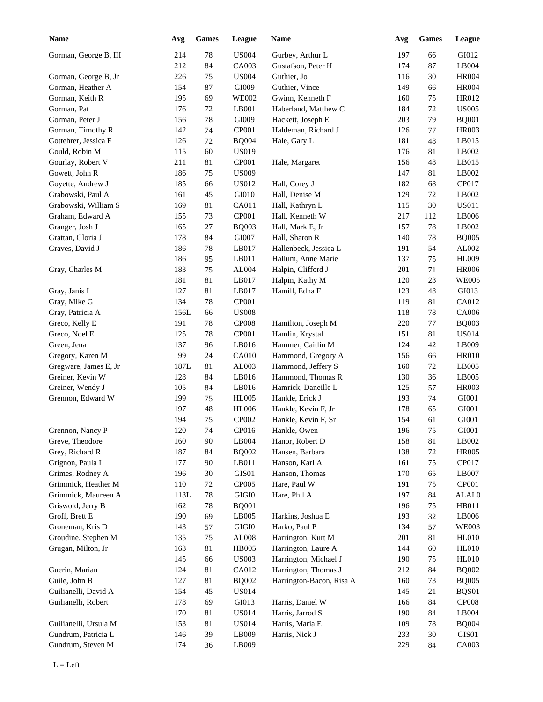| <b>Name</b>           | Avg  | ${\bf Games}$ | League        | Name                     | Avg | Games  | League         |
|-----------------------|------|---------------|---------------|--------------------------|-----|--------|----------------|
| Gorman, George B, III | 214  | 78            | <b>US004</b>  | Gurbey, Arthur L         | 197 | 66     | GI012          |
|                       | 212  | 84            | CA003         | Gustafson, Peter H       | 174 | 87     | LB004          |
| Gorman, George B, Jr  | 226  | 75            | <b>US004</b>  | Guthier, Jo              | 116 | 30     | <b>HR004</b>   |
| Gorman, Heather A     | 154  | 87            | GI009         | Guthier, Vince           | 149 | 66     | <b>HR004</b>   |
| Gorman, Keith R       | 195  | 69            | <b>WE002</b>  | Gwinn, Kenneth F         | 160 | 75     | HR012          |
| Gorman, Pat           | 176  | 72            | LB001         | Haberland, Matthew C     | 184 | 72     | <b>US005</b>   |
| Gorman, Peter J       | 156  | 78            | GI009         | Hackett, Joseph E        | 203 | 79     | <b>BQ001</b>   |
| Gorman, Timothy R     | 142  | 74            | CP001         | Haldeman, Richard J      | 126 | 77     | <b>HR003</b>   |
| Gottehrer, Jessica F  | 126  | $72\,$        | <b>BQ004</b>  | Hale, Gary L             | 181 | 48     | LB015          |
| Gould, Robin M        | 115  | 60            | <b>US019</b>  |                          | 176 | 81     | LB002          |
| Gourlay, Robert V     | 211  | 81            | CP001         | Hale, Margaret           | 156 | 48     | LB015          |
| Gowett, John R        | 186  | 75            | <b>US009</b>  |                          | 147 | 81     | LB002          |
| Goyette, Andrew J     | 185  | 66            | US012         | Hall, Corey J            | 182 | 68     | CP017          |
| Grabowski, Paul A     | 161  | 45            | GI010         | Hall, Denise M           | 129 | 72     | LB002          |
| Grabowski, William S  | 169  | 81            | CA011         | Hall, Kathryn L          | 115 | 30     | <b>US011</b>   |
|                       | 155  |               |               |                          |     |        |                |
| Graham, Edward A      |      | 73            | CP001         | Hall, Kenneth W          | 217 | 112    | LB006<br>LB002 |
| Granger, Josh J       | 165  | 27            | <b>BQ003</b>  | Hall, Mark E, Jr         | 157 | 78     |                |
| Grattan, Gloria J     | 178  | 84            | GI007         | Hall, Sharon R           | 140 | 78     | <b>BQ005</b>   |
| Graves, David J       | 186  | 78            | LB017         | Hallenbeck, Jessica L    | 191 | 54     | AL002          |
|                       | 186  | 95            | LB011         | Hallum, Anne Marie       | 137 | 75     | <b>HL009</b>   |
| Gray, Charles M       | 183  | 75            | AL004         | Halpin, Clifford J       | 201 | 71     | <b>HR006</b>   |
|                       | 181  | 81            | LB017         | Halpin, Kathy M          | 120 | 23     | <b>WE005</b>   |
| Gray, Janis I         | 127  | 81            | LB017         | Hamill, Edna F           | 123 | $48\,$ | GI013          |
| Gray, Mike G          | 134  | 78            | CP001         |                          | 119 | 81     | CA012          |
| Gray, Patricia A      | 156L | 66            | <b>US008</b>  |                          | 118 | 78     | <b>CA006</b>   |
| Greco, Kelly E        | 191  | 78            | <b>CP008</b>  | Hamilton, Joseph M       | 220 | 77     | <b>BQ003</b>   |
| Greco, Noel E         | 125  | 78            | CP001         | Hamlin, Krystal          | 151 | 81     | <b>US014</b>   |
| Green, Jena           | 137  | 96            | LB016         | Hammer, Caitlin M        | 124 | 42     | LB009          |
| Gregory, Karen M      | 99   | 24            | CA010         | Hammond, Gregory A       | 156 | 66     | <b>HR010</b>   |
| Gregware, James E, Jr | 187L | $81\,$        | AL003         | Hammond, Jeffery S       | 160 | 72     | LB005          |
| Greiner, Kevin W      | 128  | 84            | LB016         | Hammond, Thomas R        | 130 | 36     | LB005          |
| Greiner, Wendy J      | 105  | 84            | LB016         | Hamrick, Daneille L      | 125 | 57     | <b>HR003</b>   |
| Grennon, Edward W     | 199  | 75            | <b>HL005</b>  | Hankle, Erick J          | 193 | 74     | GI001          |
|                       | 197  | 48            | <b>HL006</b>  | Hankle, Kevin F, Jr      | 178 | 65     | GI001          |
|                       | 194  | 75            | CP002         | Hankle, Kevin F, Sr      | 154 | 61     | GI001          |
| Grennon, Nancy P      | 120  | $74\,$        | CP016         | Hankle, Owen             | 196 | $75\,$ | GI001          |
| Greve, Theodore       | 160  | $90\,$        | LB004         | Hanor, Robert D          | 158 | 81     | LB002          |
| Grey, Richard R       | 187  | 84            | <b>BQ002</b>  | Hansen, Barbara          | 138 | $72\,$ | <b>HR005</b>   |
| Grignon, Paula L      | 177  | $90\,$        | LB011         | Hanson, Karl A           | 161 | 75     | CP017          |
| Grimes, Rodney A      | 196  | $30\,$        | GIS01         | Hanson, Thomas           | 170 | 65     | LB007          |
| Grimmick, Heather M   |      |               | CP005         | Hare, Paul W             |     |        | CP001          |
| Grimmick, Maureen A   | 110  | 72            |               |                          | 191 | 75     |                |
|                       | 113L | $78\,$        | $\rm GIGI0$   | Hare, Phil A             | 197 | 84     | ALAL0          |
| Griswold, Jerry B     | 162  | 78            | <b>BQ001</b>  |                          | 196 | 75     | HB011          |
| Groff, Brett E        | 190  | 69            | LB005         | Harkins, Joshua E        | 193 | $32\,$ | LB006          |
| Groneman, Kris D      | 143  | 57            | $\rm GIGI0$   | Harko, Paul P            | 134 | 57     | <b>WE003</b>   |
| Groudine, Stephen M   | 135  | 75            | ${\rm AL008}$ | Harrington, Kurt M       | 201 | 81     | HL010          |
| Grugan, Milton, Jr    | 163  | $81\,$        | <b>HB005</b>  | Harrington, Laure A      | 144 | 60     | HL010          |
|                       | 145  | 66            | <b>US003</b>  | Harrington, Michael J    | 190 | 75     | <b>HL010</b>   |
| Guerin, Marian        | 124  | $81\,$        | CA012         | Harrington, Thomas J     | 212 | 84     | <b>BQ002</b>   |
| Guile, John B         | 127  | 81            | <b>BQ002</b>  | Harrington-Bacon, Risa A | 160 | 73     | <b>BQ005</b>   |
| Guilianelli, David A  | 154  | 45            | <b>US014</b>  |                          | 145 | 21     | BQS01          |
| Guilianelli, Robert   | 178  | 69            | GI013         | Harris, Daniel W         | 166 | 84     | CP008          |
|                       | 170  | 81            | <b>US014</b>  | Harris, Jarrod S         | 190 | 84     | LB004          |
| Guilianelli, Ursula M | 153  | 81            | <b>US014</b>  | Harris, Maria E          | 109 | $78\,$ | <b>BQ004</b>   |
| Gundrum, Patricia L   | 146  | 39            | LB009         | Harris, Nick J           | 233 | 30     | GIS01          |
| Gundrum, Steven M     | 174  | 36            | LB009         |                          | 229 | 84     | CA003          |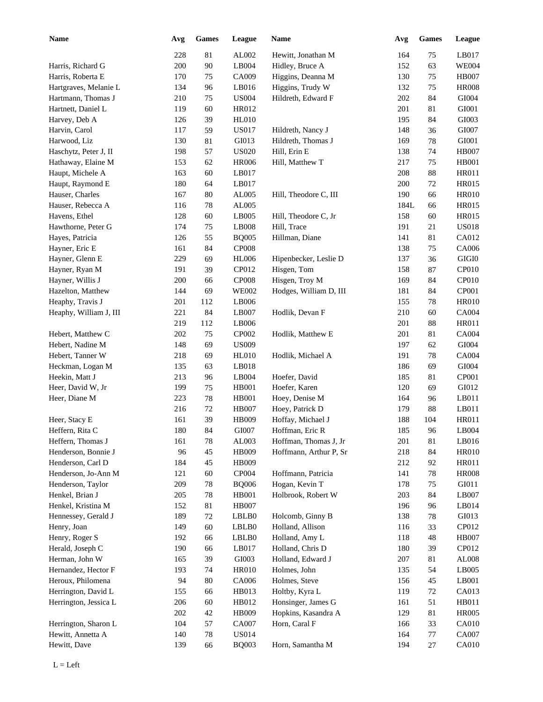| <b>Name</b>            | Avg | <b>Games</b> | League       | Name                   | Avg        | <b>Games</b> | <b>League</b> |
|------------------------|-----|--------------|--------------|------------------------|------------|--------------|---------------|
|                        | 228 | 81           | AL002        | Hewitt, Jonathan M     | 164        | 75           | LB017         |
| Harris, Richard G      | 200 | 90           | LB004        | Hidley, Bruce A        | 152        | 63           | <b>WE004</b>  |
| Harris, Roberta E      | 170 | 75           | CA009        | Higgins, Deanna M      | 130        | 75           | <b>HB007</b>  |
| Hartgraves, Melanie L  | 134 | 96           | LB016        | Higgins, Trudy W       | 132        | 75           | <b>HR008</b>  |
| Hartmann, Thomas J     | 210 | 75           | <b>US004</b> | Hildreth, Edward F     | 202        | 84           | GI004         |
| Hartnett, Daniel L     | 119 | 60           | HR012        |                        | 201        | 81           | GI001         |
| Harvey, Deb A          | 126 | 39           | HL010        |                        | 195        | 84           | GI003         |
| Harvin, Carol          | 117 | 59           | <b>US017</b> | Hildreth, Nancy J      | 148        | 36           | GI007         |
| Harwood, Liz           | 130 | 81           | GI013        | Hildreth, Thomas J     | 169        | 78           | GI001         |
| Haschytz, Peter J, II  | 198 | 57           | <b>US020</b> | Hill, Erin E           | 138        | 74           | <b>HB007</b>  |
| Hathaway, Elaine M     | 153 | 62           | <b>HR006</b> | Hill, Matthew T        | 217        | 75           | <b>HB001</b>  |
| Haupt, Michele A       | 163 | 60           | LB017        |                        | 208        | 88           | <b>HR011</b>  |
| Haupt, Raymond E       | 180 | 64           | LB017        |                        | 200        | 72           | <b>HR015</b>  |
| Hauser, Charles        | 167 | 80           | AL005        | Hill, Theodore C, III  | 190        | 66           | <b>HR010</b>  |
| Hauser, Rebecca A      | 116 | 78           | AL005        |                        | 184L       | 66           | <b>HR015</b>  |
| Havens, Ethel          | 128 | 60           | LB005        | Hill, Theodore C, Jr   | 158        | 60           | <b>HR015</b>  |
| Hawthorne, Peter G     | 174 | 75           | LB008        | Hill, Trace            | 191        | 21           | <b>US018</b>  |
| Hayes, Patricia        | 126 | 55           | <b>BQ005</b> | Hillman, Diane         | 141        | 81           | CA012         |
| Hayner, Eric E         | 161 | 84           | <b>CP008</b> |                        | 138        | 75           | CA006         |
| Hayner, Glenn E        | 229 | 69           | <b>HL006</b> | Hipenbecker, Leslie D  | 137        | 36           | $\rm GIGI0$   |
| Hayner, Ryan M         | 191 | 39           | CP012        | Hisgen, Tom            | 158        | 87           | CP010         |
| Hayner, Willis J       | 200 | 66           | <b>CP008</b> | Hisgen, Troy M         | 169        | 84           | CP010         |
| Hazelton, Matthew      | 144 | 69           | <b>WE002</b> | Hodges, William D, III | 181        | 84           | CP001         |
| Heaphy, Travis J       | 201 | 112          | LB006        |                        | 155        | 78           | <b>HR010</b>  |
| Heaphy, William J, III | 221 | 84           | LB007        | Hodlik, Devan F        | 210        | 60           | <b>CA004</b>  |
|                        | 219 | 112          | LB006        |                        | 201        | 88           | <b>HR011</b>  |
| Hebert, Matthew C      | 202 | 75           | CP002        | Hodlik, Matthew E      | 201        | 81           | CA004         |
| Hebert, Nadine M       | 148 | 69           | <b>US009</b> |                        | 197        | 62           | GI004         |
| Hebert, Tanner W       | 218 | 69           | <b>HL010</b> | Hodlik, Michael A      | 191        | 78           | CA004         |
| Heckman, Logan M       | 135 | 63           | LB018        |                        | 186        | 69           | GI004         |
| Heekin, Matt J         | 213 | 96           | LB004        | Hoefer, David          | 185        | 81           | CP001         |
| Heer, David W, Jr      | 199 | 75           | <b>HB001</b> | Hoefer, Karen          | 120        | 69           | GI012         |
| Heer, Diane M          | 223 | 78           | <b>HB001</b> | Hoey, Denise M         | 164        | 96           | LB011         |
|                        | 216 | $72\,$       | <b>HB007</b> | Hoey, Patrick D        | 179        | 88           | LB011         |
| Heer, Stacy E          | 161 | 39           | HB009        | Hoffay, Michael J      | 188        | 104          | HR011         |
| Heffern, Rita C        | 180 | 84           | GI007        | Hoffman, Eric R        | 185        | 96           | LB004         |
| Heffern, Thomas J      | 161 | 78           | AL003        | Hoffman, Thomas J, Jr  | 201        | 81           | LB016         |
| Henderson, Bonnie J    | 96  | 45           | HB009        | Hoffmann, Arthur P, Sr | 218        | 84           | <b>HR010</b>  |
| Henderson, Carl D      | 184 | 45           | HB009        |                        | 212        | 92           | HR011         |
| Henderson, Jo-Ann M    | 121 | 60           | CP004        | Hoffmann, Patricia     | 141        | 78           | <b>HR008</b>  |
| Henderson, Taylor      | 209 | $78\,$       | <b>BQ006</b> | Hogan, Kevin T         | 178        | 75           | GI011         |
| Henkel, Brian J        | 205 | $78\,$       | HB001        | Holbrook, Robert W     | 203        | 84           | LB007         |
| Henkel, Kristina M     | 152 | 81           | <b>HB007</b> |                        | 196        | 96           | LB014         |
| Hennessey, Gerald J    | 189 | 72           | LBLB0        | Holcomb, Ginny B       | 138        | 78           | GI013         |
| Henry, Joan            | 149 | 60           | LBLB0        | Holland, Allison       | 116        | 33           | CP012         |
| Henry, Roger S         | 192 | 66           | LBLB0        | Holland, Amy L         | 118        | 48           | HB007         |
| Herald, Joseph C       | 190 | 66           | LB017        | Holland, Chris D       | 180        | 39           | CP012         |
| Herman, John W         | 165 | 39           | GI003        | Holland, Edward J      | 207        | 81           | AL008         |
| Hernandez, Hector F    | 193 | 74           | <b>HR010</b> | Holmes, John           | 135        | 54           | LB005         |
| Heroux, Philomena      | 94  | $80\,$       | CA006        | Holmes, Steve          | 156        | 45           | $L$ B001      |
| Herrington, David L    | 155 | 66           | HB013        | Holtby, Kyra L         | 119        | $72\,$       | CA013         |
| Herrington, Jessica L  | 206 | 60           | HB012        | Honsinger, James G     | 161        | 51           | HB011         |
|                        | 202 | 42           | HB009        | Hopkins, Kasandra A    | 129        | 81           | <b>HR005</b>  |
| Herrington, Sharon L   | 104 | 57           | CA007        | Horn, Caral F          |            | 33           | <b>CA010</b>  |
| Hewitt, Annetta A      | 140 |              | <b>US014</b> |                        | 166<br>164 |              | CA007         |
|                        |     | $78\,$       |              |                        |            | 77           |               |
| Hewitt, Dave           | 139 | 66           | <b>BQ003</b> | Horn, Samantha M       | 194        | 27           | CA010         |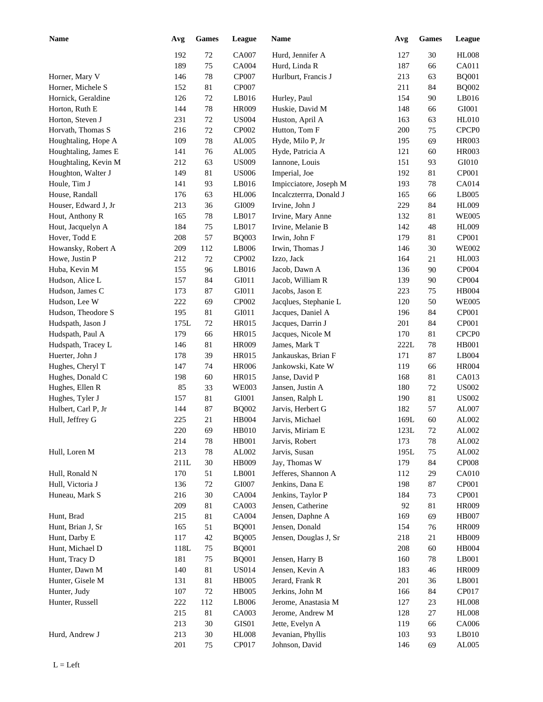| <b>Name</b>                            | Avg         | <b>Games</b> | League       | Name                                   | Avg             | <b>Games</b> | League            |
|----------------------------------------|-------------|--------------|--------------|----------------------------------------|-----------------|--------------|-------------------|
|                                        | 192         | 72           | <b>CA007</b> | Hurd, Jennifer A                       | 127             | 30           | <b>HL008</b>      |
|                                        | 189         | 75           | <b>CA004</b> | Hurd, Linda R                          | 187             | 66           | CA011             |
| Horner, Mary V                         | 146         | 78           | CP007        | Hurlburt, Francis J                    | 213             | 63           | <b>BQ001</b>      |
| Horner, Michele S                      | 152         | 81           | CP007        |                                        | 211             | 84           | <b>BQ002</b>      |
| Hornick, Geraldine                     | 126         | 72           | LB016        | Hurley, Paul                           | 154             | 90           | LB016             |
| Horton, Ruth E                         | 144         | 78           | <b>HR009</b> | Huskie, David M                        | 148             | 66           | GI001             |
| Horton, Steven J                       | 231         | $72\,$       | <b>US004</b> | Huston, April A                        | 163             | 63           | <b>HL010</b>      |
| Horvath, Thomas S                      | 216         | $72\,$       | CP002        | Hutton, Tom F                          | 200             | 75           | CPCP <sub>0</sub> |
| Houghtaling, Hope A                    | 109         | 78           | AL005        | Hyde, Milo P, Jr                       | 195             | 69           | <b>HR003</b>      |
| Houghtaling, James E                   | 141         | 76           | AL005        | Hyde, Patricia A                       | 121             | 60           | <b>HR003</b>      |
| Houghtaling, Kevin M                   | 212         | 63           | <b>US009</b> | Iannone, Louis                         | 151             | 93           | GI010             |
| Houghton, Walter J                     | 149         | 81           | <b>US006</b> | Imperial, Joe                          | 192             | 81           | CP001             |
| Houle, Tim J                           | 141         | 93           | LB016        | Impicciatore, Joseph M                 | 193             | 78           | CA014             |
| House, Randall                         | 176         | 63           | <b>HL006</b> | Incalczterrra, Donald J                | 165             | 66           | LB005             |
| Houser, Edward J, Jr                   | 213         | 36           | GI009        | Irvine, John J                         | 229             | 84           | <b>HL009</b>      |
| Hout, Anthony R                        | 165         | 78           | LB017        | Irvine, Mary Anne                      | 132             | 81           | <b>WE005</b>      |
| Hout, Jacquelyn A                      | 184         | 75           | LB017        | Irvine, Melanie B                      | 142             | 48           | <b>HL009</b>      |
| Hover, Todd E                          | 208         | 57           | <b>BQ003</b> | Irwin, John F                          | 179             | 81           | CP001             |
| Howansky, Robert A                     | 209         | 112          | LB006        | Irwin, Thomas J                        | 146             | 30           | <b>WE002</b>      |
| Howe, Justin P                         | 212         | 72           | CP002        | Izzo, Jack                             | 164             | 21           | <b>HL003</b>      |
| Huba, Kevin M                          | 155         | 96           | LB016        | Jacob, Dawn A                          | 136             | 90           | CP004             |
| Hudson, Alice L                        | 157         | 84           | GI011        | Jacob, William R                       | 139             | 90           | CP004             |
| Hudson, James C                        | 173         | 87           | GI011        | Jacobs, Jason E                        | 223             | 75           | HB004             |
| Hudson, Lee W                          | 222         | 69           | CP002        | Jacqlues, Stephanie L                  | 120             | 50           | <b>WE005</b>      |
| Hudson, Theodore S                     | 195         | 81           | GI011        | Jacques, Daniel A                      | 196             | 84           | CP001             |
| Hudspath, Jason J                      | 175L        | 72           | <b>HR015</b> | Jacques, Darrin J                      | 201             | 84           | CP001             |
| Hudspath, Paul A                       | 179         | 66           | <b>HR015</b> | Jacques, Nicole M                      | 170             | 81           | CPCP <sub>0</sub> |
| Hudspath, Tracey L                     | 146         | 81           | <b>HR009</b> | James, Mark T                          | 222L            | 78           | <b>HB001</b>      |
| Huerter, John J                        | 178         | 39           | <b>HR015</b> | Jankauskas, Brian F                    | 171             | 87           | LB004             |
| Hughes, Cheryl T                       | 147         | 74           | <b>HR006</b> | Jankowski, Kate W                      | 119             | 66           | <b>HR004</b>      |
| Hughes, Donald C                       | 198         | 60           | <b>HR015</b> | Janse, David P                         | 168             | 81           | CA013             |
| Hughes, Ellen R                        | 85          | 33           | <b>WE003</b> | Jansen, Justin A                       | 180             | 72           | <b>US002</b>      |
|                                        | 157         | 81           | GI001        |                                        | 190             | 81           | <b>US002</b>      |
| Hughes, Tyler J<br>Hulbert, Carl P, Jr | 144         | 87           | <b>BQ002</b> | Jansen, Ralph L<br>Jarvis, Herbert G   | 182             | 57           | AL007             |
|                                        | 225         | 21           | <b>HB004</b> | Jarvis, Michael                        | 169L            | 60           | AL002             |
| Hull, Jeffrey G                        | 220         | 69           | HB010        | Jarvis, Miriam E                       | $123\mathrm{L}$ | 72           | AL002             |
|                                        |             |              |              |                                        |                 |              |                   |
|                                        | 214         | 78           | HB001        | Jarvis, Robert                         | 173             | 78           | AL002             |
| Hull, Loren M                          | 213         | $78\,$       | AL002        | Jarvis, Susan                          | 195L            | 75           | AL002             |
|                                        | 211L        | $30\,$       | HB009        | Jay, Thomas W                          | 179             | 84           | <b>CP008</b>      |
| Hull, Ronald N                         | 170         | 51           | LB001        | Jefferes, Shannon A<br>Jenkins, Dana E | 112             | 29           | CA010<br>CP001    |
| Hull, Victoria J                       | 136         | 72<br>$30\,$ | GI007        | Jenkins, Taylor P                      | 198             | 87           | CP001             |
| Huneau, Mark S                         | 216         |              | CA004        | Jensen, Catherine                      | 184             | 73           |                   |
| Hunt, Brad                             | 209         | 81           | CA003        |                                        | 92              | 81           | <b>HR009</b>      |
|                                        | 215         | 81           | CA004        | Jensen, Daphne A                       | 169             | 69           | <b>HB007</b>      |
| Hunt, Brian J, Sr                      | 165         | 51           | <b>BQ001</b> | Jensen, Donald                         | 154             | 76           | <b>HR009</b>      |
| Hunt, Darby E                          | 117<br>118L | 42           | <b>BQ005</b> | Jensen, Douglas J, Sr                  | 218             | 21           | HB009<br>HB004    |
| Hunt, Michael D                        |             | 75           | <b>BQ001</b> |                                        | 208             | 60           |                   |
| Hunt, Tracy D                          | 181         | 75           | <b>BQ001</b> | Jensen, Harry B                        | 160             | 78           | LB001             |
| Hunter, Dawn M                         | 140         | 81           | <b>US014</b> | Jensen, Kevin A                        | 183             | 46           | <b>HR009</b>      |
| Hunter, Gisele M                       | 131         | 81           | <b>HB005</b> | Jerard, Frank R                        | 201             | 36           | LB001             |
| Hunter, Judy                           | 107         | 72           | <b>HB005</b> | Jerkins, John M                        | 166             | 84           | CP017             |
| Hunter, Russell                        | 222         | 112          | LB006        | Jerome, Anastasia M                    | 127             | 23           | HL008             |
|                                        | 215         | 81           | CA003        | Jerome, Andrew M                       | 128             | 27           | HL008             |
|                                        | 213         | $30\,$       | $\rm GIS01$  | Jette, Evelyn A                        | 119             | 66           | CA006             |
| Hurd, Andrew J                         | 213         | $30\,$       | <b>HL008</b> | Jevanian, Phyllis                      | 103             | 93           | $L$ B010          |
|                                        | 201         | 75           | CP017        | Johnson, David                         | 146             | 69           | AL005             |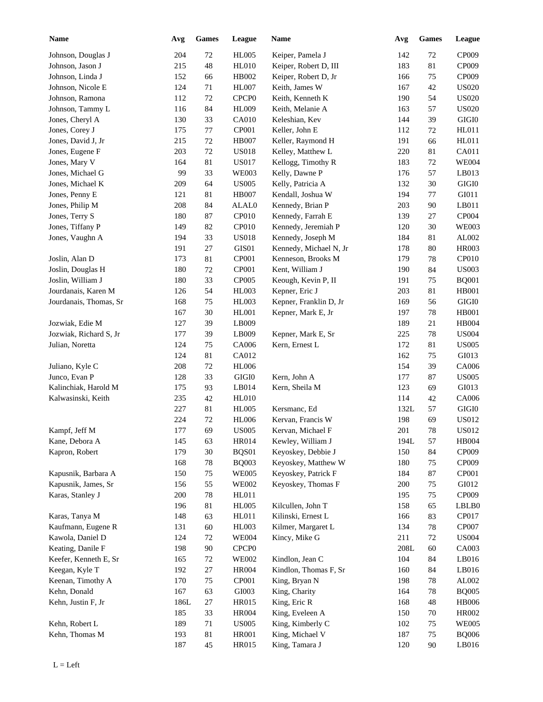| <b>Name</b>                             | Avg        | <b>Games</b> | League                            | Name                   | Avg        | <b>Games</b>     | <b>League</b>  |
|-----------------------------------------|------------|--------------|-----------------------------------|------------------------|------------|------------------|----------------|
| Johnson, Douglas J                      | 204        | $72\,$       | <b>HL005</b>                      | Keiper, Pamela J       | 142        | 72               | CP009          |
| Johnson, Jason J                        | 215        | $\sqrt{48}$  | <b>HL010</b>                      | Keiper, Robert D, III  | 183        | 81               | CP009          |
| Johnson, Linda J                        | 152        | 66           | HB002                             | Keiper, Robert D, Jr   | 166        | 75               | CP009          |
| Johnson, Nicole E                       | 124        | 71           | <b>HL007</b>                      | Keith, James W         | 167        | 42               | <b>US020</b>   |
| Johnson, Ramona                         | 112        | $72\,$       | CPCP <sub>0</sub>                 | Keith, Kenneth K       | 190        | 54               | <b>US020</b>   |
| Johnson, Tammy L                        | 116        | 84           | <b>HL009</b>                      | Keith, Melanie A       | 163        | 57               | <b>US020</b>   |
| Jones, Cheryl A                         | 130        | 33           | CA010                             | Keleshian, Kev         | 144        | 39               | $\rm GIGI0$    |
| Jones, Corey J                          | 175        | $77 \,$      | CP001                             | Keller, John E         | 112        | 72               | HL011          |
| Jones, David J, Jr                      | 215        | $72\,$       | <b>HB007</b>                      | Keller, Raymond H      | 191        | 66               | HL011          |
| Jones, Eugene F                         | 203        | $72\,$       | <b>US018</b>                      | Kelley, Matthew L      | 220        | 81               | CA011          |
| Jones, Mary V                           | 164        | 81           | <b>US017</b>                      | Kellogg, Timothy R     | 183        | 72               | <b>WE004</b>   |
| Jones, Michael G                        | 99         | 33           | <b>WE003</b>                      | Kelly, Dawne P         | 176        | 57               | LB013          |
| Jones, Michael K                        | 209        | 64           | <b>US005</b>                      | Kelly, Patricia A      | 132        | 30               | $\rm GIGI0$    |
| Jones, Penny E                          | 121        | 81           | <b>HB007</b>                      | Kendall, Joshua W      | 194        | 77               | GI011          |
| Jones, Philip M                         | 208        | 84           | ALAL0                             | Kennedy, Brian P       | 203        | 90               | LB011          |
| Jones, Terry S                          | 180        | 87           | CP <sub>010</sub>                 | Kennedy, Farrah E      | 139        | 27               | CP004          |
| Jones, Tiffany P                        | 149        | 82           | CP <sub>010</sub>                 | Kennedy, Jeremiah P    | 120        | 30               | <b>WE003</b>   |
| Jones, Vaughn A                         | 194        | 33           | <b>US018</b>                      | Kennedy, Joseph M      | 184        | 81               | AL002          |
|                                         | 191        | $27\,$       | GIS01                             | Kennedy, Michael N, Jr | 178        | 80               | <b>HR003</b>   |
| Joslin, Alan D                          | 173        | 81           | <b>CP001</b>                      | Kenneson, Brooks M     | 179        | 78               | CP010          |
| Joslin, Douglas H                       | 180        | $72\,$       | CP001                             | Kent, William J        | 190        | 84               | <b>US003</b>   |
| Joslin, William J                       | 180        | 33           | CP005                             | Keough, Kevin P, II    | 191        | 75               | <b>BQ001</b>   |
| Jourdanais, Karen M                     | 126        | 54           | HL003                             | Kepner, Eric J         | 203        | 81               | <b>HB001</b>   |
| Jourdanais, Thomas, Sr                  | 168        | 75           | HL003                             | Kepner, Franklin D, Jr | 169        | 56               | $\rm GIGI0$    |
|                                         | 167        | 30           | HL001                             | Kepner, Mark E, Jr     | 197        | 78               | <b>HB001</b>   |
| Jozwiak, Edie M                         | 127        | 39           | LB009                             |                        | 189        | 21               | HB004          |
| Jozwiak, Richard S, Jr                  | 177        | 39           | LB009                             | Kepner, Mark E, Sr     | 225        | 78               | <b>US004</b>   |
| Julian, Noretta                         | 124        | $75\,$       | CA006                             | Kern, Ernest L         | 172        | 81               | <b>US005</b>   |
|                                         | 124        | $81\,$       | CA012                             |                        | 162        | 75               | GI013          |
| Juliano, Kyle C                         | 208        | $72\,$       | <b>HL006</b>                      |                        | 154        | 39               | CA006          |
| Junco, Evan P                           | 128        | 33           | $\rm GIGI0$                       | Kern, John A           | 177        | 87               | <b>US005</b>   |
| Kalinchiak, Harold M                    | 175        | 93           | LB014                             | Kern, Sheila M         | 123        | 69               | GI013          |
| Kalwasinski, Keith                      | 235        | 42           | <b>HL010</b>                      |                        | 114        | 42               | CA006          |
|                                         | 227        | $81\,$       | <b>HL005</b>                      | Kersmanc, Ed           | 132L       | 57               | $\rm GIGI0$    |
|                                         | 224        | $72\,$       | <b>HL006</b>                      | Kervan, Francis W      | 198        | 69               | <b>US012</b>   |
| Kampf, Jeff M                           | 177        | 69           | $\ensuremath{\mathrm{USO05}}$     | Kervan, Michael F      | $201\,$    | $78\,$           | <b>US012</b>   |
| Kane, Debora A                          | 145        | 63           | HR014                             | Kewley, William J      | 194L       | 57               | HB004          |
| Kapron, Robert                          | 179        | $30\,$       | BQS01                             | Keyoskey, Debbie J     | 150        | 84               | CP009          |
|                                         | 168        | $78\,$       | <b>BQ003</b>                      | Keyoskey, Matthew W    | 180        | $75\,$           | CP009          |
| Kapusnik, Barbara A                     | 150        | $75\,$       | <b>WE005</b>                      | Keyoskey, Patrick F    | 184        | 87               | CP001          |
|                                         |            |              |                                   |                        |            |                  |                |
| Kapusnik, James, Sr<br>Karas, Stanley J | 156<br>200 | 55<br>$78\,$ | <b>WE002</b><br>HL011             | Keyoskey, Thomas F     | 200<br>195 | $75\,$<br>$75\,$ | GI012<br>CP009 |
|                                         | 196        | $81\,$       | <b>HL005</b>                      | Kilcullen, John T      | 158        | 65               | LBLB0          |
| Karas, Tanya M                          | 148        |              | HL011                             | Kilinski, Ernest L     |            |                  | CP017          |
| Kaufmann, Eugene R                      |            | 63<br>60     | <b>HL003</b>                      | Kilmer, Margaret L     | 166        | 83<br>78         | CP007          |
| Kawola, Daniel D                        | 131        |              |                                   | Kincy, Mike G          | 134        |                  | <b>US004</b>   |
|                                         | 124        | 72<br>$90\,$ | <b>WE004</b><br>CPCP <sub>0</sub> |                        | 211        | $72\,$           | CA003          |
| Keating, Danile F                       | 198        |              |                                   |                        | 208L       | 60               |                |
| Keefer, Kenneth E, Sr                   | 165        | $72\,$       | <b>WE002</b>                      | Kindlon, Jean C        | 104        | 84               | LB016          |
| Keegan, Kyle T                          | 192        | $27\,$       | <b>HR004</b>                      | Kindlon, Thomas F, Sr  | 160        | 84               | LB016          |
| Keenan, Timothy A                       | 170        | $75\,$       | CP001                             | King, Bryan N          | 198        | $78\,$           | AL002          |
| Kehn, Donald                            | 167        | 63           | GI003                             | King, Charity          | 164        | 78               | <b>BQ005</b>   |
| Kehn, Justin F, Jr                      | 186L       | $27\,$       | HR015                             | King, Eric R           | 168        | 48               | <b>HB006</b>   |
|                                         | 185        | 33           | <b>HR004</b>                      | King, Eveleen A        | 150        | 70               | HR002          |
| Kehn, Robert L                          | 189        | 71           | <b>US005</b>                      | King, Kimberly C       | 102        | 75               | <b>WE005</b>   |
| Kehn, Thomas M                          | 193        | $81\,$       | HR001                             | King, Michael V        | 187        | 75               | <b>BQ006</b>   |
|                                         | 187        | 45           | HR015                             | King, Tamara J         | 120        | 90               | LB016          |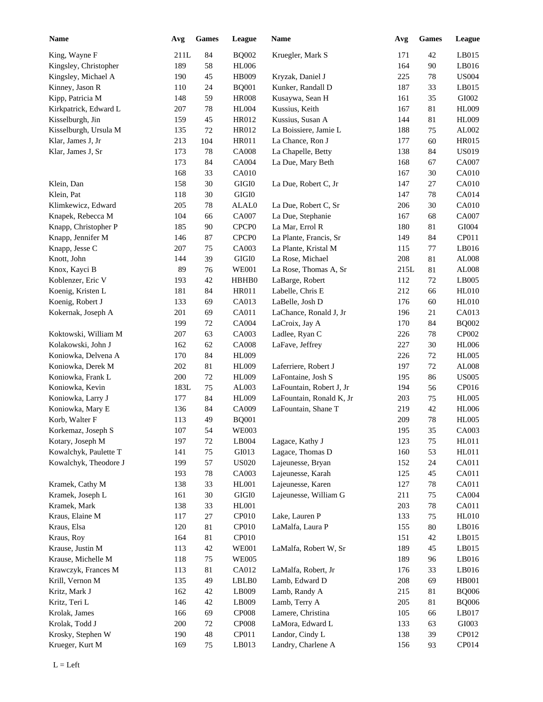| <b>Name</b>           | Avg     | <b>Games</b> | League            | Name                     | Avg  | <b>Games</b> | League       |
|-----------------------|---------|--------------|-------------------|--------------------------|------|--------------|--------------|
| King, Wayne F         | 211L    | 84           | <b>BQ002</b>      | Kruegler, Mark S         | 171  | 42           | LB015        |
| Kingsley, Christopher | 189     | 58           | <b>HL006</b>      |                          | 164  | 90           | LB016        |
| Kingsley, Michael A   | 190     | 45           | HB009             | Kryzak, Daniel J         | 225  | 78           | <b>US004</b> |
| Kinney, Jason R       | 110     | 24           | <b>BQ001</b>      | Kunker, Randall D        | 187  | 33           | LB015        |
| Kipp, Patricia M      | 148     | 59           | <b>HR008</b>      | Kusaywa, Sean H          | 161  | 35           | GI002        |
| Kirkpatrick, Edward L | 207     | 78           | <b>HL004</b>      | Kussius, Keith           | 167  | 81           | <b>HL009</b> |
| Kisselburgh, Jin      | 159     | 45           | HR012             | Kussius, Susan A         | 144  | 81           | <b>HL009</b> |
| Kisselburgh, Ursula M | 135     | 72           | HR012             | La Boissiere, Jamie L    | 188  | 75           | AL002        |
| Klar, James J, Jr     | 213     | 104          | HR011             | La Chance, Ron J         | 177  | 60           | <b>HR015</b> |
| Klar, James J, Sr     | 173     | 78           | <b>CA008</b>      | La Chapelle, Betty       | 138  | 84           | <b>US019</b> |
|                       | 173     | 84           | <b>CA004</b>      | La Due, Mary Beth        | 168  | 67           | CA007        |
|                       | 168     | 33           | <b>CA010</b>      |                          | 167  | 30           | <b>CA010</b> |
| Klein, Dan            | 158     | 30           | $\rm GIGI0$       | La Due, Robert C, Jr     | 147  | 27           | <b>CA010</b> |
| Klein, Pat            | 118     | 30           | $\rm GIGI0$       |                          | 147  | 78           | CA014        |
| Klimkewicz, Edward    | 205     | 78           | ALAL0             | La Due, Robert C, Sr     | 206  | 30           | <b>CA010</b> |
| Knapek, Rebecca M     | 104     | 66           | CA007             | La Due, Stephanie        | 167  | 68           | CA007        |
| Knapp, Christopher P  | 185     | 90           | CPCP <sub>0</sub> | La Mar, Errol R          | 180  | 81           | $\rm GIO04$  |
| Knapp, Jennifer M     | 146     | 87           | CPCP <sub>0</sub> | La Plante, Francis, Sr   | 149  | 84           | CP011        |
| Knapp, Jesse C        | 207     | 75           | CA003             | La Plante, Kristal M     | 115  | 77           | LB016        |
| Knott, John           | 144     | 39           | $\rm GIGI0$       | La Rose, Michael         | 208  | 81           | AL008        |
| Knox, Kayci B         | 89      | 76           | <b>WE001</b>      | La Rose, Thomas A, Sr    | 215L | 81           | AL008        |
| Koblenzer, Eric V     | 193     | 42           | HBHB0             | LaBarge, Robert          | 112  | 72           | LB005        |
| Koenig, Kristen L     | 181     | 84           | HR011             | Labelle, Chris E         | 212  | 66           | HL010        |
| Koenig, Robert J      | 133     | 69           | CA013             | LaBelle, Josh D          | 176  | 60           | HL010        |
| Kokernak, Joseph A    | 201     |              | CA011             | LaChance, Ronald J, Jr   | 196  |              | CA013        |
|                       | 199     | 69           |                   |                          |      | 21           |              |
|                       |         | 72           | <b>CA004</b>      | LaCroix, Jay A           | 170  | 84           | <b>BQ002</b> |
| Koktowski, William M  | 207     | 63           | CA003             | Ladlee, Ryan C           | 226  | 78           | CP002        |
| Kolakowski, John J    | 162     | 62           | <b>CA008</b>      | LaFave, Jeffrey          | 227  | 30           | <b>HL006</b> |
| Koniowka, Delvena A   | 170     | 84           | HL009             |                          | 226  | 72           | <b>HL005</b> |
| Koniowka, Derek M     | 202     | 81           | HL009             | Laferriere, Robert J     | 197  | 72           | AL008        |
| Koniowka, Frank L     | 200     | $72\,$       | HL009             | LaFontaine, Josh S       | 195  | 86           | <b>US005</b> |
| Koniowka, Kevin       | 183L    | 75           | AL003             | LaFountain, Robert J, Jr | 194  | 56           | CP016        |
| Koniowka, Larry J     | 177     | 84           | HL009             | LaFountain, Ronald K, Jr | 203  | 75           | <b>HL005</b> |
| Koniowka, Mary E      | 136     | 84           | CA009             | LaFountain, Shane T      | 219  | 42           | <b>HL006</b> |
| Korb, Walter F        | 113     | 49           | <b>BQ001</b>      |                          | 209  | 78           | <b>HL005</b> |
| Korkemaz, Joseph S    | $107\,$ | 54           | <b>WE003</b>      |                          | 195  | 35           | CA003        |
| Kotary, Joseph M      | 197     | $72\,$       | LB004             | Lagace, Kathy J          | 123  | 75           | HL011        |
| Kowalchyk, Paulette T | 141     | 75           | GI013             | Lagace, Thomas D         | 160  | 53           | HL011        |
| Kowalchyk, Theodore J | 199     | 57           | <b>US020</b>      | Lajeunesse, Bryan        | 152  | 24           | CA011        |
|                       | 193     | $78\,$       | CA003             | Lajeunesse, Karah        | 125  | 45           | CA011        |
| Kramek, Cathy M       | 138     | 33           | HL001             | Lajeunesse, Karen        | 127  | 78           | CA011        |
| Kramek, Joseph L      | 161     | $30\,$       | $\rm GIGI0$       | Lajeunesse, William G    | 211  | 75           | CA004        |
| Kramek, Mark          | 138     | 33           | HL001             |                          | 203  | 78           | CA011        |
| Kraus, Elaine M       | 117     | $27\,$       | CP <sub>010</sub> | Lake, Lauren P           | 133  | 75           | <b>HL010</b> |
| Kraus, Elsa           | 120     | $81\,$       | CP <sub>010</sub> | LaMalfa, Laura P         | 155  | $80\,$       | LB016        |
| Kraus, Roy            | 164     | $81\,$       | CP <sub>010</sub> |                          | 151  | 42           | LB015        |
| Krause, Justin M      | 113     | $42\,$       | <b>WE001</b>      | LaMalfa, Robert W, Sr    | 189  | 45           | LB015        |
| Krause, Michelle M    | 118     | $75\,$       | <b>WE005</b>      |                          | 189  | 96           | LB016        |
| Krawczyk, Frances M   | 113     | 81           | CA012             | LaMalfa, Robert, Jr      | 176  | 33           | LB016        |
| Krill, Vernon M       | 135     | 49           | LBLB0             | Lamb, Edward D           | 208  | 69           | <b>HB001</b> |
| Kritz, Mark J         | 162     | 42           | LB009             | Lamb, Randy A            | 215  | 81           | <b>BQ006</b> |
| Kritz, Teri L         | 146     | 42           | LB009             | Lamb, Terry A            | 205  | 81           | <b>BQ006</b> |
| Krolak, James         | 166     | 69           | CP008             | Lamere, Christina        | 105  | 66           | LB017        |
| Krolak, Todd J        | 200     | 72           | CP008             | LaMora, Edward L         | 133  | 63           | GI003        |
| Krosky, Stephen W     | 190     | $48\,$       | CP011             | Landor, Cindy L          | 138  | 39           | CP012        |
| Krueger, Kurt M       | 169     | 75           | LB013             | Landry, Charlene A       | 156  | 93           | CP014        |
|                       |         |              |                   |                          |      |              |              |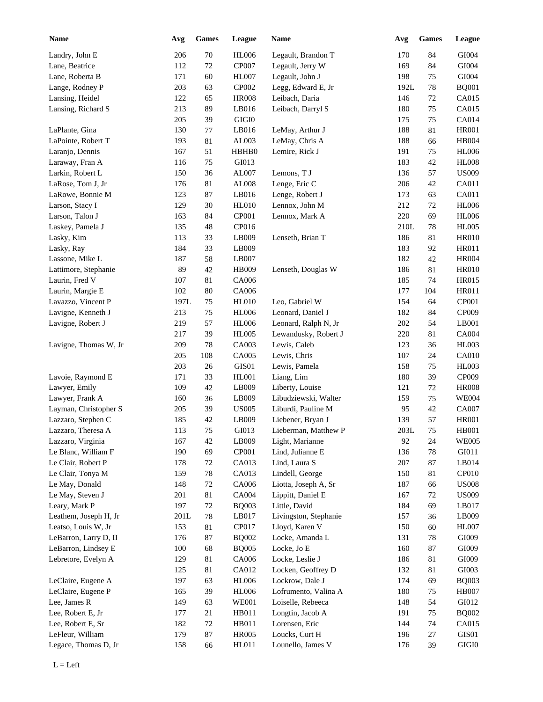| Name                  | Avg  | Games  | League       | Name                  | Avg  | <b>Games</b> | League        |
|-----------------------|------|--------|--------------|-----------------------|------|--------------|---------------|
| Landry, John E        | 206  | 70     | <b>HL006</b> | Legault, Brandon T    | 170  | 84           | GI004         |
| Lane, Beatrice        | 112  | 72     | CP007        | Legault, Jerry W      | 169  | 84           | GI004         |
| Lane, Roberta B       | 171  | 60     | HL007        | Legault, John J       | 198  | 75           | GI004         |
| Lange, Rodney P       | 203  | 63     | CP002        | Legg, Edward E, Jr    | 192L | 78           | <b>BQ001</b>  |
| Lansing, Heidel       | 122  | 65     | <b>HR008</b> | Leibach, Daria        | 146  | $72\,$       | CA015         |
| Lansing, Richard S    | 213  | 89     | LB016        | Leibach, Darryl S     | 180  | 75           | CA015         |
|                       | 205  | 39     | $\rm GIGI0$  |                       | 175  | 75           | CA014         |
| LaPlante, Gina        | 130  | 77     | LB016        | LeMay, Arthur J       | 188  | 81           | <b>HR001</b>  |
| LaPointe, Robert T    | 193  | 81     | AL003        | LeMay, Chris A        | 188  | 66           | <b>HB004</b>  |
| Laranjo, Dennis       | 167  | 51     | HBHB0        | Lemire, Rick J        | 191  | 75           | <b>HL006</b>  |
| Laraway, Fran A       | 116  | 75     | GI013        |                       | 183  | 42           | <b>HL008</b>  |
| Larkin, Robert L      | 150  | 36     | AL007        | Lemons, T J           | 136  | 57           | <b>US009</b>  |
| LaRose, Tom J, Jr     | 176  | 81     | AL008        | Lenge, Eric C         | 206  | 42           | CA011         |
| LaRowe, Bonnie M      | 123  | 87     | LB016        | Lenge, Robert J       | 173  | 63           | CA011         |
| Larson, Stacy I       | 129  | 30     | <b>HL010</b> | Lennox, John M        | 212  | 72           | <b>HL006</b>  |
| Larson, Talon J       | 163  | 84     | CP001        | Lennox, Mark A        | 220  | 69           | <b>HL006</b>  |
| Laskey, Pamela J      | 135  | 48     | CP016        |                       | 210L | 78           | <b>HL005</b>  |
| Lasky, Kim            | 113  | 33     | LB009        | Lenseth, Brian T      | 186  | 81           | <b>HR010</b>  |
| Lasky, Ray            | 184  | 33     | LB009        |                       | 183  | 92           | <b>HR011</b>  |
| Lassone, Mike L       | 187  | 58     | LB007        |                       | 182  | 42           | <b>HR004</b>  |
| Lattimore, Stephanie  | 89   | 42     | HB009        | Lenseth, Douglas W    | 186  | 81           | <b>HR010</b>  |
| Laurin, Fred V        | 107  | 81     | CA006        |                       | 185  | 74           | <b>HR015</b>  |
| Laurin, Margie E      | 102  | 80     | CA006        |                       | 177  | 104          | <b>HR011</b>  |
| Lavazzo, Vincent P    | 197L | 75     | <b>HL010</b> | Leo, Gabriel W        | 154  | 64           | CP001         |
| Lavigne, Kenneth J    | 213  | 75     | <b>HL006</b> | Leonard, Daniel J     | 182  | 84           | CP009         |
| Lavigne, Robert J     | 219  | 57     | <b>HL006</b> | Leonard, Ralph N, Jr  | 202  | 54           | LB001         |
|                       | 217  | 39     | <b>HL005</b> | Lewandusky, Robert J  | 220  | 81           | CA004         |
| Lavigne, Thomas W, Jr | 209  | 78     | CA003        | Lewis, Caleb          | 123  | 36           | <b>HL003</b>  |
|                       | 205  | 108    | CA005        | Lewis, Chris          | 107  | 24           | CA010         |
|                       | 203  | $26\,$ | GIS01        | Lewis, Pamela         | 158  | 75           | <b>HL003</b>  |
| Lavoie, Raymond E     | 171  | 33     | HL001        | Liang, Lim            | 180  | 39           | CP009         |
| Lawyer, Emily         | 109  | $42\,$ | LB009        | Liberty, Louise       | 121  | 72           | <b>HR008</b>  |
| Lawyer, Frank A       | 160  | 36     | LB009        | Libudziewski, Walter  | 159  | 75           | <b>WE004</b>  |
| Layman, Christopher S | 205  | 39     | <b>US005</b> | Liburdi, Pauline M    | 95   | 42           | <b>CA007</b>  |
| Lazzaro, Stephen C    | 185  | 42     | LB009        | Liebener, Bryan J     | 139  | 57           | <b>HR001</b>  |
| Lazzaro, Theresa A    | 113  | $75\,$ | GI013        | Lieberman, Matthew P  | 203L | 75           | HB001         |
| Lazzaro, Virginia     | 167  | 42     | LB009        | Light, Marianne       | 92   | 24           | <b>WE005</b>  |
| Le Blanc, William F   | 190  | 69     | CP001        | Lind, Julianne E      | 136  | 78           | ${\rm G}I011$ |
| Le Clair, Robert P    | 178  | 72     | CA013        | Lind, Laura S         | 207  | 87           | LB014         |
| Le Clair, Tonya M     | 159  | $78\,$ | CA013        | Lindell, George       | 150  | 81           | CP010         |
| Le May, Donald        | 148  | $72\,$ | CA006        | Liotta, Joseph A, Sr  | 187  | 66           | <b>US008</b>  |
| Le May, Steven J      | 201  | $81\,$ | CA004        | Lippitt, Daniel E     | 167  | $72\,$       | <b>US009</b>  |
| Leary, Mark P         | 197  | $72\,$ | <b>BQ003</b> | Little, David         | 184  | 69           | LB017         |
| Leathem, Joseph H, Jr | 201L | $78\,$ | LB017        | Livingston, Stephanie | 157  | 36           | LB009         |
| Leatso, Louis W, Jr   | 153  | $81\,$ | CP017        | Lloyd, Karen V        | 150  | 60           | <b>HL007</b>  |
| LeBarron, Larry D, II | 176  | 87     | <b>BQ002</b> | Locke, Amanda L       | 131  | 78           | GI009         |
| LeBarron, Lindsey E   | 100  | 68     | <b>BQ005</b> | Locke, Jo E           | 160  | 87           | GI009         |
| Lebretore, Evelyn A   | 129  | 81     | CA006        | Locke, Leslie J       | 186  | 81           | GI009         |
|                       | 125  | 81     | CA012        | Locken, Geoffrey D    | 132  | 81           | GI003         |
| LeClaire, Eugene A    | 197  | 63     | <b>HL006</b> | Lockrow, Dale J       | 174  | 69           | <b>BQ003</b>  |
| LeClaire, Eugene P    | 165  | 39     | <b>HL006</b> | Lofrumento, Valina A  | 180  | 75           | <b>HB007</b>  |
| Lee, James R          | 149  | 63     | <b>WE001</b> | Loiselle, Rebeeca     | 148  | 54           | GI012         |
| Lee, Robert E, Jr     | 177  | 21     | HB011        | Longtin, Jacob A      | 191  | 75           | <b>BQ002</b>  |
| Lee, Robert E, Sr     | 182  | $72\,$ | HB011        | Lorensen, Eric        | 144  | 74           | CA015         |
| LeFleur, William      | 179  | $87\,$ | <b>HR005</b> | Loucks, Curt H        | 196  | 27           | GIS01         |
| Legace, Thomas D, Jr  | 158  | 66     | HL011        | Lounello, James V     | 176  | 39           | $\rm GIGI0$   |
|                       |      |        |              |                       |      |              |               |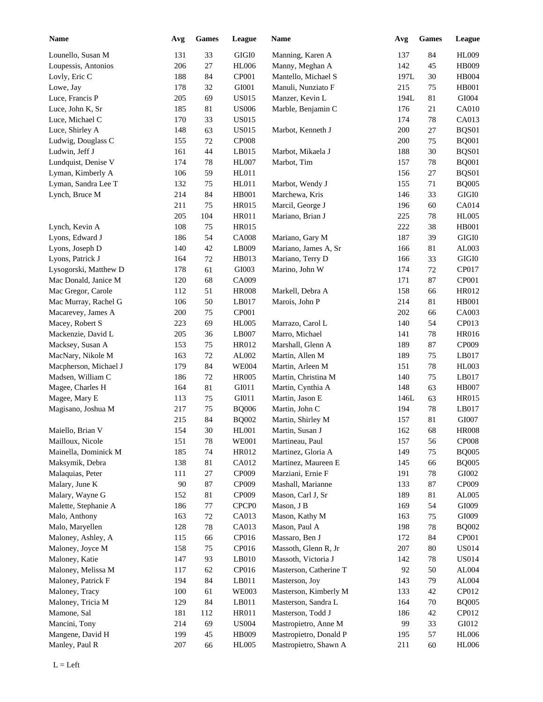| <b>Name</b>           | Avg | <b>Games</b> | <b>League</b>     | Name                   | Avg  | <b>Games</b> | League       |
|-----------------------|-----|--------------|-------------------|------------------------|------|--------------|--------------|
| Lounello, Susan M     | 131 | 33           | GIGI0             | Manning, Karen A       | 137  | 84           | HL009        |
| Loupessis, Antonios   | 206 | $27\,$       | <b>HL006</b>      | Manny, Meghan A        | 142  | 45           | HB009        |
| Lovly, Eric C         | 188 | 84           | CP001             | Mantello, Michael S    | 197L | 30           | HB004        |
| Lowe, Jay             | 178 | 32           | GI001             | Manuli, Nunziato F     | 215  | 75           | <b>HB001</b> |
| Luce, Francis P       | 205 | 69           | <b>US015</b>      | Manzer, Kevin L        | 194L | 81           | GI004        |
| Luce, John K, Sr      | 185 | 81           | <b>US006</b>      | Marble, Benjamin C     | 176  | 21           | <b>CA010</b> |
| Luce, Michael C       | 170 | 33           | <b>US015</b>      |                        | 174  | 78           | CA013        |
| Luce, Shirley A       | 148 | 63           | <b>US015</b>      | Marbot, Kenneth J      | 200  | 27           | BQS01        |
| Ludwig, Douglass C    | 155 | 72           | <b>CP008</b>      |                        | 200  | 75           | <b>BQ001</b> |
| Ludwin, Jeff J        | 161 | 44           | LB015             | Marbot, Mikaela J      | 188  | 30           | BQS01        |
| Lundquist, Denise V   | 174 | 78           | HL007             | Marbot, Tim            | 157  | 78           | <b>BQ001</b> |
| Lyman, Kimberly A     | 106 | 59           | HL011             |                        | 156  | 27           | BQS01        |
| Lyman, Sandra Lee T   | 132 | 75           | HL011             | Marbot, Wendy J        | 155  | 71           | <b>BQ005</b> |
| Lynch, Bruce M        | 214 | 84           | <b>HB001</b>      | Marchewa, Kris         | 146  | 33           | GIGI0        |
|                       | 211 | 75           | <b>HR015</b>      | Marcil, George J       | 196  | 60           | CA014        |
|                       | 205 | 104          | <b>HR011</b>      | Mariano, Brian J       | 225  | 78           | <b>HL005</b> |
| Lynch, Kevin A        | 108 | 75           | <b>HR015</b>      |                        | 222  | 38           | <b>HB001</b> |
| Lyons, Edward J       | 186 | 54           | <b>CA008</b>      | Mariano, Gary M        | 187  | 39           | GIGI0        |
| Lyons, Joseph D       | 140 | 42           | LB009             | Mariano, James A, Sr   | 166  | 81           | AL003        |
|                       | 164 |              |                   |                        |      |              | $\rm GIGI0$  |
| Lyons, Patrick J      |     | 72           | HB013             | Mariano, Terry D       | 166  | 33           |              |
| Lysogorski, Matthew D | 178 | 61           | GI003             | Marino, John W         | 174  | 72           | CP017        |
| Mac Donald, Janice M  | 120 | 68           | CA009             |                        | 171  | 87           | CP001        |
| Mac Gregor, Carole    | 112 | 51           | <b>HR008</b>      | Markell, Debra A       | 158  | 66           | HR012        |
| Mac Murray, Rachel G  | 106 | 50           | LB017             | Marois, John P         | 214  | 81           | <b>HB001</b> |
| Macarevey, James A    | 200 | 75           | CP001             |                        | 202  | 66           | CA003        |
| Macey, Robert S       | 223 | 69           | <b>HL005</b>      | Marrazo, Carol L       | 140  | 54           | CP013        |
| Mackenzie, David L    | 205 | 36           | LB007             | Marro, Michael         | 141  | 78           | HR016        |
| Macksey, Susan A      | 153 | $75\,$       | <b>HR012</b>      | Marshall, Glenn A      | 189  | 87           | CP009        |
| MacNary, Nikole M     | 163 | $72\,$       | AL002             | Martin, Allen M        | 189  | 75           | LB017        |
| Macpherson, Michael J | 179 | 84           | <b>WE004</b>      | Martin, Arleen M       | 151  | 78           | <b>HL003</b> |
| Madsen, William C     | 186 | $72\,$       | <b>HR005</b>      | Martin, Christina M    | 140  | $75\,$       | LB017        |
| Magee, Charles H      | 164 | 81           | ${\rm G I}011$    | Martin, Cynthia A      | 148  | 63           | <b>HB007</b> |
| Magee, Mary E         | 113 | 75           | ${\rm G I}011$    | Martin, Jason E        | 146L | 63           | HR015        |
| Magisano, Joshua M    | 217 | 75           | <b>BQ006</b>      | Martin, John C         | 194  | 78           | LB017        |
|                       | 215 | 84           | <b>BQ002</b>      | Martin, Shirley M      | 157  | 81           | GI007        |
| Maiello, Brian V      | 154 | $30\,$       | HL001             | Martin, Susan J        | 162  | 68           | <b>HR008</b> |
| Mailloux, Nicole      | 151 | $78\,$       | <b>WE001</b>      | Martineau, Paul        | 157  | 56           | <b>CP008</b> |
| Mainella, Dominick M  | 185 | $74\,$       | HR012             | Martinez, Gloria A     | 149  | 75           | <b>BQ005</b> |
| Maksymik, Debra       | 138 | 81           | CA012             | Martinez, Maureen E    | 145  | 66           | <b>BQ005</b> |
| Malaquias, Peter      | 111 | 27           | CP009             | Marziani, Ernie F      | 191  | 78           | GI002        |
| Malary, June K        | 90  | 87           | CP009             | Mashall, Marianne      | 133  | 87           | CP009        |
| Malary, Wayne G       | 152 | 81           | CP009             | Mason, Carl J, Sr      | 189  | 81           | AL005        |
| Malette, Stephanie A  | 186 | 77           | CPCP <sub>0</sub> | Mason, J B             | 169  | 54           | GI009        |
| Malo, Anthony         | 163 | $72\,$       | CA013             | Mason, Kathy M         | 163  | 75           | GI009        |
| Malo, Maryellen       | 128 | $78\,$       | CA013             | Mason, Paul A          | 198  | 78           | <b>BQ002</b> |
| Maloney, Ashley, A    | 115 | 66           | CP016             | Massaro, Ben J         | 172  | 84           | CP001        |
| Maloney, Joyce M      | 158 | 75           | CP016             | Massoth, Glenn R, Jr   | 207  | 80           | <b>US014</b> |
| Maloney, Katie        | 147 | 93           | LB010             | Massoth, Victoria J    | 142  | 78           | <b>US014</b> |
|                       | 117 |              | CP016             | Masterson, Catherine T | 92   | 50           | AL004        |
| Maloney, Melissa M    |     | 62           |                   |                        |      |              |              |
| Maloney, Patrick F    | 194 | 84           | LB011             | Masterson, Joy         | 143  | 79           | AL004        |
| Maloney, Tracy        | 100 | 61           | <b>WE003</b>      | Masterson, Kimberly M  | 133  | 42           | CP012        |
| Maloney, Tricia M     | 129 | 84           | LB011             | Masterson, Sandra L    | 164  | 70           | <b>BQ005</b> |
| Mamone, Sal           | 181 | 112          | HR011             | Masterson, Todd J      | 186  | 42           | CP012        |
| Mancini, Tony         | 214 | 69           | <b>US004</b>      | Mastropietro, Anne M   | 99   | 33           | GI012        |
| Mangene, David H      | 199 | 45           | HB009             | Mastropietro, Donald P | 195  | 57           | <b>HL006</b> |
| Manley, Paul R        | 207 | 66           | <b>HL005</b>      | Mastropietro, Shawn A  | 211  | 60           | <b>HL006</b> |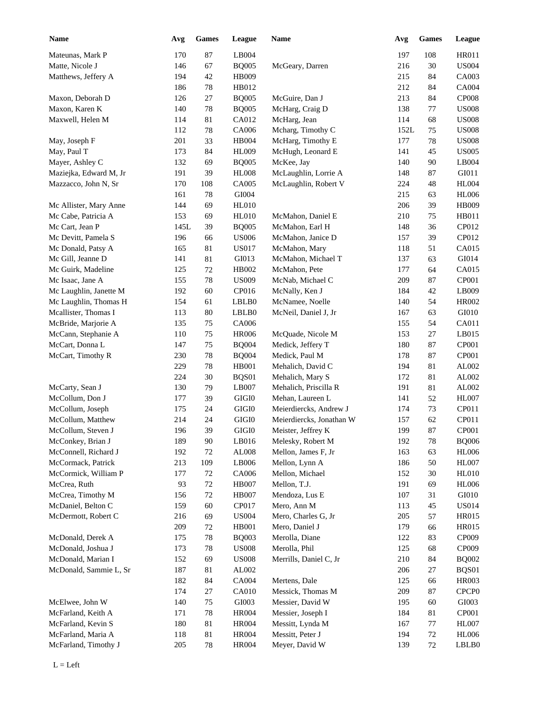| <b>Name</b>            | Avg  | <b>Games</b> | League        | <b>Name</b>              | Avg  | <b>Games</b> | League            |
|------------------------|------|--------------|---------------|--------------------------|------|--------------|-------------------|
| Mateunas, Mark P       | 170  | $87\,$       | LB004         |                          | 197  | 108          | <b>HR011</b>      |
| Matte, Nicole J        | 146  | 67           | <b>BQ005</b>  | McGeary, Darren          | 216  | 30           | <b>US004</b>      |
| Matthews, Jeffery A    | 194  | 42           | HB009         |                          | 215  | 84           | CA003             |
|                        | 186  | $78\,$       | HB012         |                          | 212  | 84           | <b>CA004</b>      |
| Maxon, Deborah D       | 126  | $27\,$       | <b>BQ005</b>  | McGuire, Dan J           | 213  | 84           | <b>CP008</b>      |
| Maxon, Karen K         | 140  | $78\,$       | <b>BQ005</b>  | McHarg, Craig D          | 138  | 77           | <b>US008</b>      |
| Maxwell, Helen M       | 114  | 81           | CA012         | McHarg, Jean             | 114  | 68           | <b>US008</b>      |
|                        | 112  | 78           | CA006         | Mcharg, Timothy C        | 152L | 75           | <b>US008</b>      |
| May, Joseph F          | 201  | 33           | HB004         | McHarg, Timothy E        | 177  | 78           | <b>US008</b>      |
| May, Paul T            | 173  | 84           | <b>HL009</b>  | McHugh, Leonard E        | 141  | 45           | <b>US005</b>      |
| Mayer, Ashley C        | 132  | 69           | <b>BQ005</b>  | McKee, Jay               | 140  | 90           | LB004             |
| Maziejka, Edward M, Jr | 191  | 39           | <b>HL008</b>  | McLaughlin, Lorrie A     | 148  | 87           | GI011             |
| Mazzacco, John N, Sr   | 170  | 108          | CA005         | McLaughlin, Robert V     | 224  | 48           | <b>HL004</b>      |
|                        | 161  | 78           | GI004         |                          | 215  | 63           | <b>HL006</b>      |
| Mc Allister, Mary Anne | 144  | 69           | HL010         |                          | 206  | 39           | <b>HB009</b>      |
| Mc Cabe, Patricia A    | 153  | 69           | HL010         | McMahon, Daniel E        | 210  | 75           | HB011             |
| Mc Cart, Jean P        | 145L | 39           | <b>BQ005</b>  | McMahon, Earl H          | 148  | 36           | CP012             |
| Mc Devitt, Pamela S    | 196  | 66           | <b>US006</b>  | McMahon, Janice D        | 157  | 39           | CP012             |
| Mc Donald, Patsy A     | 165  | 81           | <b>US017</b>  | McMahon, Mary            | 118  | 51           | CA015             |
| Mc Gill, Jeanne D      | 141  | 81           | GI013         | McMahon, Michael T       | 137  | 63           | GI014             |
| Mc Guirk, Madeline     | 125  | $72\,$       | HB002         | McMahon, Pete            | 177  | 64           | CA015             |
| Mc Isaac, Jane A       | 155  | 78           | <b>US009</b>  | McNab, Michael C         | 209  | 87           | CP001             |
| Mc Laughlin, Janette M | 192  | 60           | CP016         | McNally, Ken J           | 184  | 42           | LB009             |
| Mc Laughlin, Thomas H  | 154  | 61           | LBLB0         | McNamee, Noelle          | 140  | 54           | HR002             |
| Mcallister, Thomas I   | 113  | 80           | LBLB0         | McNeil, Daniel J, Jr     | 167  | 63           | GI010             |
| McBride, Marjorie A    | 135  | 75           | CA006         |                          | 155  | 54           | CA011             |
| McCann, Stephanie A    | 110  | 75           | <b>HR006</b>  | McQuade, Nicole M        | 153  | 27           | LB015             |
| McCart, Donna L        | 147  | 75           | <b>BQ004</b>  | Medick, Jeffery T        | 180  | 87           | CP001             |
| McCart, Timothy R      | 230  | 78           | <b>BQ004</b>  | Medick, Paul M           | 178  | 87           | CP001             |
|                        | 229  | 78           | <b>HB001</b>  | Mehalich, David C        | 194  | 81           | AL002             |
|                        | 224  | 30           | BQS01         | Mehalich, Mary S         | 172  | 81           | AL002             |
| McCarty, Sean J        | 130  | 79           | LB007         | Mehalich, Priscilla R    | 191  | 81           | AL002             |
| McCollum, Don J        | 177  | 39           | $\rm GIGI0$   | Mehan, Laureen L         | 141  | 52           | <b>HL007</b>      |
| McCollum, Joseph       | 175  | 24           | $\rm GIGI0$   | Meierdiercks, Andrew J   | 174  | 73           | CP011             |
| McCollum, Matthew      | 214  | 24           | GIGI0         | Meierdiercks, Jonathan W | 157  | 62           | CP011             |
| McCollum, Steven J     | 196  | 39           | GIGI0         | Meister, Jeffrey K       | 199  | 87           | CP001             |
| McConkey, Brian J      | 189  | 90           | LB016         | Melesky, Robert M        | 192  | 78           | <b>BQ006</b>      |
| McConnell, Richard J   | 192  | 72           | ${\rm AL008}$ | Mellon, James F, Jr      | 163  | 63           | <b>HL006</b>      |
| McCormack, Patrick     | 213  | 109          | LB006         | Mellon, Lynn A           | 186  | 50           | HL007             |
| McCormick, William P   | 177  | 72           | CA006         | Mellon, Michael          | 152  | 30           | <b>HL010</b>      |
| McCrea, Ruth           | 93   | 72           | <b>HB007</b>  | Mellon, T.J.             | 191  | 69           | <b>HL006</b>      |
| McCrea, Timothy M      | 156  | $72\,$       | <b>HB007</b>  | Mendoza, Lus E           | 107  | 31           | GI010             |
| McDaniel, Belton C     | 159  | 60           | CP017         | Mero, Ann M              | 113  | 45           | <b>US014</b>      |
| McDermott, Robert C    | 216  | 69           | <b>US004</b>  | Mero, Charles G, Jr      | 205  | 57           | HR015             |
|                        | 209  | 72           | HB001         | Mero, Daniel J           | 179  | 66           | <b>HR015</b>      |
| McDonald, Derek A      | 175  | 78           | <b>BQ003</b>  | Merolla, Diane           | 122  | 83           | CP009             |
| McDonald, Joshua J     | 173  | $78\,$       | <b>US008</b>  | Merolla, Phil            | 125  | 68           | CP009             |
| McDonald, Marian I     | 152  | 69           | <b>US008</b>  | Merrills, Daniel C, Jr   | 210  | 84           | <b>BQ002</b>      |
| McDonald, Sammie L, Sr | 187  | 81           | AL002         |                          | 206  | 27           | BQS01             |
|                        | 182  | 84           | CA004         | Mertens, Dale            | 125  | 66           | HR003             |
|                        | 174  | 27           | CA010         | Messick, Thomas M        | 209  | 87           | CPCP <sub>0</sub> |
| McElwee, John W        | 140  | 75           | GI003         | Messier, David W         | 195  | 60           | GI003             |
| McFarland, Keith A     | 171  | $78\,$       | <b>HR004</b>  | Messier, Joseph I        | 184  | 81           | CP001             |
| McFarland, Kevin S     | 180  | $81\,$       | <b>HR004</b>  | Messitt, Lynda M         | 167  | 77           | HL007             |
| McFarland, Maria A     | 118  | $81\,$       | <b>HR004</b>  | Messitt, Peter J         | 194  | $72\,$       | <b>HL006</b>      |
| McFarland, Timothy J   | 205  | $78\,$       | <b>HR004</b>  | Meyer, David W           | 139  | $72\,$       | LBLB0             |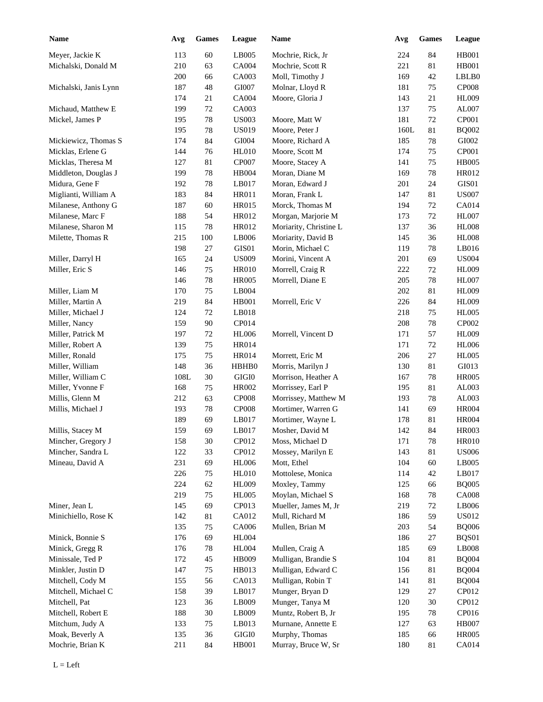| <b>Name</b>           | Avg  | <b>Games</b> | League       | <b>Name</b>            | Avg  | <b>Games</b> | League       |
|-----------------------|------|--------------|--------------|------------------------|------|--------------|--------------|
| Meyer, Jackie K       | 113  | 60           | LB005        | Mochrie, Rick, Jr      | 224  | 84           | <b>HB001</b> |
| Michalski, Donald M   | 210  | 63           | CA004        | Mochrie, Scott R       | 221  | 81           | <b>HB001</b> |
|                       | 200  | 66           | CA003        | Moll, Timothy J        | 169  | 42           | LBLB0        |
| Michalski, Janis Lynn | 187  | 48           | GI007        | Molnar, Lloyd R        | 181  | 75           | <b>CP008</b> |
|                       | 174  | 21           | CA004        | Moore, Gloria J        | 143  | 21           | <b>HL009</b> |
| Michaud, Matthew E    | 199  | $72\,$       | CA003        |                        | 137  | 75           | AL007        |
| Mickel, James P       | 195  | $78\,$       | <b>US003</b> | Moore, Matt W          | 181  | 72           | CP001        |
|                       | 195  | 78           | <b>US019</b> | Moore, Peter J         | 160L | 81           | <b>BQ002</b> |
| Mickiewicz, Thomas S  | 174  | 84           | GI004        | Moore, Richard A       | 185  | 78           | GI002        |
| Micklas, Erlene G     | 144  | 76           | HL010        | Moore, Scott M         | 174  | 75           | CP001        |
| Micklas, Theresa M    | 127  | 81           | CP007        | Moore, Stacey A        | 141  | 75           | <b>HB005</b> |
| Middleton, Douglas J  | 199  | 78           | HB004        | Moran, Diane M         | 169  | 78           | HR012        |
| Midura, Gene F        | 192  | 78           | LB017        | Moran, Edward J        | 201  | 24           | GIS01        |
| Miglianti, William A  | 183  | 84           | HR011        | Moran, Frank L         | 147  | 81           | <b>US007</b> |
| Milanese, Anthony G   | 187  | 60           | HR015        | Morck, Thomas M        | 194  | 72           | CA014        |
| Milanese, Marc F      | 188  | 54           | HR012        | Morgan, Marjorie M     | 173  | 72           | <b>HL007</b> |
| Milanese, Sharon M    | 115  | 78           | HR012        | Moriarity, Christine L | 137  | 36           | <b>HL008</b> |
| Milette, Thomas R     | 215  | 100          | LB006        | Moriarity, David B     | 145  | 36           | <b>HL008</b> |
|                       | 198  | 27           | GIS01        | Morin, Michael C       | 119  | 78           | LB016        |
| Miller, Darryl H      | 165  | 24           | <b>US009</b> | Morini, Vincent A      | 201  | 69           | <b>US004</b> |
| Miller, Eric S        | 146  | 75           | <b>HR010</b> | Morrell, Craig R       | 222  | 72           | <b>HL009</b> |
|                       | 146  | 78           | <b>HR005</b> | Morrell, Diane E       | 205  | 78           | <b>HL007</b> |
| Miller, Liam M        | 170  | 75           | LB004        |                        | 202  | 81           | <b>HL009</b> |
| Miller, Martin A      | 219  | 84           | <b>HB001</b> | Morrell, Eric V        | 226  | 84           | <b>HL009</b> |
| Miller, Michael J     | 124  | 72           | LB018        |                        | 218  | 75           | <b>HL005</b> |
| Miller, Nancy         | 159  | 90           | CP014        |                        | 208  | 78           | CP002        |
| Miller, Patrick M     | 197  | 72           | <b>HL006</b> | Morrell, Vincent D     | 171  | 57           | <b>HL009</b> |
| Miller, Robert A      | 139  | 75           | HR014        |                        | 171  | 72           | <b>HL006</b> |
| Miller, Ronald        | 175  | 75           | HR014        | Morrett, Eric M        | 206  | 27           | <b>HL005</b> |
| Miller, William       | 148  | 36           | HBHB0        | Morris, Marilyn J      | 130  | 81           | GI013        |
| Miller, William C     | 108L | 30           | GIGI0        | Morrison, Heather A    | 167  | 78           | <b>HR005</b> |
| Miller, Yvonne F      | 168  | 75           | HR002        | Morrissey, Earl P      | 195  | 81           | AL003        |
| Millis, Glenn M       | 212  | 63           | <b>CP008</b> | Morrissey, Matthew M   | 193  | 78           | AL003        |
| Millis, Michael J     | 193  | $78\,$       | <b>CP008</b> | Mortimer, Warren G     | 141  | 69           | <b>HR004</b> |
|                       | 189  | 69           | LB017        | Mortimer, Wayne L      | 178  | 81           | <b>HR004</b> |
| Millis, Stacey M      | 159  | 69           | LB017        | Mosher, David M        | 142  | 84           | <b>HR003</b> |
| Mincher, Gregory J    | 158  | $30\,$       | CP012        | Moss, Michael D        | 171  | 78           | <b>HR010</b> |
| Mincher, Sandra L     | 122  | 33           | CP012        | Mossey, Marilyn E      | 143  | 81           | <b>US006</b> |
| Mineau, David A       | 231  | 69           | <b>HL006</b> | Mott, Ethel            | 104  | 60           | LB005        |
|                       | 226  | 75           | <b>HL010</b> | Mottolese, Monica      | 114  | 42           | LB017        |
|                       | 224  | 62           | <b>HL009</b> | Moxley, Tammy          | 125  | 66           | <b>BQ005</b> |
|                       | 219  | 75           | <b>HL005</b> | Moylan, Michael S      | 168  | 78           | <b>CA008</b> |
| Miner, Jean L         | 145  | 69           | CP013        | Mueller, James M, Jr   | 219  | 72           | LB006        |
| Minichiello, Rose K   | 142  | 81           | CA012        | Mull, Richard M        | 186  | 59           | <b>US012</b> |
|                       | 135  | 75           | CA006        | Mullen, Brian M        | 203  | 54           | <b>BQ006</b> |
| Minick, Bonnie S      | 176  | 69           | <b>HL004</b> |                        | 186  | 27           | BQS01        |
| Minick, Gregg R       | 176  | 78           | <b>HL004</b> | Mullen, Craig A        | 185  | 69           | LB008        |
| Minissale, Ted P      | 172  | 45           | HB009        | Mulligan, Brandie S    | 104  | 81           | <b>BQ004</b> |
| Minkler, Justin D     | 147  | 75           | HB013        | Mulligan, Edward C     | 156  | 81           | <b>BQ004</b> |
| Mitchell, Cody M      | 155  | 56           | CA013        | Mulligan, Robin T      | 141  | 81           | <b>BQ004</b> |
| Mitchell, Michael C   | 158  | 39           | LB017        | Munger, Bryan D        | 129  | 27           | CP012        |
| Mitchell, Pat         | 123  | 36           | LB009        | Munger, Tanya M        | 120  | 30           | CP012        |
| Mitchell, Robert E    | 188  | $30\,$       | LB009        | Muntz, Robert B, Jr    | 195  | 78           | CP016        |
| Mitchum, Judy A       | 133  | 75           | LB013        | Murnane, Annette E     | 127  | 63           | <b>HB007</b> |
| Moak, Beverly A       | 135  | 36           | GIGI0        | Murphy, Thomas         | 185  | 66           | <b>HR005</b> |
| Mochrie, Brian K      | 211  | 84           | HB001        | Murray, Bruce W, Sr    | 180  | 81           | CA014        |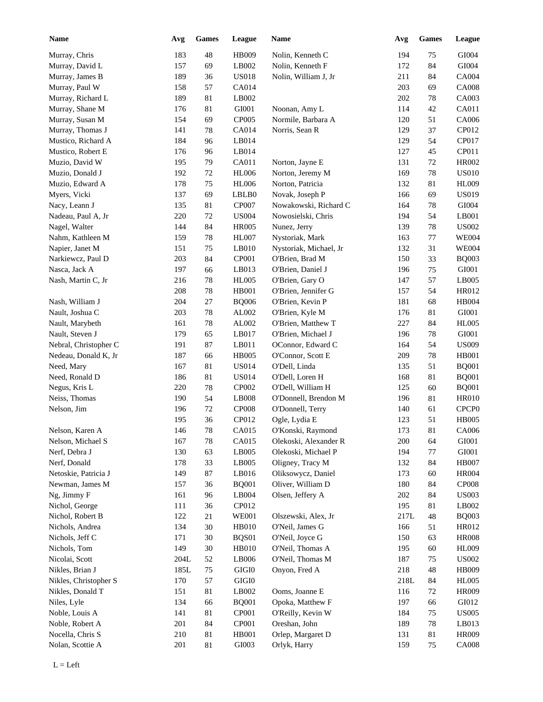| <b>Name</b>           | Avg  | <b>Games</b> | League       | Name                   | Avg  | <b>Games</b> | League            |
|-----------------------|------|--------------|--------------|------------------------|------|--------------|-------------------|
| Murray, Chris         | 183  | $\sqrt{48}$  | <b>HB009</b> | Nolin, Kenneth C       | 194  | 75           | GI004             |
| Murray, David L       | 157  | 69           | LB002        | Nolin, Kenneth F       | 172  | 84           | GI004             |
| Murray, James B       | 189  | 36           | <b>US018</b> | Nolin, William J, Jr   | 211  | 84           | CA004             |
| Murray, Paul W        | 158  | 57           | CA014        |                        | 203  | 69           | <b>CA008</b>      |
| Murray, Richard L     | 189  | 81           | LB002        |                        | 202  | 78           | CA003             |
| Murray, Shane M       | 176  | 81           | GI001        | Noonan, Amy L          | 114  | 42           | CA011             |
| Murray, Susan M       | 154  | 69           | CP005        | Normile, Barbara A     | 120  | 51           | CA006             |
| Murray, Thomas J      | 141  | 78           | <b>CA014</b> | Norris, Sean R         | 129  | 37           | CP012             |
| Mustico, Richard A    | 184  | 96           | LB014        |                        | 129  | 54           | CP017             |
| Mustico, Robert E     | 176  | 96           | LB014        |                        | 127  | 45           | CP011             |
| Muzio, David W        | 195  | 79           | CA011        | Norton, Jayne E        | 131  | 72           | <b>HR002</b>      |
| Muzio, Donald J       | 192  | $72\,$       | <b>HL006</b> | Norton, Jeremy M       | 169  | 78           | <b>US010</b>      |
| Muzio, Edward A       | 178  | 75           | <b>HL006</b> | Norton, Patricia       | 132  | 81           | <b>HL009</b>      |
| Myers, Vicki          | 137  | 69           | LBLB0        | Novak, Joseph P        | 166  | 69           | <b>US019</b>      |
| Nacy, Leann J         | 135  | 81           | CP007        | Nowakowski, Richard C  | 164  | 78           | GI004             |
| Nadeau, Paul A, Jr    | 220  | 72           | <b>US004</b> | Nowosielski, Chris     | 194  | 54           | LB001             |
| Nagel, Walter         | 144  | 84           | <b>HR005</b> | Nunez, Jerry           | 139  | 78           | <b>US002</b>      |
| Nahm, Kathleen M      | 159  | $78\,$       | <b>HL007</b> | Nystoriak, Mark        | 163  | 77           | <b>WE004</b>      |
| Napier, Janet M       | 151  | 75           | LB010        | Nystoriak, Michael, Jr | 132  | 31           | <b>WE004</b>      |
| Narkiewcz, Paul D     | 203  | 84           | CP001        | O'Brien, Brad M        | 150  | 33           | <b>BQ003</b>      |
| Nasca, Jack A         | 197  | 66           | LB013        | O'Brien, Daniel J      | 196  | 75           | GI001             |
| Nash, Martin C, Jr    | 216  | $78\,$       | <b>HL005</b> | O'Brien, Gary O        | 147  | 57           | LB005             |
|                       | 208  | 78           | HB001        | O'Brien, Jennifer G    | 157  | 54           | HR012             |
| Nash, William J       | 204  | 27           | <b>BQ006</b> | O'Brien, Kevin P       | 181  | 68           | <b>HB004</b>      |
| Nault, Joshua C       | 203  | $78\,$       | AL002        | O'Brien, Kyle M        | 176  | 81           | GI001             |
| Nault, Marybeth       | 161  | $78\,$       | AL002        | O'Brien, Matthew T     | 227  | 84           | <b>HL005</b>      |
|                       |      |              |              |                        |      |              |                   |
| Nault, Steven J       | 179  | 65           | LB017        | O'Brien, Michael J     | 196  | 78           | GI001             |
| Nebral, Christopher C | 191  | 87           | LB011        | OConnor, Edward C      | 164  | 54           | <b>US009</b>      |
| Nedeau, Donald K, Jr  | 187  | 66           | <b>HB005</b> | O'Connor, Scott E      | 209  | $78\,$       | <b>HB001</b>      |
| Need, Mary            | 167  | 81           | <b>US014</b> | O'Dell, Linda          | 135  | 51           | <b>BQ001</b>      |
| Need, Ronald D        | 186  | 81           | <b>US014</b> | O'Dell, Loren H        | 168  | 81           | <b>BQ001</b>      |
| Negus, Kris L         | 220  | 78           | CP002        | O'Dell, William H      | 125  | 60           | <b>BQ001</b>      |
| Neiss, Thomas         | 190  | 54           | LB008        | O'Donnell, Brendon M   | 196  | 81           | <b>HR010</b>      |
| Nelson, Jim           | 196  | $72\,$       | CP008        | O'Donnell, Terry       | 140  | 61           | CPCP <sub>0</sub> |
|                       | 195  | 36           | CP012        | Ogle, Lydia E          | 123  | 51           | <b>HB005</b>      |
| Nelson, Karen A       | 146  | $78\,$       | CA015        | O'Konski, Raymond      | 173  | $81\,$       | CA006             |
| Nelson, Michael S     | 167  | 78           | CA015        | Olekoski, Alexander R  | 200  | 64           | ${\rm GIO}01$     |
| Nerf, Debra J         | 130  | 63           | LB005        | Olekoski, Michael P    | 194  | 77           | ${\rm GIO}01$     |
| Nerf, Donald          | 178  | 33           | LB005        | Oligney, Tracy M       | 132  | 84           | <b>HB007</b>      |
| Netoskie, Patricia J  | 149  | $87\,$       | LB016        | Oliksowycz, Daniel     | 173  | 60           | <b>HR004</b>      |
| Newman, James M       | 157  | 36           | <b>BQ001</b> | Oliver, William D      | 180  | 84           | <b>CP008</b>      |
| Ng, Jimmy F           | 161  | 96           | LB004        | Olsen, Jeffery A       | 202  | 84           | <b>US003</b>      |
| Nichol, George        | 111  | 36           | CP012        |                        | 195  | 81           | LB002             |
| Nichol, Robert B      | 122  | 21           | <b>WE001</b> | Olszewski, Alex, Jr    | 217L | 48           | <b>BQ003</b>      |
| Nichols, Andrea       | 134  | $30\,$       | <b>HB010</b> | O'Neil, James G        | 166  | 51           | HR012             |
| Nichols, Jeff C       | 171  | $30\,$       | BQS01        | O'Neil, Joyce G        | 150  | 63           | <b>HR008</b>      |
| Nichols, Tom          | 149  | $30\,$       | <b>HB010</b> | O'Neil, Thomas A       | 195  | 60           | <b>HL009</b>      |
| Nicolai, Scott        | 204L | 52           | LB006        | O'Neil, Thomas M       | 187  | 75           | <b>US002</b>      |
| Nikles, Brian J       | 185L | 75           | $\rm GIGI0$  | Onyon, Fred A          | 218  | 48           | <b>HB009</b>      |
| Nikles, Christopher S | 170  | 57           | $\rm GIGI0$  |                        | 218L | 84           | <b>HL005</b>      |
| Nikles, Donald T      | 151  | 81           | LB002        | Ooms, Joanne E         | 116  | $72\,$       | <b>HR009</b>      |
| Niles, Lyle           | 134  | 66           | <b>BQ001</b> | Opoka, Matthew F       | 197  | 66           | GI012             |
| Noble, Louis A        | 141  | 81           | CP001        | O'Reilly, Kevin W      | 184  | 75           | <b>US005</b>      |
| Noble, Robert A       | 201  | 84           | CP001        | Oreshan, John          | 189  | $78\,$       | LB013             |
| Nocella, Chris S      | 210  | 81           | HB001        | Orlep, Margaret D      | 131  | 81           | <b>HR009</b>      |
| Nolan, Scottie A      | 201  | 81           | GI003        | Orlyk, Harry           | 159  | 75           | <b>CA008</b>      |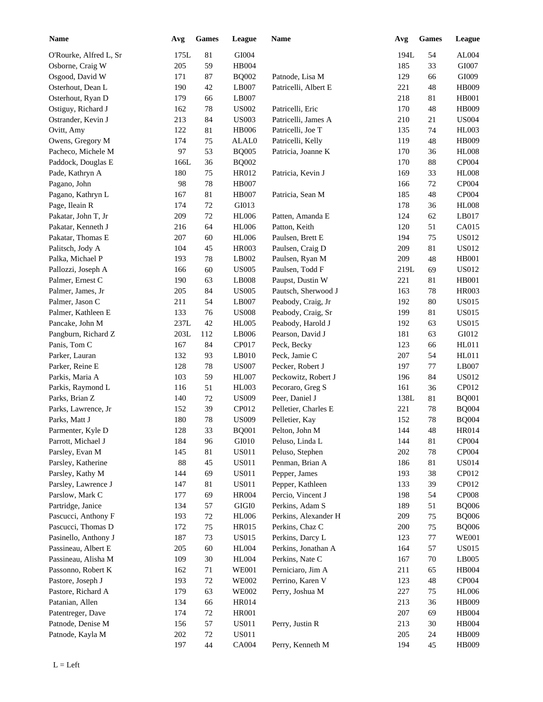| <b>Name</b>            | Avg  | <b>Games</b> | League       | <b>Name</b>          | Avg  | <b>Games</b> | League       |
|------------------------|------|--------------|--------------|----------------------|------|--------------|--------------|
| O'Rourke, Alfred L, Sr | 175L | 81           | GI004        |                      | 194L | 54           | AL004        |
| Osborne, Craig W       | 205  | 59           | HB004        |                      | 185  | 33           | GI007        |
| Osgood, David W        | 171  | 87           | <b>BQ002</b> | Patnode, Lisa M      | 129  | 66           | GI009        |
| Osterhout, Dean L      | 190  | 42           | LB007        | Patricelli, Albert E | 221  | 48           | <b>HB009</b> |
| Osterhout, Ryan D      | 179  | 66           | LB007        |                      | 218  | 81           | <b>HB001</b> |
| Ostiguy, Richard J     | 162  | $78\,$       | <b>US002</b> | Patricelli, Eric     | 170  | 48           | <b>HB009</b> |
| Ostrander, Kevin J     | 213  | 84           | <b>US003</b> | Patricelli, James A  | 210  | 21           | <b>US004</b> |
| Ovitt, Amy             | 122  | 81           | <b>HB006</b> | Patricelli, Joe T    | 135  | 74           | <b>HL003</b> |
| Owens, Gregory M       | 174  | $75\,$       | ALAL0        | Patricelli, Kelly    | 119  | 48           | HB009        |
| Pacheco, Michele M     | 97   | 53           | <b>BQ005</b> | Patricia, Joanne K   | 170  | 36           | <b>HL008</b> |
| Paddock, Douglas E     | 166L | 36           | <b>BQ002</b> |                      | 170  | 88           | CP004        |
| Pade, Kathryn A        | 180  | 75           | HR012        | Patricia, Kevin J    | 169  | 33           | <b>HL008</b> |
| Pagano, John           | 98   | 78           | <b>HB007</b> |                      | 166  | 72           | CP004        |
| Pagano, Kathryn L      | 167  | 81           | <b>HB007</b> | Patricia, Sean M     | 185  | 48           | CP004        |
| Page, Ileain R         | 174  | 72           | GI013        |                      | 178  | 36           | <b>HL008</b> |
| Pakatar, John T, Jr    | 209  | $72\,$       | <b>HL006</b> | Patten, Amanda E     | 124  | 62           | LB017        |
| Pakatar, Kenneth J     | 216  | 64           | <b>HL006</b> | Patton, Keith        | 120  | 51           | CA015        |
| Pakatar, Thomas E      | 207  | 60           | <b>HL006</b> | Paulsen, Brett E     | 194  | 75           | <b>US012</b> |
| Palitsch, Jody A       | 104  | 45           | <b>HR003</b> | Paulsen, Craig D     | 209  | 81           | <b>US012</b> |
| Palka, Michael P       | 193  | 78           | LB002        | Paulsen, Ryan M      | 209  | 48           | <b>HB001</b> |
| Pallozzi, Joseph A     | 166  | 60           | <b>US005</b> | Paulsen, Todd F      | 219L | 69           | <b>US012</b> |
| Palmer, Ernest C       | 190  | 63           | LB008        | Paupst, Dustin W     | 221  | 81           | <b>HB001</b> |
| Palmer, James, Jr      | 205  | 84           | <b>US005</b> | Pautsch, Sherwood J  | 163  | 78           | <b>HR003</b> |
| Palmer, Jason C        | 211  | 54           | LB007        | Peabody, Craig, Jr   | 192  | 80           | <b>US015</b> |
| Palmer, Kathleen E     | 133  | 76           | <b>US008</b> | Peabody, Craig, Sr   | 199  | 81           | <b>US015</b> |
| Pancake, John M        | 237L | 42           | <b>HL005</b> | Peabody, Harold J    | 192  | 63           | <b>US015</b> |
| Pangburn, Richard Z    | 203L | 112          | LB006        | Pearson, David J     | 181  | 63           | GI012        |
| Panis, Tom C           | 167  | 84           | CP017        | Peck, Becky          | 123  | 66           | HL011        |
| Parker, Lauran         | 132  | 93           | LB010        | Peck, Jamie C        | 207  | 54           | HL011        |
| Parker, Reine E        | 128  | 78           | <b>US007</b> | Pecker, Robert J     | 197  | 77           | LB007        |
| Parkis, Maria A        | 103  | 59           | <b>HL007</b> | Peckowitz, Robert J  | 196  | 84           | <b>US012</b> |
| Parkis, Raymond L      | 116  | 51           | HL003        | Pecoraro, Greg S     | 161  | 36           | CP012        |
|                        |      |              |              |                      |      |              |              |
| Parks, Brian Z         | 140  | 72           | <b>US009</b> | Peer, Daniel J       | 138L | 81           | <b>BQ001</b> |
| Parks, Lawrence, Jr    | 152  | 39<br>78     | CP012        | Pelletier, Charles E | 221  | 78           | <b>BQ004</b> |
| Parks, Matt J          | 180  |              | <b>US009</b> | Pelletier, Kay       | 152  | 78           | <b>BQ004</b> |
| Parmenter, Kyle D      | 128  | 33           | <b>BQ001</b> | Pelton, John M       | 144  | 48           | <b>HR014</b> |
| Parrott, Michael J     | 184  | 96           | GI010        | Peluso, Linda L      | 144  | $81\,$       | CP004        |
| Parsley, Evan M        | 145  | $81\,$       | <b>US011</b> | Peluso, Stephen      | 202  | 78           | CP004        |
| Parsley, Katherine     | 88   | 45           | <b>US011</b> | Penman, Brian A      | 186  | 81           | <b>US014</b> |
| Parsley, Kathy M       | 144  | 69           | <b>US011</b> | Pepper, James        | 193  | 38           | CP012        |
| Parsley, Lawrence J    | 147  | 81           | <b>US011</b> | Pepper, Kathleen     | 133  | 39           | CP012        |
| Parslow, Mark C        | 177  | 69           | <b>HR004</b> | Percio, Vincent J    | 198  | 54           | <b>CP008</b> |
| Partridge, Janice      | 134  | 57           | GIGI0        | Perkins, Adam S      | 189  | 51           | <b>BQ006</b> |
| Pascucci, Anthony F    | 193  | 72           | <b>HL006</b> | Perkins, Alexander H | 209  | 75           | <b>BQ006</b> |
| Pascucci, Thomas D     | 172  | 75           | HR015        | Perkins, Chaz C      | 200  | 75           | <b>BQ006</b> |
| Pasinello, Anthony J   | 187  | 73           | <b>US015</b> | Perkins, Darcy L     | 123  | $77 \,$      | <b>WE001</b> |
| Passineau, Albert E    | 205  | 60           | <b>HL004</b> | Perkins, Jonathan A  | 164  | 57           | <b>US015</b> |
| Passineau, Alisha M    | 109  | $30\,$       | <b>HL004</b> | Perkins, Nate C      | 167  | $70\,$       | LB005        |
| Passonno, Robert K     | 162  | 71           | <b>WE001</b> | Perniciaro, Jim A    | 211  | 65           | HB004        |
| Pastore, Joseph J      | 193  | $72\,$       | <b>WE002</b> | Perrino, Karen V     | 123  | 48           | CP004        |
| Pastore, Richard A     | 179  | 63           | <b>WE002</b> | Perry, Joshua M      | 227  | 75           | <b>HL006</b> |
| Patanian, Allen        | 134  | 66           | HR014        |                      | 213  | 36           | <b>HB009</b> |
| Patentreger, Dave      | 174  | $72\,$       | <b>HR001</b> |                      | 207  | 69           | HB004        |
| Patnode, Denise M      | 156  | 57           | <b>US011</b> | Perry, Justin R      | 213  | 30           | HB004        |
| Patnode, Kayla M       | 202  | 72           | <b>US011</b> |                      | 205  | 24           | HB009        |
|                        | 197  | 44           | CA004        | Perry, Kenneth M     | 194  | 45           | <b>HB009</b> |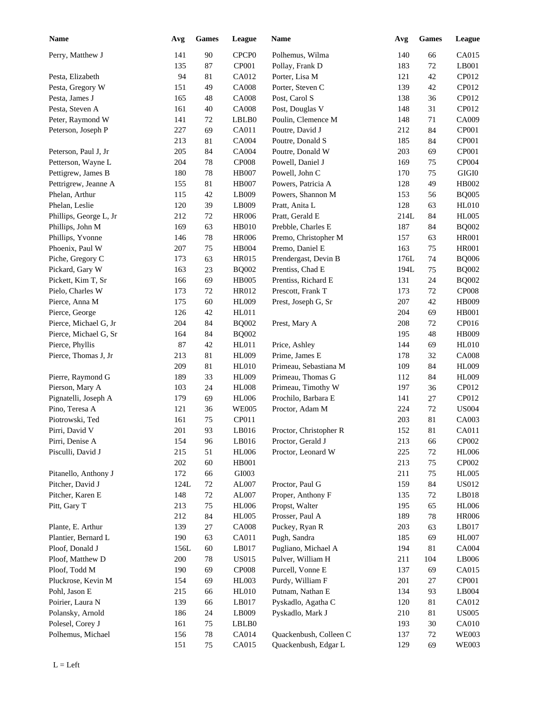| <b>Name</b>            | Avg     | <b>Games</b> | League            | Name                   | Avg  | Games  | <b>League</b>          |
|------------------------|---------|--------------|-------------------|------------------------|------|--------|------------------------|
| Perry, Matthew J       | 141     | $90\,$       | CPCP <sub>0</sub> | Polhemus, Wilma        | 140  | 66     | CA015                  |
|                        | 135     | 87           | CP001             | Pollay, Frank D        | 183  | 72     | LB001                  |
| Pesta, Elizabeth       | 94      | 81           | CA012             | Porter, Lisa M         | 121  | 42     | CP012                  |
| Pesta, Gregory W       | 151     | 49           | <b>CA008</b>      | Porter, Steven C       | 139  | 42     | CP012                  |
| Pesta, James J         | 165     | 48           | <b>CA008</b>      | Post, Carol S          | 138  | 36     | CP012                  |
| Pesta, Steven A        | 161     | $40\,$       | <b>CA008</b>      | Post, Douglas V        | 148  | 31     | CP012                  |
| Peter, Raymond W       | 141     | 72           | LBLB0             | Poulin, Clemence M     | 148  | 71     | CA009                  |
| Peterson, Joseph P     | 227     | 69           | CA011             | Poutre, David J        | 212  | 84     | CP001                  |
|                        | 213     | 81           | <b>CA004</b>      | Poutre, Donald S       | 185  | 84     | CP001                  |
| Peterson, Paul J, Jr   | 205     | 84           | <b>CA004</b>      | Poutre, Donald W       | 203  | 69     | CP001                  |
| Petterson, Wayne L     | 204     | 78           | <b>CP008</b>      | Powell, Daniel J       | 169  | 75     | CP004                  |
| Pettigrew, James B     | 180     | 78           | <b>HB007</b>      | Powell, John C         | 170  | 75     | $\rm GIGI0$            |
| Pettrigrew, Jeanne A   | 155     | 81           | <b>HB007</b>      | Powers, Patricia A     | 128  | 49     | HB002                  |
| Phelan, Arthur         | 115     | 42           | LB009             | Powers, Shannon M      | 153  | 56     | <b>BQ005</b>           |
| Phelan, Leslie         | 120     | 39           | LB009             | Pratt, Anita L         | 128  | 63     | <b>HL010</b>           |
| Phillips, George L, Jr | 212     | $72\,$       | <b>HR006</b>      | Pratt, Gerald E        | 214L | 84     | <b>HL005</b>           |
| Phillips, John M       | 169     | 63           | <b>HB010</b>      | Prebble, Charles E     | 187  | 84     | <b>BQ002</b>           |
| Phillips, Yvonne       | 146     | 78           | <b>HR006</b>      | Premo, Christopher M   | 157  | 63     | <b>HR001</b>           |
| Phoenix, Paul W        | 207     | 75           | <b>HB004</b>      | Premo, Daniel E        | 163  | 75     | <b>HR001</b>           |
| Piche, Gregory C       | 173     | 63           | <b>HR015</b>      | Prendergast, Devin B   | 176L | 74     | <b>BQ006</b>           |
| Pickard, Gary W        | 163     | 23           | <b>BQ002</b>      | Prentiss, Chad E       | 194L | 75     | <b>BQ002</b>           |
| Pickett, Kim T, Sr     | 166     | 69           | <b>HB005</b>      | Prentiss, Richard E    | 131  | 24     | <b>BQ002</b>           |
| Pielo, Charles W       | 173     | 72           | HR012             | Prescott, Frank T      | 173  | 72     | <b>CP008</b>           |
| Pierce, Anna M         | 175     | 60           | <b>HL009</b>      | Prest, Joseph G, Sr    | 207  | 42     | <b>HB009</b>           |
| Pierce, George         | 126     | 42           | HL011             |                        | 204  | 69     | <b>HB001</b>           |
| Pierce, Michael G, Jr  | 204     | 84           | <b>BQ002</b>      | Prest, Mary A          | 208  | 72     | CP016                  |
| Pierce, Michael G, Sr  | 164     | 84           | <b>BQ002</b>      |                        | 195  | 48     | <b>HB009</b>           |
| Pierce, Phyllis        | 87      | 42           | HL011             | Price, Ashley          | 144  | 69     | <b>HL010</b>           |
| Pierce, Thomas J, Jr   | 213     | 81           | <b>HL009</b>      | Prime, James E         | 178  | 32     | <b>CA008</b>           |
|                        | 209     | 81           | <b>HL010</b>      | Primeau, Sebastiana M  | 109  | 84     | <b>HL009</b>           |
| Pierre, Raymond G      | 189     | 33           | <b>HL009</b>      | Primeau, Thomas G      | 112  | 84     | <b>HL009</b>           |
| Pierson, Mary A        | 103     | 24           | <b>HL008</b>      | Primeau, Timothy W     | 197  | 36     | CP012                  |
| Pignatelli, Joseph A   | 179     | 69           | <b>HL006</b>      | Prochilo, Barbara E    | 141  | 27     | CP012                  |
| Pino, Teresa A         | 121     | 36           | <b>WE005</b>      | Proctor, Adam M        | 224  | 72     | <b>US004</b>           |
| Piotrowski, Ted        | 161     | 75           | CP011             |                        | 203  | 81     | CA003                  |
| Pirri, David V         | $201\,$ | 93           | LB016             | Proctor, Christopher R | 152  | $81\,$ | CA011                  |
| Pirri, Denise A        | 154     | 96           | LB016             | Proctor, Gerald J      | 213  | 66     | CP002                  |
| Pisculli, David J      | 215     | 51           | HL006             | Proctor, Leonard W     | 225  | $72\,$ | <b>HL006</b>           |
|                        | 202     | $60\,$       | HB001             |                        | 213  | 75     | CP002                  |
| Pitanello, Anthony J   | 172     | 66           | GI003             |                        | 211  | 75     | <b>HL005</b>           |
| Pitcher, David J       | 124L    | 72           | AL007             | Proctor, Paul G        | 159  | 84     | <b>US012</b>           |
| Pitcher, Karen E       | 148     | $72\,$       | AL007             | Proper, Anthony F      | 135  | $72\,$ | LB018                  |
| Pitt, Gary T           | 213     | 75           | <b>HL006</b>      | Propst, Walter         | 195  | 65     | <b>HL006</b>           |
|                        | 212     | $\bf 84$     | <b>HL005</b>      | Prosser, Paul A        | 189  | $78\,$ | <b>HR006</b>           |
| Plante, E. Arthur      | 139     | 27           | <b>CA008</b>      | Puckey, Ryan R         | 203  | 63     | LB017                  |
| Plantier, Bernard L    | 190     | 63           | CA011             | Pugh, Sandra           | 185  | 69     | <b>HL007</b>           |
| Ploof, Donald J        | 156L    | 60           | LB017             | Pugliano, Michael A    | 194  | 81     | CA004                  |
| Ploof, Matthew D       | 200     | $78\,$       | <b>US015</b>      | Pulver, William H      | 211  | 104    | LB006                  |
| Ploof, Todd M          | 190     | 69           | CP008             | Purcell, Vonne E       | 137  | 69     | CA015                  |
| Pluckrose, Kevin M     | 154     | 69           | HL003             | Purdy, William F       | 201  | $27\,$ | CP001                  |
| Pohl, Jason E          | 215     | 66           | <b>HL010</b>      | Putnam, Nathan E       | 134  | 93     | $\operatorname{LB}004$ |
| Poirier, Laura N       | 139     | 66           | LB017             | Pyskadlo, Agatha C     | 120  | 81     | CA012                  |
| Polansky, Arnold       | 186     | 24           | LB009             | Pyskadlo, Mark J       | 210  | 81     | <b>US005</b>           |
| Polesel, Corey J       | 161     | 75           | LBLB0             |                        | 193  | $30\,$ | CA010                  |
| Polhemus, Michael      | 156     | $78\,$       | CA014             | Quackenbush, Colleen C | 137  | 72     | <b>WE003</b>           |
|                        | 151     | 75           | CA015             | Quackenbush, Edgar L   | 129  | 69     | <b>WE003</b>           |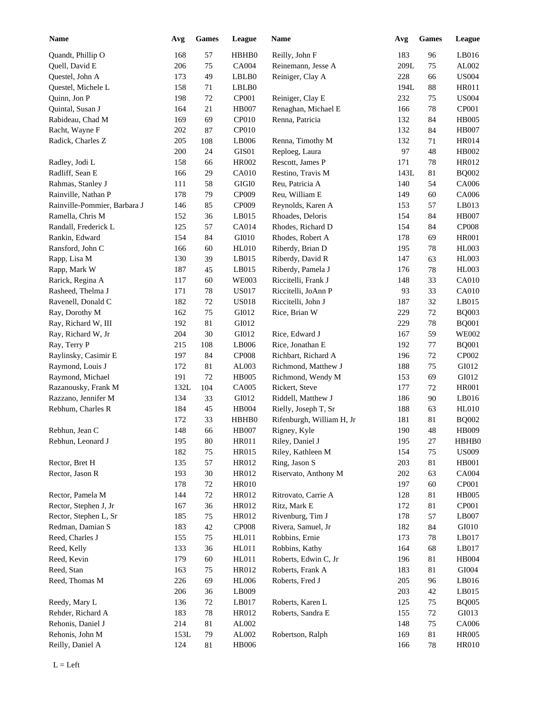| <b>Name</b>                  | Avg  | <b>Games</b> | League       | Name                      | Avg  | <b>Games</b> | League         |
|------------------------------|------|--------------|--------------|---------------------------|------|--------------|----------------|
| Quandt, Phillip O            | 168  | 57           | HBHB0        | Reilly, John F            | 183  | 96           | LB016          |
| Quell, David E               | 206  | 75           | CA004        | Reinemann, Jesse A        | 209L | 75           | AL002          |
| Questel, John A              | 173  | 49           | LBLB0        | Reiniger, Clay A          | 228  | 66           | <b>US004</b>   |
| Questel, Michele L           | 158  | 71           | LBLB0        |                           | 194L | $88\,$       | <b>HR011</b>   |
| Quinn, Jon P                 | 198  | $72\,$       | CP001        | Reiniger, Clay E          | 232  | 75           | <b>US004</b>   |
| Quintal, Susan J             | 164  | 21           | <b>HB007</b> | Renaghan, Michael E       | 166  | 78           | CP001          |
| Rabideau, Chad M             | 169  | 69           | CP010        | Renna, Patricia           | 132  | 84           | <b>HB005</b>   |
| Racht, Wayne F               | 202  | 87           | CP010        |                           | 132  | 84           | <b>HB007</b>   |
| Radick, Charles Z            | 205  | 108          | LB006        | Renna, Timothy M          | 132  | 71           | HR014          |
|                              | 200  | 24           | GIS01        | Reploeg, Laura            | 97   | 48           | HB002          |
| Radley, Jodi L               | 158  | 66           | HR002        | Rescott, James P          | 171  | 78           | HR012          |
| Radliff, Sean E              | 166  | 29           | CA010        | Restino, Travis M         | 143L | 81           | <b>BQ002</b>   |
| Rahmas, Stanley J            | 111  | 58           | GIGI0        | Reu, Patricia A           | 140  | 54           | CA006          |
| Rainville, Nathan P          | 178  | 79           | CP009        | Reu, William E            | 149  | 60           | CA006          |
| Rainville-Pommier, Barbara J | 146  | 85           | CP009        | Reynolds, Karen A         | 153  | 57           | LB013          |
| Ramella, Chris M             | 152  | 36           | LB015        | Rhoades, Deloris          | 154  | 84           | <b>HB007</b>   |
| Randall, Frederick L         | 125  | 57           | CA014        | Rhodes, Richard D         | 154  | 84           | <b>CP008</b>   |
| Rankin, Edward               | 154  | 84           | GI010        | Rhodes, Robert A          | 178  | 69           | <b>HR001</b>   |
|                              |      |              | <b>HL010</b> |                           |      |              |                |
| Ransford, John C             | 166  | 60           |              | Riberdy, Brian D          | 195  | 78           | <b>HL003</b>   |
| Rapp, Lisa M                 | 130  | 39           | LB015        | Riberdy, David R          | 147  | 63           | <b>HL003</b>   |
| Rapp, Mark W                 | 187  | 45           | LB015        | Riberdy, Pamela J         | 176  | 78           | <b>HL003</b>   |
| Rarick, Regina A             | 117  | 60           | <b>WE003</b> | Riccitelli, Frank J       | 148  | 33           | <b>CA010</b>   |
| Rasheed, Thelma J            | 171  | 78           | <b>US017</b> | Riccitelli, JoAnn P       | 93   | 33           | <b>CA010</b>   |
| Ravenell, Donald C           | 182  | 72           | <b>US018</b> | Riccitelli, John J        | 187  | 32           | LB015          |
| Ray, Dorothy M               | 162  | 75           | GI012        | Rice, Brian W             | 229  | 72           | <b>BQ003</b>   |
| Ray, Richard W, III          | 192  | 81           | GI012        |                           | 229  | 78           | <b>BQ001</b>   |
| Ray, Richard W, Jr           | 204  | 30           | GI012        | Rice, Edward J            | 167  | 59           | <b>WE002</b>   |
| Ray, Terry P                 | 215  | 108          | LB006        | Rice, Jonathan E          | 192  | 77           | <b>BQ001</b>   |
| Raylinsky, Casimir E         | 197  | 84           | <b>CP008</b> | Richbart, Richard A       | 196  | 72           | CP002          |
| Raymond, Louis J             | 172  | 81           | AL003        | Richmond, Matthew J       | 188  | 75           | GI012          |
| Raymond, Michael             | 191  | 72           | <b>HB005</b> | Richmond, Wendy M         | 153  | 69           | GI012          |
| Razanousky, Frank M          | 132L | 104          | CA005        | Rickert, Steve            | 177  | 72           | <b>HR001</b>   |
| Razzano, Jennifer M          | 134  | 33           | GI012        | Riddell, Matthew J        | 186  | 90           | LB016          |
| Rebhum, Charles R            | 184  | 45           | <b>HB004</b> | Rielly, Joseph T, Sr      | 188  | 63           | <b>HL010</b>   |
|                              | 172  | 33           | HBHB0        | Rifenburgh, William H, Jr | 181  | 81           | <b>BQ002</b>   |
| Rebhun, Jean C               | 148  | 66           | <b>HB007</b> | Rigney, Kyle              | 190  | 48           | HB009          |
| Rebhun, Leonard J            | 195  | $80\,$       | HR011        | Riley, Daniel J           | 195  | 27           | HBHB0          |
|                              | 182  | $75\,$       | HR015        | Riley, Kathleen M         | 154  | 75           | <b>US009</b>   |
| Rector, Bret H               | 135  | 57           | HR012        | Ring, Jason S             | 203  | 81           | HB001          |
| Rector, Jason R              | 193  | $30\,$       | HR012        | Riservato, Anthony M      | 202  | 63           | CA004          |
|                              | 178  | $72\,$       | <b>HR010</b> |                           | 197  | 60           | CP001          |
| Rector, Pamela M             | 144  | $72\,$       | HR012        | Ritrovato, Carrie A       | 128  | 81           | <b>HB005</b>   |
| Rector, Stephen J, Jr        | 167  | 36           | HR012        | Ritz, Mark E              | 172  | 81           | CP001          |
| Rector, Stephen L, Sr        | 185  | 75           | HR012        | Rivenburg, Tim J          | 178  | 57           | LB007          |
| Redman, Damian S             | 183  | $42\,$       | CP008        | Rivera, Samuel, Jr        | 182  | 84           | ${\rm G I}010$ |
| Reed, Charles J              | 155  | 75           | HL011        | Robbins, Ernie            | 173  | 78           | LB017          |
| Reed, Kelly                  | 133  | 36           | HL011        | Robbins, Kathy            | 164  | 68           | LB017          |
| Reed, Kevin                  | 179  | 60           | HL011        | Roberts, Edwin C, Jr      | 196  | 81           | HB004          |
| Reed, Stan                   | 163  | 75           | HR012        | Roberts, Frank A          | 183  | 81           | GI004          |
| Reed, Thomas M               | 226  | 69           | <b>HL006</b> | Roberts, Fred J           | 205  | 96           | LB016          |
|                              | 206  | 36           | LB009        |                           | 203  | 42           | LB015          |
| Reedy, Mary L                | 136  | $72\,$       | LB017        | Roberts, Karen L          | 125  | 75           | <b>BQ005</b>   |
| Rehder, Richard A            | 183  | 78           | HR012        | Roberts, Sandra E         | 155  | 72           | GI013          |
| Rehonis, Daniel J            | 214  | 81           | AL002        |                           | 148  | 75           | CA006          |
| Rehonis, John M              | 153L | 79           | AL002        | Robertson, Ralph          | 169  | 81           | <b>HR005</b>   |
|                              |      |              |              |                           |      |              |                |
| Reilly, Daniel A             | 124  | 81           | <b>HB006</b> |                           | 166  | 78           | <b>HR010</b>   |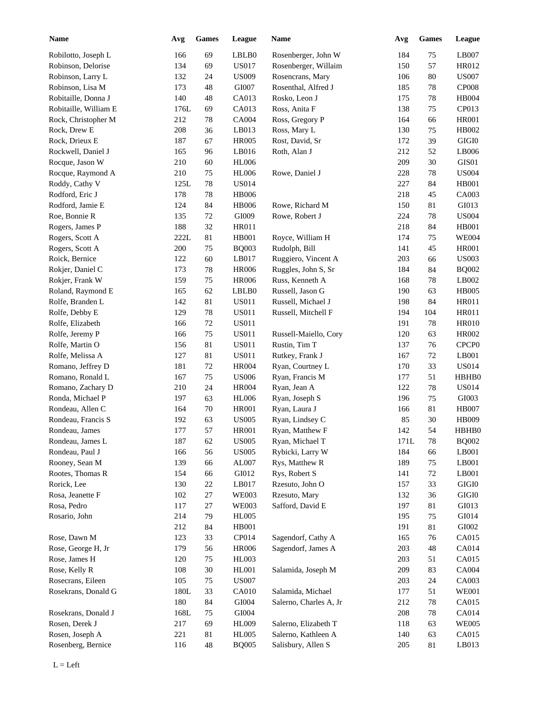| <b>Name</b>           | Avg  | <b>Games</b> | League       | <b>Name</b>            | Avg  | <b>Games</b> | League            |
|-----------------------|------|--------------|--------------|------------------------|------|--------------|-------------------|
| Robilotto, Joseph L   | 166  | 69           | LBLB0        | Rosenberger, John W    | 184  | 75           | LB007             |
| Robinson, Delorise    | 134  | 69           | <b>US017</b> | Rosenberger, Willaim   | 150  | 57           | HR012             |
| Robinson, Larry L     | 132  | 24           | <b>US009</b> | Rosencrans, Mary       | 106  | 80           | <b>US007</b>      |
| Robinson, Lisa M      | 173  | 48           | GI007        | Rosenthal, Alfred J    | 185  | 78           | <b>CP008</b>      |
| Robitaille, Donna J   | 140  | 48           | CA013        | Rosko, Leon J          | 175  | 78           | HB004             |
| Robitaille, William E | 176L | 69           | CA013        | Ross, Anita F          | 138  | 75           | CP013             |
| Rock, Christopher M   | 212  | 78           | <b>CA004</b> | Ross, Gregory P        | 164  | 66           | <b>HR001</b>      |
| Rock, Drew E          | 208  | 36           | LB013        | Ross, Mary L           | 130  | 75           | HB002             |
| Rock, Drieux E        | 187  | 67           | <b>HR005</b> | Rost, David, Sr        | 172  | 39           | GIGI0             |
| Rockwell, Daniel J    | 165  | 96           | LB016        | Roth, Alan J           | 212  | 52           | LB006             |
| Rocque, Jason W       | 210  | 60           | <b>HL006</b> |                        | 209  | 30           | GIS01             |
| Rocque, Raymond A     | 210  | 75           | <b>HL006</b> | Rowe, Daniel J         | 228  | 78           | <b>US004</b>      |
| Roddy, Cathy V        | 125L | 78           | <b>US014</b> |                        | 227  | 84           | <b>HB001</b>      |
| Rodford, Eric J       | 178  |              | <b>HB006</b> |                        | 218  |              | CA003             |
|                       |      | 78           |              |                        |      | 45           |                   |
| Rodford, Jamie E      | 124  | 84           | <b>HB006</b> | Rowe, Richard M        | 150  | 81           | GI013             |
| Roe, Bonnie R         | 135  | 72           | GI009        | Rowe, Robert J         | 224  | 78           | <b>US004</b>      |
| Rogers, James P       | 188  | 32           | HR011        |                        | 218  | 84           | <b>HB001</b>      |
| Rogers, Scott A       | 222L | 81           | <b>HB001</b> | Royce, William H       | 174  | 75           | <b>WE004</b>      |
| Rogers, Scott A       | 200  | 75           | <b>BQ003</b> | Rudolph, Bill          | 141  | 45           | <b>HR001</b>      |
| Roick, Bernice        | 122  | 60           | LB017        | Ruggiero, Vincent A    | 203  | 66           | <b>US003</b>      |
| Rokjer, Daniel C      | 173  | 78           | <b>HR006</b> | Ruggles, John S, Sr    | 184  | 84           | <b>BQ002</b>      |
| Rokjer, Frank W       | 159  | $75\,$       | <b>HR006</b> | Russ, Kenneth A        | 168  | 78           | LB002             |
| Roland, Raymond E     | 165  | 62           | LBLB0        | Russell, Jason G       | 190  | 63           | <b>HB005</b>      |
| Rolfe, Branden L      | 142  | $81\,$       | <b>US011</b> | Russell, Michael J     | 198  | 84           | HR011             |
| Rolfe, Debby E        | 129  | 78           | <b>US011</b> | Russell, Mitchell F    | 194  | 104          | <b>HR011</b>      |
| Rolfe, Elizabeth      | 166  | $72\,$       | <b>US011</b> |                        | 191  | 78           | <b>HR010</b>      |
| Rolfe, Jeremy P       | 166  | $75\,$       | <b>US011</b> | Russell-Maiello, Cory  | 120  | 63           | HR002             |
| Rolfe, Martin O       | 156  | $81\,$       | <b>US011</b> | Rustin, Tim T          | 137  | 76           | CPCP <sub>0</sub> |
| Rolfe, Melissa A      | 127  | $81\,$       | <b>US011</b> | Rutkey, Frank J        | 167  | 72           | LB001             |
| Romano, Jeffrey D     | 181  | 72           | <b>HR004</b> | Ryan, Courtney L       | 170  | 33           | <b>US014</b>      |
| Romano, Ronald L      | 167  | 75           | <b>US006</b> | Ryan, Francis M        | 177  | 51           | HBHB0             |
| Romano, Zachary D     | 210  | 24           | <b>HR004</b> | Ryan, Jean A           | 122  | 78           | <b>US014</b>      |
| Ronda, Michael P      | 197  | 63           | <b>HL006</b> | Ryan, Joseph S         | 196  | 75           | GI003             |
| Rondeau, Allen C      | 164  | 70           | <b>HR001</b> | Ryan, Laura J          | 166  | $81\,$       | <b>HB007</b>      |
| Rondeau, Francis S    | 192  | 63           | <b>US005</b> | Ryan, Lindsey C        | 85   | 30           | <b>HB009</b>      |
| Rondeau, James        | 177  | 57           | <b>HR001</b> | Ryan, Matthew F        | 142  | 54           | HBHB0             |
| Rondeau, James L      | 187  | 62           | <b>US005</b> | Ryan, Michael T        | 171L | 78           | <b>BQ002</b>      |
| Rondeau, Paul J       | 166  | 56           | <b>US005</b> | Rybicki, Larry W       | 184  | 66           | LB001             |
| Rooney, Sean M        |      |              |              |                        |      |              | LB001             |
|                       | 139  | 66           | AL007        | Rys, Matthew R         | 189  | 75           |                   |
| Rootes, Thomas R      | 154  | 66           | GI012        | Rys, Robert S          | 141  | 72           | LB001             |
| Rorick, Lee           | 130  | $22\,$       | LB017        | Rzesuto, John O        | 157  | 33           | $\rm GIGI0$       |
| Rosa, Jeanette F      | 102  | $27\,$       | <b>WE003</b> | Rzesuto, Mary          | 132  | 36           | $\rm GIGI0$       |
| Rosa, Pedro           | 117  | $27\,$       | <b>WE003</b> | Safford, David E       | 197  | 81           | GI013             |
| Rosario, John         | 214  | 79           | <b>HL005</b> |                        | 195  | 75           | GI014             |
|                       | 212  | 84           | HB001        |                        | 191  | 81           | GI002             |
| Rose, Dawn M          | 123  | 33           | CP014        | Sagendorf, Cathy A     | 165  | 76           | CA015             |
| Rose, George H, Jr    | 179  | 56           | <b>HR006</b> | Sagendorf, James A     | 203  | 48           | CA014             |
| Rose, James H         | 120  | $75\,$       | <b>HL003</b> |                        | 203  | 51           | CA015             |
| Rose, Kelly R         | 108  | 30           | HL001        | Salamida, Joseph M     | 209  | 83           | CA004             |
| Rosecrans, Eileen     | 105  | $75\,$       | <b>US007</b> |                        | 203  | 24           | CA003             |
| Rosekrans, Donald G   | 180L | 33           | CA010        | Salamida, Michael      | 177  | 51           | <b>WE001</b>      |
|                       | 180  | 84           | GI004        | Salerno, Charles A, Jr | 212  | 78           | CA015             |
| Rosekrans, Donald J   | 168L | $75\,$       | GI004        |                        | 208  | 78           | CA014             |
| Rosen, Derek J        | 217  | 69           | <b>HL009</b> | Salerno, Elizabeth T   | 118  | 63           | <b>WE005</b>      |
| Rosen, Joseph A       | 221  | 81           | <b>HL005</b> | Salerno, Kathleen A    | 140  | 63           | CA015             |
| Rosenberg, Bernice    | 116  | 48           | <b>BQ005</b> | Salisbury, Allen S     | 205  | 81           | LB013             |
|                       |      |              |              |                        |      |              |                   |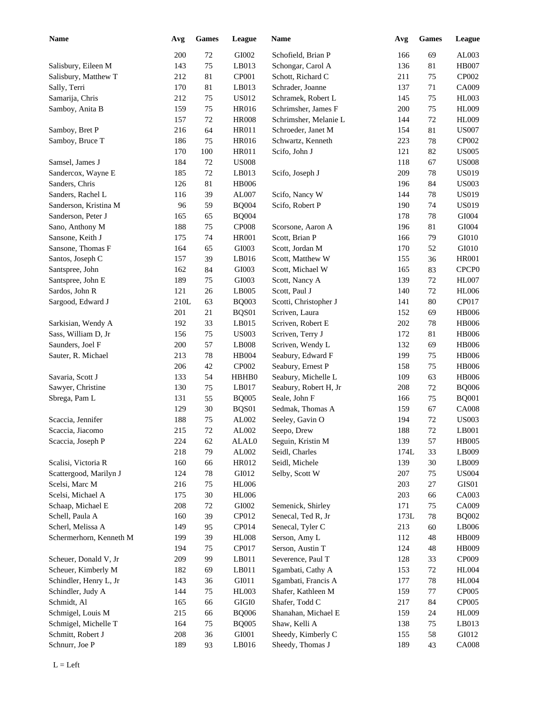| <b>Name</b>             | Avg  | <b>Games</b> | League       | Name                                     | Avg  | <b>Games</b> | League            |
|-------------------------|------|--------------|--------------|------------------------------------------|------|--------------|-------------------|
|                         | 200  | 72           | GI002        | Schofield, Brian P                       | 166  | 69           | AL003             |
| Salisbury, Eileen M     | 143  | 75           | LB013        | Schongar, Carol A                        | 136  | 81           | <b>HB007</b>      |
| Salisbury, Matthew T    | 212  | 81           | CP001        | Schott, Richard C                        | 211  | 75           | CP002             |
| Sally, Terri            | 170  | 81           | LB013        | Schrader, Joanne                         | 137  | 71           | CA009             |
| Samarija, Chris         | 212  | 75           | US012        | Schramek, Robert L                       | 145  | 75           | HL003             |
| Samboy, Anita B         | 159  | 75           | HR016        | Schrimsher, James F                      | 200  | 75           | <b>HL009</b>      |
|                         | 157  | 72           | <b>HR008</b> | Schrimsher, Melanie L                    | 144  | 72           | <b>HL009</b>      |
| Samboy, Bret P          | 216  | 64           | <b>HR011</b> | Schroeder, Janet M                       | 154  | 81           | <b>US007</b>      |
| Samboy, Bruce T         | 186  | 75           | HR016        | Schwartz, Kenneth                        | 223  | 78           | CP002             |
|                         | 170  | 100          | HR011        | Scifo, John J                            | 121  | 82           | <b>US005</b>      |
| Samsel, James J         | 184  | 72           | <b>US008</b> |                                          | 118  | 67           | <b>US008</b>      |
| Sandercox, Wayne E      | 185  | $72\,$       | LB013        | Scifo, Joseph J                          | 209  | 78           | <b>US019</b>      |
| Sanders, Chris          | 126  | 81           | <b>HB006</b> |                                          | 196  | 84           | <b>US003</b>      |
| Sanders, Rachel L       | 116  | 39           | AL007        | Scifo, Nancy W                           | 144  | 78           | <b>US019</b>      |
| Sanderson, Kristina M   | 96   | 59           | <b>BQ004</b> | Scifo, Robert P                          | 190  | 74           | <b>US019</b>      |
| Sanderson, Peter J      | 165  | 65           | <b>BQ004</b> |                                          | 178  | 78           | GI004             |
| Sano, Anthony M         | 188  | 75           | <b>CP008</b> | Scorsone, Aaron A                        | 196  | 81           | GI004             |
| Sansone, Keith J        | 175  | 74           | <b>HR001</b> | Scott, Brian P                           | 166  | 79           | GI010             |
| Sansone, Thomas F       | 164  | 65           | GI003        | Scott, Jordan M                          | 170  | 52           | GI010             |
| Santos, Joseph C        | 157  | 39           | LB016        | Scott, Matthew W                         | 155  | 36           | <b>HR001</b>      |
| Santspree, John         | 162  | 84           | GI003        | Scott, Michael W                         | 165  | 83           | CPCP <sub>0</sub> |
| Santspree, John E       | 189  | 75           | GI003        | Scott, Nancy A                           | 139  | 72           | <b>HL007</b>      |
| Sardos, John R          | 121  | 26           | LB005        | Scott, Paul J                            | 140  | 72           | <b>HL006</b>      |
| Sargood, Edward J       | 210L | 63           | <b>BQ003</b> | Scotti, Christopher J                    | 141  | 80           | CP017             |
|                         | 201  | 21           | BQS01        | Scriven, Laura                           | 152  | 69           | <b>HB006</b>      |
| Sarkisian, Wendy A      | 192  | 33           | LB015        | Scriven, Robert E                        | 202  | 78           | <b>HB006</b>      |
| Sass, William D, Jr     | 156  | 75           | <b>US003</b> | Scriven, Terry J                         | 172  | 81           | <b>HB006</b>      |
| Saunders, Joel F        | 200  | 57           | LB008        | Scriven, Wendy L                         | 132  | 69           | <b>HB006</b>      |
| Sauter, R. Michael      | 213  | 78           | HB004        | Seabury, Edward F                        | 199  | 75           | <b>HB006</b>      |
|                         | 206  | 42           | CP002        |                                          | 158  | 75           | <b>HB006</b>      |
| Savaria, Scott J        | 133  | 54           | HBHB0        | Seabury, Ernest P<br>Seabury, Michelle L | 109  | 63           | <b>HB006</b>      |
| Sawyer, Christine       |      |              |              |                                          |      |              |                   |
|                         | 130  | 75           | LB017        | Seabury, Robert H, Jr                    | 208  | $72\,$       | <b>BQ006</b>      |
| Sbrega, Pam L           | 131  | 55           | <b>BQ005</b> | Seale, John F                            | 166  | 75           | <b>BQ001</b>      |
|                         | 129  | 30           | BQS01        | Sedmak, Thomas A                         | 159  | 67           | <b>CA008</b>      |
| Scaccia, Jennifer       | 188  | 75           | AL002        | Seeley, Gavin O                          | 194  | 72           | <b>US003</b>      |
| Scaccia, Jiacomo        | 215  | 72           | AL002        | Seepo, Drew                              | 188  | $72\,$       | LB001             |
| Scaccia, Joseph P       | 224  | 62           | ALAL0        | Seguin, Kristin M                        | 139  | 57           | <b>HB005</b>      |
|                         | 218  | 79           | AL002        | Seidl, Charles                           | 174L | 33           | LB009             |
| Scalisi, Victoria R     | 160  | 66           | HR012        | Seidl, Michele                           | 139  | 30           | LB009             |
| Scattergood, Marilyn J  | 124  | $78\,$       | GI012        | Selby, Scott W                           | 207  | 75           | <b>US004</b>      |
| Scelsi, Marc M          | 216  | 75           | <b>HL006</b> |                                          | 203  | 27           | GIS01             |
| Scelsi, Michael A       | 175  | $30\,$       | <b>HL006</b> |                                          | 203  | 66           | CA003             |
| Schaap, Michael E       | 208  | $72\,$       | GI002        | Semenick, Shirley                        | 171  | 75           | CA009             |
| Schell, Paula A         | 160  | 39           | CP012        | Senecal, Ted R, Jr                       | 173L | $78\,$       | <b>BQ002</b>      |
| Scherl, Melissa A       | 149  | 95           | CP014        | Senecal, Tyler C                         | 213  | 60           | LB006             |
| Schermerhorn, Kenneth M | 199  | 39           | <b>HL008</b> | Serson, Amy L                            | 112  | 48           | HB009             |
|                         | 194  | $75\,$       | CP017        | Serson, Austin T                         | 124  | 48           | HB009             |
| Scheuer, Donald V, Jr   | 209  | 99           | LB011        | Severence, Paul T                        | 128  | 33           | CP009             |
| Scheuer, Kimberly M     | 182  | 69           | LB011        | Sgambati, Cathy A                        | 153  | $72\,$       | $\rm HL004$       |
| Schindler, Henry L, Jr  | 143  | 36           | GI011        | Sgambati, Francis A                      | 177  | $78\,$       | <b>HL004</b>      |
| Schindler, Judy A       | 144  | 75           | HL003        | Shafer, Kathleen M                       | 159  | 77           | CP005             |
| Schmidt, Al             | 165  | 66           | $\rm GIGI0$  | Shafer, Todd C                           | 217  | 84           | CP005             |
| Schmigel, Louis M       | 215  | 66           | <b>BQ006</b> | Shanahan, Michael E                      | 159  | 24           | HL009             |
| Schmigel, Michelle T    | 164  | 75           | <b>BQ005</b> | Shaw, Kelli A                            | 138  | 75           | LB013             |
| Schmitt, Robert J       | 208  | 36           | GI001        | Sheedy, Kimberly C                       | 155  | 58           | GI012             |
| Schnurr, Joe P          | 189  | 93           | LB016        | Sheedy, Thomas J                         | 189  | 43           | <b>CA008</b>      |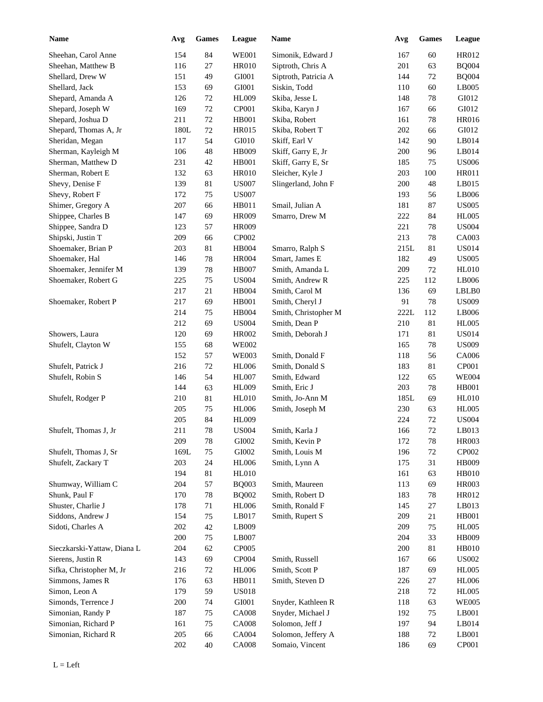| <b>Name</b>                 | Avg        | <b>Games</b> | League       | Name                 | Avg  | <b>Games</b> | League       |
|-----------------------------|------------|--------------|--------------|----------------------|------|--------------|--------------|
| Sheehan, Carol Anne         | 154        | 84           | <b>WE001</b> | Simonik, Edward J    | 167  | 60           | HR012        |
| Sheehan, Matthew B          | 116        | 27           | <b>HR010</b> | Siptroth, Chris A    | 201  | 63           | <b>BQ004</b> |
| Shellard, Drew W            | 151        | 49           | GI001        | Siptroth, Patricia A | 144  | 72           | <b>BQ004</b> |
| Shellard, Jack              | 153        | 69           | GI001        | Siskin, Todd         | 110  | 60           | LB005        |
| Shepard, Amanda A           | 126        | 72           | HL009        | Skiba, Jesse L       | 148  | 78           | GI012        |
| Shepard, Joseph W           | 169        | $72\,$       | CP001        | Skiba, Karyn J       | 167  | 66           | GI012        |
| Shepard, Joshua D           | 211        | $72\,$       | <b>HB001</b> | Skiba, Robert        | 161  | 78           | HR016        |
| Shepard, Thomas A, Jr       | 180L       | $72\,$       | HR015        | Skiba, Robert T      | 202  | 66           | GI012        |
| Sheridan, Megan             | 117        | 54           | GI010        | Skiff, Earl V        | 142  | 90           | LB014        |
| Sherman, Kayleigh M         | 106        | 48           | HB009        | Skiff, Garry E, Jr   | 200  | 96           | LB014        |
| Sherman, Matthew D          | 231        | 42           | <b>HB001</b> | Skiff, Garry E, Sr   | 185  | 75           | <b>US006</b> |
| Sherman, Robert E           | 132        | 63           | <b>HR010</b> | Sleicher, Kyle J     | 203  | 100          | HR011        |
| Shevy, Denise F             | 139        | 81           | <b>US007</b> | Slingerland, John F  | 200  | 48           | LB015        |
| Shevy, Robert F             | 172        | 75           | <b>US007</b> |                      | 193  | 56           | LB006        |
| Shimer, Gregory A           | 207        | 66           | HB011        | Smail, Julian A      | 181  | 87           | <b>US005</b> |
| Shippee, Charles B          | 147        | 69           | <b>HR009</b> | Smarro, Drew M       | 222  | 84           | <b>HL005</b> |
| Shippee, Sandra D           | 123        | 57           | <b>HR009</b> |                      | 221  | 78           | <b>US004</b> |
| Shipski, Justin T           | 209        | 66           | CP002        |                      | 213  | 78           | CA003        |
| Shoemaker, Brian P          | 203        | 81           | <b>HB004</b> | Smarro, Ralph S      | 215L | 81           | <b>US014</b> |
| Shoemaker, Hal              | 146        | 78           | <b>HR004</b> | Smart, James E       | 182  | 49           | <b>US005</b> |
| Shoemaker, Jennifer M       | 139        | 78           | <b>HB007</b> | Smith, Amanda L      | 209  | 72           | <b>HL010</b> |
| Shoemaker, Robert G         | 225        | 75           | <b>US004</b> | Smith, Andrew R      | 225  | 112          | LB006        |
|                             | 217        | 21           | <b>HB004</b> | Smith, Carol M       | 136  | 69           | LBLB0        |
| Shoemaker, Robert P         | 217        | 69           | <b>HB001</b> | Smith, Cheryl J      | 91   | 78           | <b>US009</b> |
|                             | 214        | 75           | HB004        | Smith, Christopher M | 222L | 112          | LB006        |
|                             | 212        | 69           | <b>US004</b> | Smith, Dean P        | 210  | $81\,$       | <b>HL005</b> |
| Showers, Laura              | 120        | 69           | HR002        | Smith, Deborah J     | 171  | $81\,$       | <b>US014</b> |
| Shufelt, Clayton W          | 155        | 68           | <b>WE002</b> |                      | 165  | 78           | <b>US009</b> |
|                             | 152        | 57           | <b>WE003</b> | Smith, Donald F      | 118  |              | CA006        |
| Shufelt, Patrick J          | 216        | 72           |              |                      |      | 56<br>81     | CP001        |
| Shufelt, Robin S            |            | 54           | <b>HL006</b> | Smith, Donald S      | 183  |              |              |
|                             | 146<br>144 | 63           | <b>HL007</b> | Smith, Edward        | 122  | 65           | <b>WE004</b> |
|                             |            |              | <b>HL009</b> | Smith, Eric J        | 203  | 78           | <b>HB001</b> |
| Shufelt, Rodger P           | 210        | 81           | <b>HL010</b> | Smith, Jo-Ann M      | 185L | 69           | <b>HL010</b> |
|                             | 205        | $75\,$       | <b>HL006</b> | Smith, Joseph M      | 230  | 63           | <b>HL005</b> |
|                             | 205        | 84           | <b>HL009</b> |                      | 224  | 72           | <b>US004</b> |
| Shufelt, Thomas J, Jr       | 211        | $78\,$       | <b>US004</b> | Smith, Karla J       | 166  | $72\,$       | LB013        |
|                             | 209        | $78\,$       | GI002        | Smith, Kevin P       | 172  | 78           | HR003        |
| Shufelt, Thomas J, Sr       | 169L       | $75\,$       | GI002        | Smith, Louis M       | 196  | 72           | CP002        |
| Shufelt, Zackary T          | 203        | $24\,$       | <b>HL006</b> | Smith, Lynn A        | 175  | 31           | <b>HB009</b> |
|                             | 194        | $81\,$       | <b>HL010</b> |                      | 161  | 63           | <b>HB010</b> |
| Shumway, William C          | 204        | 57           | <b>BQ003</b> | Smith, Maureen       | 113  | 69           | <b>HR003</b> |
| Shunk, Paul F               | 170        | 78           | <b>BQ002</b> | Smith, Robert D      | 183  | 78           | HR012        |
| Shuster, Charlie J          | 178        | 71           | <b>HL006</b> | Smith, Ronald F      | 145  | 27           | LB013        |
| Siddons, Andrew J           | 154        | 75           | LB017        | Smith, Rupert S      | 209  | 21           | <b>HB001</b> |
| Sidoti, Charles A           | 202        | $42\,$       | LB009        |                      | 209  | 75           | <b>HL005</b> |
|                             | 200        | 75           | LB007        |                      | 204  | 33           | <b>HB009</b> |
| Sieczkarski-Yattaw, Diana L | 204        | 62           | CP005        |                      | 200  | 81           | HB010        |
| Sierens, Justin R           | 143        | 69           | CP004        | Smith, Russell       | 167  | 66           | <b>US002</b> |
| Sifka, Christopher M, Jr    | 216        | 72           | <b>HL006</b> | Smith, Scott P       | 187  | 69           | <b>HL005</b> |
| Simmons, James R            | 176        | 63           | HB011        | Smith, Steven D      | 226  | 27           | <b>HL006</b> |
| Simon, Leon A               | 179        | 59           | <b>US018</b> |                      | 218  | $72\,$       | <b>HL005</b> |
| Simonds, Terrence J         | 200        | 74           | GI001        | Snyder, Kathleen R   | 118  | 63           | <b>WE005</b> |
| Simonian, Randy P           | 187        | 75           | <b>CA008</b> | Snyder, Michael J    | 192  | $75\,$       | LB001        |
| Simonian, Richard P         | 161        | 75           | <b>CA008</b> | Solomon, Jeff J      | 197  | 94           | LB014        |
| Simonian, Richard R         | 205        | 66           | CA004        | Solomon, Jeffery A   | 188  | 72           | LB001        |
|                             | 202        | 40           | <b>CA008</b> | Somaio, Vincent      | 186  | 69           | CP001        |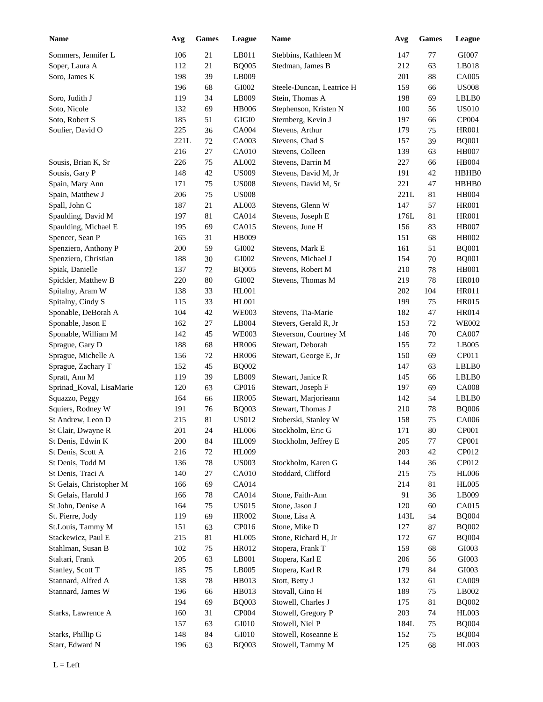| <b>Name</b>              | Avg     | <b>Games</b> | League        | <b>Name</b>               | Avg  | <b>Games</b> | League       |
|--------------------------|---------|--------------|---------------|---------------------------|------|--------------|--------------|
| Sommers, Jennifer L      | 106     | 21           | LB011         | Stebbins, Kathleen M      | 147  | 77           | GI007        |
| Soper, Laura A           | 112     | 21           | <b>BQ005</b>  | Stedman, James B          | 212  | 63           | LB018        |
| Soro, James K            | 198     | 39           | LB009         |                           | 201  | 88           | CA005        |
|                          | 196     | 68           | GI002         | Steele-Duncan, Leatrice H | 159  | 66           | <b>US008</b> |
| Soro, Judith J           | 119     | 34           | LB009         | Stein, Thomas A           | 198  | 69           | LBLB0        |
| Soto, Nicole             | 132     | 69           | <b>HB006</b>  | Stephenson, Kristen N     | 100  | 56           | <b>US010</b> |
| Soto, Robert S           | 185     | 51           | GIGI0         | Sternberg, Kevin J        | 197  | 66           | CP004        |
| Soulier, David O         | 225     | 36           | CA004         | Stevens, Arthur           | 179  | 75           | <b>HR001</b> |
|                          | 221L    | $72\,$       | CA003         | Stevens, Chad S           | 157  | 39           | <b>BQ001</b> |
|                          | 216     | 27           | CA010         | Stevens, Colleen          | 139  | 63           | <b>HB007</b> |
| Sousis, Brian K, Sr      | 226     | 75           | AL002         | Stevens, Darrin M         | 227  | 66           | HB004        |
| Sousis, Gary P           | 148     | 42           | <b>US009</b>  | Stevens, David M, Jr      | 191  | 42           | HBHB0        |
| Spain, Mary Ann          | 171     | 75           | <b>US008</b>  | Stevens, David M, Sr      | 221  | 47           | HBHB0        |
| Spain, Matthew J         | 206     | 75           | <b>US008</b>  |                           | 221L | 81           | HB004        |
| Spall, John C            | 187     | 21           | AL003         | Stevens, Glenn W          | 147  | 57           | <b>HR001</b> |
| Spaulding, David M       | 197     | 81           | CA014         | Stevens, Joseph E         | 176L | 81           | <b>HR001</b> |
| Spaulding, Michael E     | 195     | 69           | CA015         | Stevens, June H           | 156  | 83           | <b>HB007</b> |
| Spencer, Sean P          | 165     | 31           | <b>HB009</b>  |                           | 151  | 68           | HB002        |
| Spenziero, Anthony P     | 200     | 59           | GI002         | Stevens, Mark E           | 161  | 51           | <b>BQ001</b> |
| Spenziero, Christian     | 188     | 30           | GI002         | Stevens, Michael J        | 154  | 70           | <b>BQ001</b> |
| Spiak, Danielle          | 137     | $72\,$       | <b>BQ005</b>  | Stevens, Robert M         | 210  | 78           | <b>HB001</b> |
| Spickler, Matthew B      | 220     | 80           | GI002         | Stevens, Thomas M         | 219  | 78           | <b>HR010</b> |
| Spitalny, Aram W         | 138     | 33           | <b>HL001</b>  |                           | 202  | 104          | HR011        |
| Spitalny, Cindy S        | 115     | 33           | <b>HL001</b>  |                           | 199  | 75           | HR015        |
| Sponable, DeBorah A      | 104     | 42           | <b>WE003</b>  | Stevens, Tia-Marie        | 182  | 47           | HR014        |
|                          |         |              |               |                           |      |              |              |
| Sponable, Jason E        | 162     | 27           | LB004         | Stevers, Gerald R, Jr     | 153  | 72           | <b>WE002</b> |
| Sponable, William M      | 142     | 45           | <b>WE003</b>  | Steverson, Courtney M     | 146  | 70           | CA007        |
| Sprague, Gary D          | 188     | 68           | <b>HR006</b>  | Stewart, Deborah          | 155  | 72           | LB005        |
| Sprague, Michelle A      | 156     | 72           | <b>HR006</b>  | Stewart, George E, Jr     | 150  | 69           | CP011        |
| Sprague, Zachary T       | 152     | 45           | <b>BQ002</b>  |                           | 147  | 63           | LBLB0        |
| Spratt, Ann M            | 119     | 39           | LB009         | Stewart, Janice R         | 145  | 66           | LBLB0        |
| Sprinad_Koval, LisaMarie | 120     | 63           | CP016         | Stewart, Joseph F         | 197  | 69           | <b>CA008</b> |
| Squazzo, Peggy           | 164     | 66           | <b>HR005</b>  | Stewart, Marjorieann      | 142  | 54           | LBLB0        |
| Squiers, Rodney W        | 191     | 76           | <b>BQ003</b>  | Stewart, Thomas J         | 210  | 78           | <b>BQ006</b> |
| St Andrew, Leon D        | 215     | $81\,$       | <b>US012</b>  | Stoberski, Stanley W      | 158  | 75           | CA006        |
| St Clair, Dwayne R       | $201\,$ | 24           | $\rm{H}L006$  | Stockholm, Eric G         | 171  | $80\,$       | CP001        |
| St Denis, Edwin K        | 200     | 84           | <b>HL009</b>  | Stockholm, Jeffrey E      | 205  | 77           | CP001        |
| St Denis, Scott A        | 216     | $72\,$       | <b>HL009</b>  |                           | 203  | 42           | CP012        |
| St Denis, Todd M         | 136     | $78\,$       | <b>US003</b>  | Stockholm, Karen G        | 144  | 36           | CP012        |
| St Denis, Traci A        | 140     | 27           | CA010         | Stoddard, Clifford        | 215  | 75           | <b>HL006</b> |
| St Gelais, Christopher M | 166     | 69           | CA014         |                           | 214  | 81           | <b>HL005</b> |
| St Gelais, Harold J      | 166     | $78\,$       | CA014         | Stone, Faith-Ann          | 91   | 36           | LB009        |
| St John, Denise A        | 164     | 75           | <b>US015</b>  | Stone, Jason J            | 120  | $60\,$       | CA015        |
| St. Pierre, Jody         | 119     | 69           | HR002         | Stone, Lisa A             | 143L | 54           | <b>BQ004</b> |
| St.Louis, Tammy M        | 151     | 63           | CP016         | Stone, Mike D             | 127  | 87           | <b>BQ002</b> |
| Stackewicz, Paul E       | 215     | $81\,$       | <b>HL005</b>  | Stone, Richard H, Jr      | 172  | 67           | <b>BQ004</b> |
| Stahlman, Susan B        | 102     | 75           | HR012         | Stopera, Frank T          | 159  | 68           | GI003        |
| Staltari, Frank          | 205     | 63           | LB001         | Stopera, Karl E           | 206  | 56           | GI003        |
| Stanley, Scott T         | 185     | $75\,$       | LB005         | Stopera, Karl R           | 179  | 84           | $\rm GI003$  |
| Stannard, Alfred A       | 138     | $78\,$       | HB013         | Stott, Betty J            | 132  | 61           | CA009        |
| Stannard, James W        | 196     | 66           | HB013         | Stovall, Gino H           | 189  | 75           | LB002        |
|                          | 194     | 69           | <b>BQ003</b>  | Stowell, Charles J        | 175  | 81           | <b>BQ002</b> |
| Starks, Lawrence A       | 160     | 31           | CP004         | Stowell, Gregory P        | 203  | 74           | <b>HL003</b> |
|                          | 157     | 63           | GI010         | Stowell, Niel P           | 184L | 75           | <b>BQ004</b> |
| Starks, Phillip G        | 148     | 84           | ${\rm G}I010$ | Stowell, Roseanne E       | 152  | 75           | <b>BQ004</b> |
| Starr, Edward N          | 196     | 63           | <b>BQ003</b>  | Stowell, Tammy M          | 125  | 68           | HL003        |
|                          |         |              |               |                           |      |              |              |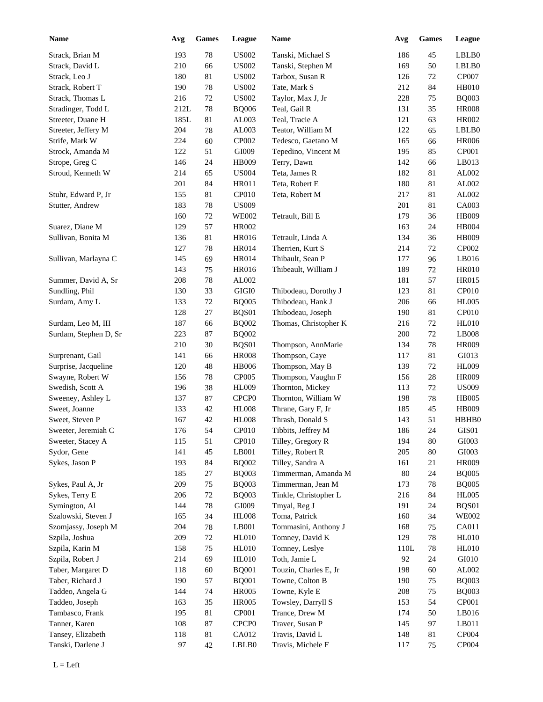| <b>Name</b>                         | Avg        | <b>Games</b> | League            | <b>Name</b>                             | Avg        | <b>Games</b> | League                       |
|-------------------------------------|------------|--------------|-------------------|-----------------------------------------|------------|--------------|------------------------------|
| Strack, Brian M                     | 193        | 78           | <b>US002</b>      | Tanski, Michael S                       | 186        | 45           | LBLB0                        |
| Strack, David L                     | 210        | 66           | <b>US002</b>      | Tanski, Stephen M                       | 169        | 50           | LBLB0                        |
| Strack, Leo J                       | 180        | 81           | <b>US002</b>      | Tarbox, Susan R                         | 126        | 72           | CP007                        |
| Strack, Robert T                    | 190        | 78           | <b>US002</b>      | Tate, Mark S                            | 212        | 84           | <b>HB010</b>                 |
| Strack, Thomas L                    | 216        | $72\,$       | <b>US002</b>      | Taylor, Max J, Jr                       | 228        | 75           | <b>BQ003</b>                 |
| Stradinger, Todd L                  | 212L       | 78           | <b>BQ006</b>      | Teal, Gail R                            | 131        | 35           | <b>HR008</b>                 |
| Streeter, Duane H                   | 185L       | 81           | AL003             | Teal, Tracie A                          | 121        | 63           | <b>HR002</b>                 |
| Streeter, Jeffery M                 | 204        | 78           | AL003             | Teator, William M                       | 122        | 65           | LBLB0                        |
| Strife, Mark W                      | 224        | 60           | CP002             | Tedesco, Gaetano M                      | 165        | 66           | <b>HR006</b>                 |
| Strock, Amanda M                    | 122        | 51           | GI009             | Tepedino, Vincent M                     | 195        | 85           | CP001                        |
| Strope, Greg C                      | 146        | 24           | HB009             | Terry, Dawn                             | 142        | 66           | LB013                        |
| Stroud, Kenneth W                   | 214        | 65           | <b>US004</b>      | Teta, James R                           | 182        | 81           | AL002                        |
|                                     | 201        | 84           | HR011             | Teta, Robert E                          | 180        | 81           | AL002                        |
| Stuhr, Edward P, Jr                 | 155        | 81           | CP010             | Teta, Robert M                          | 217        | 81           | AL002                        |
| Stutter, Andrew                     | 183        | 78           | <b>US009</b>      |                                         | 201        | 81           | CA003                        |
|                                     | 160        | 72           | <b>WE002</b>      | Tetrault, Bill E                        | 179        | 36           | HB009                        |
| Suarez, Diane M                     | 129        | 57           | <b>HR002</b>      |                                         | 163        | 24           | <b>HB004</b>                 |
| Sullivan, Bonita M                  | 136        | 81           | HR016             | Tetrault, Linda A                       | 134        | 36           | HB009                        |
|                                     | 127        | 78           | <b>HR014</b>      | Therrien, Kurt S                        | 214        | 72           | CP002                        |
| Sullivan, Marlayna C                | 145        | 69           | <b>HR014</b>      | Thibault, Sean P                        | 177        | 96           | LB016                        |
|                                     | 143        | 75           | HR016             | Thibeault, William J                    | 189        | 72           | <b>HR010</b>                 |
| Summer, David A, Sr                 | 208        | 78           | AL002             |                                         | 181        | 57           | <b>HR015</b>                 |
| Sundling, Phil                      | 130        | 33           | GIGI0             | Thibodeau, Dorothy J                    | 123        | 81           | CP010                        |
| Surdam, Amy L                       | 133        | 72           | <b>BQ005</b>      | Thibodeau, Hank J                       | 206        | 66           | <b>HL005</b>                 |
|                                     | 128        | 27           | BQS01             | Thibodeau, Joseph                       | 190        | 81           | CP010                        |
| Surdam, Leo M, III                  | 187        | 66           | <b>BQ002</b>      | Thomas, Christopher K                   | 216        | 72           | <b>HL010</b>                 |
| Surdam, Stephen D, Sr               | 223        | 87           | <b>BQ002</b>      |                                         | 200        | 72           | LB008                        |
|                                     | 210        | 30           | BQS01             | Thompson, AnnMarie                      | 134        | 78           | <b>HR009</b>                 |
| Surprenant, Gail                    | 141        | 66           | <b>HR008</b>      | Thompson, Caye                          | 117        | 81           | GI013                        |
| Surprise, Jacqueline                | 120        | 48           | <b>HB006</b>      | Thompson, May B                         | 139        | 72           | <b>HL009</b>                 |
| Swayne, Robert W                    | 156        | 78           | CP005             | Thompson, Vaughn F                      | 156        | 28           | <b>HR009</b>                 |
| Swedish, Scott A                    | 196        | 38           | <b>HL009</b>      | Thornton, Mickey                        | 113        | 72           | <b>US009</b>                 |
|                                     | 137        | $87\,$       | CPCP <sub>0</sub> | Thornton, William W                     | 198        | 78           | <b>HB005</b>                 |
| Sweeney, Ashley L<br>Sweet, Joanne  | 133        | $42\,$       | <b>HL008</b>      | Thrane, Gary F, Jr                      | 185        | 45           | HB009                        |
| Sweet, Steven P                     | 167        | 42           | <b>HL008</b>      | Thrash, Donald S                        | 143        | 51           | HBHB0                        |
| Sweeter, Jeremiah C                 | 176        | 54           | CP010             | Tibbits, Jeffrey M                      | 186        | 24           | GIS01                        |
| Sweeter, Stacey A                   |            | 51           | CP010             | Tilley, Gregory R                       |            |              |                              |
| Sydor, Gene                         | 115<br>141 | 45           | LB001             | Tilley, Robert R                        | 194        | 80           | GI003<br>$\rm GI003$         |
| Sykes, Jason P                      |            |              |                   |                                         | 205        | 80           |                              |
|                                     | 193        | 84           | <b>BQ002</b>      | Tilley, Sandra A<br>Timmerman, Amanda M | 161        | 21           | <b>HR009</b>                 |
|                                     | 185        | 27<br>75     | <b>BQ003</b>      | Timmerman, Jean M                       | 80         | 24           | <b>BQ005</b>                 |
| Sykes, Paul A, Jr<br>Sykes, Terry E | 209<br>206 | $72\,$       | <b>BQ003</b>      | Tinkle, Christopher L                   | 173<br>216 | 78<br>84     | <b>BQ005</b><br><b>HL005</b> |
| Symington, Al                       |            |              | <b>BQ003</b>      |                                         |            |              |                              |
|                                     | 144        | 78           | GI009             | Tmyal, Reg J<br>Toma, Patrick           | 191        | 24           | BQS01                        |
| Szalowski, Steven J                 | 165        | 34           | <b>HL008</b>      |                                         | 160        | 34           | <b>WE002</b>                 |
| Szomjassy, Joseph M                 | 204        | $78\,$       | LB001             | Tommasini, Anthony J                    | 168        | 75           | CA011                        |
| Szpila, Joshua                      | 209        | $72\,$       | <b>HL010</b>      | Tomney, David K                         | 129        | 78           | <b>HL010</b>                 |
| Szpila, Karin M                     | 158        | 75           | <b>HL010</b>      | Tomney, Leslye                          | 110L       | 78           | <b>HL010</b>                 |
| Szpila, Robert J                    | 214        | 69           | HL010             | Toth, Jamie L                           | 92         | 24           | GI010                        |
| Taber, Margaret D                   | 118        | 60           | <b>BQ001</b>      | Touzin, Charles E, Jr                   | 198        | 60           | AL002                        |
| Taber, Richard J                    | 190        | 57           | <b>BQ001</b>      | Towne, Colton B                         | 190        | 75           | <b>BQ003</b>                 |
| Taddeo, Angela G                    | 144        | 74           | <b>HR005</b>      | Towne, Kyle E                           | 208        | 75           | <b>BQ003</b>                 |
| Taddeo, Joseph                      | 163        | 35           | <b>HR005</b>      | Towsley, Darryll S                      | 153        | 54           | CP001                        |
| Tambasco, Frank                     | 195        | 81           | CP001             | Trance, Drew M                          | 174        | 50           | LB016                        |
| Tanner, Karen                       | 108        | 87           | CPCP <sub>0</sub> | Traver, Susan P                         | 145        | 97           | LB011                        |
| Tansey, Elizabeth                   | 118        | $81\,$       | CA012             | Travis, David L                         | 148        | 81           | CP004                        |
| Tanski, Darlene J                   | 97         | 42           | LBLB0             | Travis, Michele F                       | 117        | 75           | CP004                        |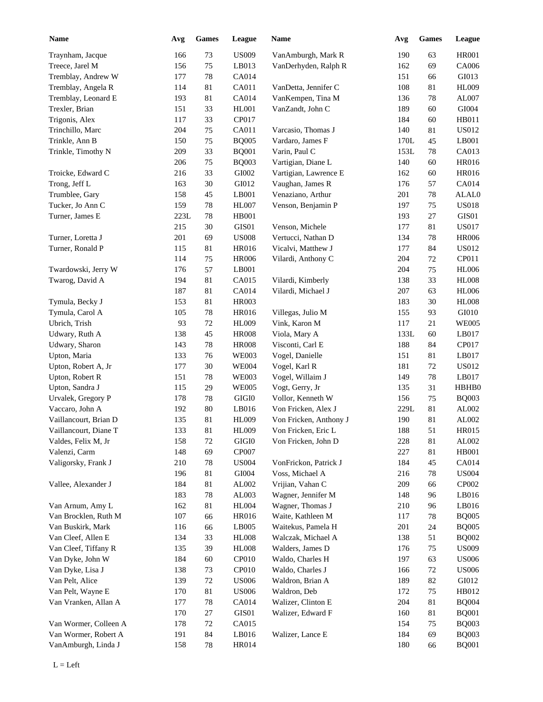| <b>Name</b>           | Avg  | <b>Games</b> | League       | Name                   | Avg  | <b>Games</b> | League        |
|-----------------------|------|--------------|--------------|------------------------|------|--------------|---------------|
| Traynham, Jacque      | 166  | 73           | <b>US009</b> | VanAmburgh, Mark R     | 190  | 63           | <b>HR001</b>  |
| Treece, Jarel M       | 156  | 75           | LB013        | VanDerhyden, Ralph R   | 162  | 69           | CA006         |
| Tremblay, Andrew W    | 177  | 78           | CA014        |                        | 151  | 66           | GI013         |
| Tremblay, Angela R    | 114  | 81           | CA011        | VanDetta, Jennifer C   | 108  | 81           | <b>HL009</b>  |
| Tremblay, Leonard E   | 193  | 81           | CA014        | VanKempen, Tina M      | 136  | 78           | AL007         |
| Trexler, Brian        | 151  | 33           | HL001        | VanZandt, John C       | 189  | 60           | GI004         |
| Trigonis, Alex        | 117  | 33           | CP017        |                        | 184  | 60           | HB011         |
| Trinchillo, Marc      | 204  | $75\,$       | CA011        | Varcasio, Thomas J     | 140  | 81           | <b>US012</b>  |
| Trinkle, Ann B        | 150  | 75           | <b>BQ005</b> | Vardaro, James F       | 170L | 45           | LB001         |
| Trinkle, Timothy N    | 209  | 33           | <b>BQ001</b> | Varin, Paul C          | 153L | 78           | CA013         |
|                       | 206  | 75           | <b>BQ003</b> | Vartigian, Diane L     | 140  | 60           | <b>HR016</b>  |
| Troicke, Edward C     | 216  | 33           | GI002        | Vartigian, Lawrence E  | 162  | 60           | <b>HR016</b>  |
| Trong, Jeff L         | 163  | 30           | GI012        | Vaughan, James R       | 176  | 57           | CA014         |
| Trumblee, Gary        | 158  | 45           | LB001        | Venaziano, Arthur      | 201  | 78           | ALAL0         |
| Tucker, Jo Ann C      | 159  | 78           | HL007        | Venson, Benjamin P     | 197  | 75           | <b>US018</b>  |
| Turner, James E       | 223L | 78           | <b>HB001</b> |                        | 193  | 27           | GIS01         |
|                       | 215  | 30           | GIS01        | Venson, Michele        | 177  | 81           | <b>US017</b>  |
| Turner, Loretta J     | 201  | 69           | <b>US008</b> | Vertucci, Nathan D     | 134  | 78           | <b>HR006</b>  |
| Turner, Ronald P      | 115  | 81           | <b>HR016</b> | Vicalvi, Matthew J     | 177  | 84           | <b>US012</b>  |
|                       |      | 75           |              |                        |      |              | CP011         |
|                       | 114  |              | <b>HR006</b> | Vilardi, Anthony C     | 204  | 72           |               |
| Twardowski, Jerry W   | 176  | 57           | LB001        |                        | 204  | 75           | <b>HL006</b>  |
| Twarog, David A       | 194  | 81           | CA015        | Vilardi, Kimberly      | 138  | 33           | <b>HL008</b>  |
|                       | 187  | 81           | <b>CA014</b> | Vilardi, Michael J     | 207  | 63           | <b>HL006</b>  |
| Tymula, Becky J       | 153  | 81           | <b>HR003</b> |                        | 183  | 30           | <b>HL008</b>  |
| Tymula, Carol A       | 105  | 78           | <b>HR016</b> | Villegas, Julio M      | 155  | 93           | GI010         |
| Ubrich, Trish         | 93   | 72           | <b>HL009</b> | Vink, Karon M          | 117  | 21           | <b>WE005</b>  |
| Udwary, Ruth A        | 138  | 45           | <b>HR008</b> | Viola, Mary A          | 133L | 60           | LB017         |
| Udwary, Sharon        | 143  | 78           | <b>HR008</b> | Visconti, Carl E       | 188  | 84           | CP017         |
| Upton, Maria          | 133  | 76           | <b>WE003</b> | Vogel, Danielle        | 151  | 81           | LB017         |
| Upton, Robert A, Jr   | 177  | 30           | <b>WE004</b> | Vogel, Karl R          | 181  | 72           | <b>US012</b>  |
| Upton, Robert R       | 151  | 78           | <b>WE003</b> | Vogel, Willaim J       | 149  | 78           | LB017         |
| Upton, Sandra J       | 115  | 29           | <b>WE005</b> | Vogt, Gerry, Jr        | 135  | 31           | HBHB0         |
| Urvalek, Gregory P    | 178  | 78           | GIGI0        | Vollor, Kenneth W      | 156  | 75           | <b>BQ003</b>  |
| Vaccaro, John A       | 192  | 80           | LB016        | Von Fricken, Alex J    | 229L | 81           | AL002         |
| Vaillancourt, Brian D | 135  | 81           | <b>HL009</b> | Von Fricken, Anthony J | 190  | $81\,$       | AL002         |
| Vaillancourt, Diane T | 133  | $81\,$       | <b>HL009</b> | Von Fricken, Eric L    | 188  | 51           | <b>HR015</b>  |
| Valdes, Felix M, Jr   | 158  | $72\,$       | GIGI0        | Von Fricken, John D    | 228  | 81           | AL002         |
| Valenzi, Carm         | 148  | 69           | CP007        |                        | 227  | 81           | HB001         |
| Valigorsky, Frank J   | 210  | 78           | <b>US004</b> | VonFrickon, Patrick J  | 184  | 45           | CA014         |
|                       | 196  | 81           | GI004        | Voss, Michael A        | 216  | 78           | <b>US004</b>  |
| Vallee, Alexander J   | 184  | $81\,$       | AL002        | Vrijian, Vahan C       | 209  | 66           | CP002         |
|                       | 183  | 78           | AL003        | Wagner, Jennifer M     | 148  | 96           | LB016         |
| Van Arnum, Amy L      | 162  | $81\,$       | <b>HL004</b> | Wagner, Thomas J       | 210  | 96           | LB016         |
| Van Brocklen, Ruth M  | 107  | 66           | HR016        | Waite, Kathleen M      | 117  | 78           | <b>BQ005</b>  |
| Van Buskirk, Mark     | 116  | 66           | LB005        | Waitekus, Pamela H     | 201  | 24           | <b>BQ005</b>  |
| Van Cleef, Allen E    | 134  | 33           | <b>HL008</b> | Walczak, Michael A     | 138  | 51           | <b>BQ002</b>  |
| Van Cleef, Tiffany R  | 135  | 39           | <b>HL008</b> | Walders, James D       | 176  | 75           | <b>US009</b>  |
| Van Dyke, John W      | 184  | 60           | CP010        | Waldo, Charles H       | 197  | 63           | <b>US006</b>  |
| Van Dyke, Lisa J      | 138  | 73           | CP010        | Waldo, Charles J       | 166  | 72           | <b>US006</b>  |
| Van Pelt, Alice       | 139  | $72\,$       | <b>US006</b> | Waldron, Brian A       | 189  | 82           | ${\rm G}I012$ |
| Van Pelt, Wayne E     | 170  | 81           | <b>US006</b> | Waldron, Deb           | 172  | 75           | HB012         |
| Van Vranken, Allan A  | 177  | 78           | CA014        | Walizer, Clinton E     | 204  | 81           | <b>BQ004</b>  |
|                       | 170  | $27\,$       | GIS01        | Walizer, Edward F      | 160  | 81           | <b>BQ001</b>  |
| Van Wormer, Colleen A | 178  | $72\,$       | CA015        |                        | 154  | 75           | <b>BQ003</b>  |
| Van Wormer, Robert A  | 191  | 84           | LB016        | Walizer, Lance E       | 184  | 69           | <b>BQ003</b>  |
| VanAmburgh, Linda J   | 158  | 78           | HR014        |                        | 180  | 66           | <b>BQ001</b>  |
|                       |      |              |              |                        |      |              |               |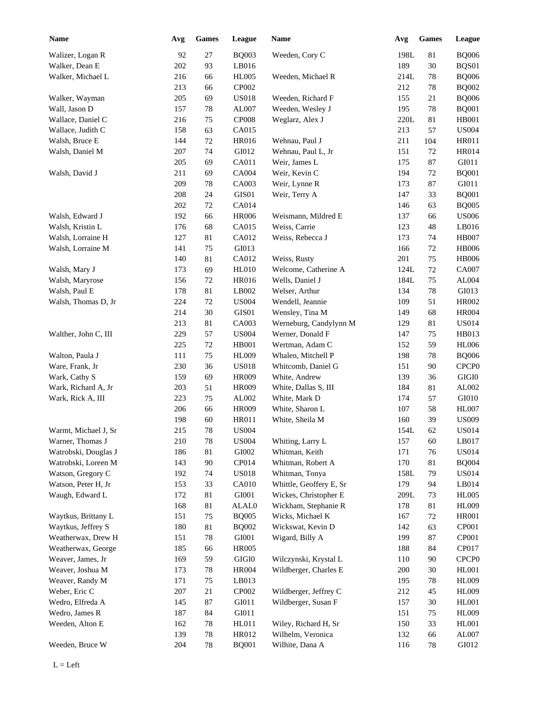| <b>Name</b>          | Avg | <b>Games</b> | League         | <b>Name</b>             | Avg  | <b>Games</b> | League            |
|----------------------|-----|--------------|----------------|-------------------------|------|--------------|-------------------|
| Walizer, Logan R     | 92  | 27           | <b>BQ003</b>   | Weeden, Cory C          | 198L | 81           | <b>BQ006</b>      |
| Walker, Dean E       | 202 | 93           | LB016          |                         | 189  | 30           | BQS01             |
| Walker, Michael L    | 216 | 66           | <b>HL005</b>   | Weeden, Michael R       | 214L | 78           | <b>BQ006</b>      |
|                      | 213 | 66           | CP002          |                         | 212  | 78           | <b>BQ002</b>      |
| Walker, Wayman       | 205 | 69           | <b>US018</b>   | Weeden, Richard F       | 155  | 21           | <b>BQ006</b>      |
| Wall, Jason D        | 157 | 78           | AL007          | Weeden, Wesley J        | 195  | $78\,$       | <b>BQ001</b>      |
| Wallace, Daniel C    | 216 | 75           | CP008          | Weglarz, Alex J         | 220L | 81           | <b>HB001</b>      |
| Wallace, Judith C    | 158 | 63           | CA015          |                         | 213  | 57           | <b>US004</b>      |
| Walsh, Bruce E       | 144 | $72\,$       | <b>HR016</b>   | Wehnau, Paul J          | 211  | 104          | <b>HR011</b>      |
| Walsh, Daniel M      | 207 | 74           | GI012          | Wehnau, Paul L, Jr      | 151  | 72           | HR014             |
|                      | 205 | 69           | CA011          | Weir, James L           | 175  | 87           | GI011             |
| Walsh, David J       | 211 | 69           | CA004          | Weir, Kevin C           | 194  | 72           | <b>BQ001</b>      |
|                      | 209 | 78           | CA003          | Weir, Lynne R           | 173  | 87           | GI011             |
|                      | 208 | 24           | GIS01          | Weir, Terry A           | 147  | 33           | <b>BQ001</b>      |
|                      | 202 | 72           | CA014          |                         | 146  | 63           | <b>BQ005</b>      |
| Walsh, Edward J      | 192 | 66           | <b>HR006</b>   | Weismann, Mildred E     | 137  | 66           | <b>US006</b>      |
| Walsh, Kristin L     | 176 | 68           | CA015          | Weiss, Carrie           | 123  | 48           | LB016             |
| Walsh, Lorraine H    | 127 | 81           | CA012          | Weiss, Rebecca J        | 173  | 74           | <b>HB007</b>      |
| Walsh, Lorraine M    | 141 | 75           | GI013          |                         | 166  | $72\,$       | <b>HB006</b>      |
|                      | 140 | $81\,$       | CA012          | Weiss, Rusty            | 201  | 75           | <b>HB006</b>      |
| Walsh, Mary J        | 173 | 69           | <b>HL010</b>   | Welcome, Catherine A    | 124L | $72\,$       | <b>CA007</b>      |
| Walsh, Maryrose      | 156 | 72           | <b>HR016</b>   | Wells, Daniel J         | 184L | 75           | AL004             |
| Walsh, Paul E        | 178 | $81\,$       | LB002          | Welser, Arthur          | 134  | 78           | GI013             |
| Walsh, Thomas D, Jr  | 224 | 72           | <b>US004</b>   | Wendell, Jeannie        | 109  | 51           | HR002             |
|                      | 214 | $30\,$       | GIS01          | Wensley, Tina M         | 149  | 68           | <b>HR004</b>      |
|                      | 213 | $81\,$       | CA003          | Werneburg, Candylynn M  | 129  | 81           | US014             |
| Walther, John C, III | 229 | 57           | <b>US004</b>   | Werner, Donald F        | 147  | 75           | HB013             |
|                      | 225 | 72           | HB001          | Wertman, Adam C         | 152  | 59           | <b>HL006</b>      |
| Walton, Paula J      | 111 | 75           | <b>HL009</b>   | Whalen, Mitchell P      | 198  | 78           | <b>BQ006</b>      |
| Ware, Frank, Jr      | 230 | 36           | <b>US018</b>   | Whitcomb, Daniel G      | 151  | 90           | CPCP <sub>0</sub> |
| Wark, Cathy S        | 159 | 69           | HR009          | White, Andrew           | 139  | 36           | $\rm GIGI0$       |
| Wark, Richard A, Jr  | 203 | 51           | <b>HR009</b>   | White, Dallas S, III    | 184  | 81           | AL002             |
| Wark, Rick A, III    | 223 | 75           | AL002          | White, Mark D           | 174  | 57           | GI010             |
|                      | 206 | 66           | HR009          | White, Sharon L         | 107  | 58           | HL007             |
|                      | 198 | 60           | HR011          | White, Sheila M         | 160  | 39           | <b>US009</b>      |
| Warmt, Michael J, Sr | 215 | $78\,$       | <b>US004</b>   |                         | 154L | 62           | <b>US014</b>      |
| Warner, Thomas J     | 210 | $78\,$       | <b>US004</b>   | Whiting, Larry L        | 157  | 60           | LB017             |
| Watrobski, Douglas J | 186 | $81\,$       | GI002          | Whitman, Keith          | 171  | 76           | <b>US014</b>      |
| Watrobski, Loreen M  | 143 | 90           | CP014          | Whitman, Robert A       | 170  | 81           | <b>BQ004</b>      |
| Watson, Gregory C    | 192 | 74           | <b>US018</b>   | Whitman, Tonya          | 158L | 79           | <b>US014</b>      |
| Watson, Peter H, Jr  | 153 | 33           | CA010          | Whittle, Geoffery E, Sr | 179  | 94           | LB014             |
| Waugh, Edward L      | 172 | $81\,$       | ${\rm GIO}01$  | Wickes, Christopher E   | 209L | 73           | <b>HL005</b>      |
|                      | 168 | 81           | ALAL0          | Wickham, Stephanie R    | 178  | 81           | <b>HL009</b>      |
| Waytkus, Brittany L  | 151 | 75           | <b>BQ005</b>   | Wicks, Michael K        | 167  | 72           | <b>HR001</b>      |
| Waytkus, Jeffrey S   | 180 | $81\,$       | <b>BQ002</b>   | Wickswat, Kevin D       | 142  | 63           | CP001             |
| Weatherwax, Drew H   | 151 | 78           | GI001          | Wigard, Billy A         | 199  | 87           | CP001             |
| Weatherwax, George   | 185 | 66           | <b>HR005</b>   |                         | 188  | 84           | CP017             |
| Weaver, James, Jr    | 169 | 59           | $\rm GIGI0$    | Wilczynski, Krystal L   | 110  | 90           | CPCP <sub>0</sub> |
| Weaver, Joshua M     | 173 | $78\,$       | <b>HR004</b>   | Wildberger, Charles E   | 200  | $30\,$       | HL001             |
| Weaver, Randy M      | 171 | 75           | LB013          |                         | 195  | $78\,$       | <b>HL009</b>      |
| Weber, Eric C        | 207 | $21\,$       | CP002          | Wildberger, Jeffrey C   | 212  | 45           | <b>HL009</b>      |
| Wedro, Elfreda A     | 145 | 87           | GI011          | Wildberger, Susan F     | 157  | $30\,$       | <b>HL001</b>      |
| Wedro, James R       | 187 | 84           | ${\rm G I}011$ |                         | 151  | $75\,$       | <b>HL009</b>      |
| Weeden, Alton E      | 162 | $78\,$       | HL011          | Wiley, Richard H, Sr    | 150  | 33           | HL001             |
|                      |     |              | HR012          | Wilhelm, Veronica       |      |              | AL007             |
|                      | 139 | $78\,$       |                |                         | 132  | 66           |                   |
| Weeden, Bruce W      | 204 | 78           | <b>BQ001</b>   | Wilhite, Dana A         | 116  | 78           | GI012             |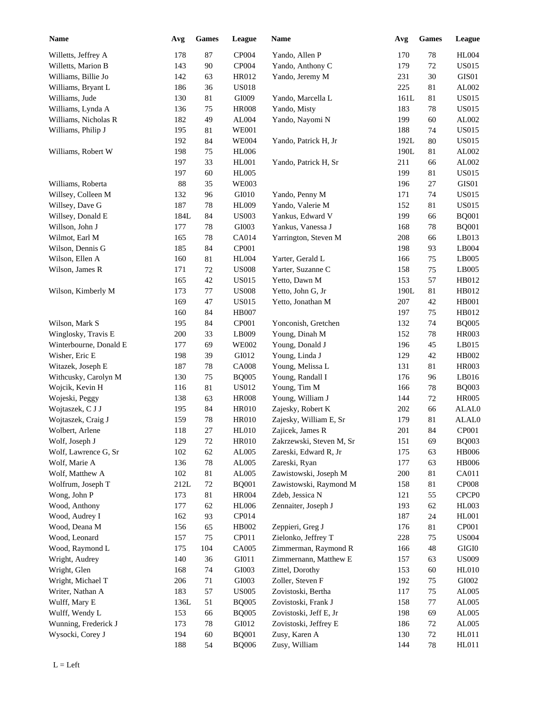| <b>Name</b>            | Avg    | Games  | League       | Name                     | Avg     | Games  | League            |
|------------------------|--------|--------|--------------|--------------------------|---------|--------|-------------------|
| Willetts, Jeffrey A    | 178    | 87     | CP004        | Yando, Allen P           | 170     | $78\,$ | <b>HL004</b>      |
| Willetts, Marion B     | 143    | $90\,$ | CP004        | Yando, Anthony C         | 179     | 72     | <b>US015</b>      |
| Williams, Billie Jo    | 142    | 63     | HR012        | Yando, Jeremy M          | 231     | 30     | GIS01             |
| Williams, Bryant L     | 186    | 36     | <b>US018</b> |                          | 225     | 81     | AL002             |
| Williams, Jude         | 130    | 81     | GI009        | Yando, Marcella L        | 161L    | 81     | <b>US015</b>      |
| Williams, Lynda A      | 136    | 75     | <b>HR008</b> | Yando, Misty             | 183     | $78\,$ | <b>US015</b>      |
| Williams, Nicholas R   | 182    | 49     | AL004        | Yando, Nayomi N          | 199     | 60     | AL002             |
| Williams, Philip J     | 195    | 81     | <b>WE001</b> |                          | 188     | 74     | <b>US015</b>      |
|                        | 192    | 84     | <b>WE004</b> | Yando, Patrick H, Jr     | 192L    | 80     | <b>US015</b>      |
| Williams, Robert W     | 198    | 75     | <b>HL006</b> |                          | 190L    | 81     | AL002             |
|                        | 197    | 33     | HL001        | Yando, Patrick H, Sr     | 211     | 66     | AL002             |
|                        | 197    | 60     | <b>HL005</b> |                          | 199     | 81     | <b>US015</b>      |
| Williams, Roberta      | 88     | 35     | <b>WE003</b> |                          | 196     | 27     | GIS01             |
| Willsey, Colleen M     | 132    | 96     | GI010        | Yando, Penny M           | 171     | 74     | <b>US015</b>      |
| Willsey, Dave G        | 187    | 78     | <b>HL009</b> | Yando, Valerie M         | 152     | 81     | <b>US015</b>      |
| Willsey, Donald E      | 184L   | 84     | <b>US003</b> | Yankus, Edward V         | 199     | 66     | <b>BQ001</b>      |
| Willson, John J        | 177    | 78     | GI003        | Yankus, Vanessa J        | 168     | 78     | <b>BQ001</b>      |
| Wilmot, Earl M         | 165    | 78     | CA014        | Yarrington, Steven M     | 208     | 66     | LB013             |
| Wilson, Dennis G       | 185    | 84     | CP001        |                          | 198     | 93     | LB004             |
| Wilson, Ellen A        | 160    | 81     | <b>HL004</b> | Yarter, Gerald L         | 166     | 75     | LB005             |
| Wilson, James R        | 171    | 72     | <b>US008</b> | Yarter, Suzanne C        | 158     | 75     | LB005             |
|                        | 165    | 42     | <b>US015</b> | Yetto, Dawn M            | 153     | 57     | HB012             |
| Wilson, Kimberly M     | 173    | 77     | <b>US008</b> | Yetto, John G, Jr        | 190L    | 81     | HB012             |
|                        | 169    | 47     | <b>US015</b> | Yetto, Jonathan M        | 207     | 42     | <b>HB001</b>      |
|                        | 160    | 84     | <b>HB007</b> |                          | 197     | 75     | HB012             |
| Wilson, Mark S         | 195    | 84     | CP001        | Yonconish, Gretchen      | 132     | 74     | <b>BQ005</b>      |
|                        |        | 33     |              |                          |         |        |                   |
| Winglosky, Travis E    | 200    |        | LB009        | Young, Dinah M           | 152     | $78\,$ | <b>HR003</b>      |
| Winterbourne, Donald E | 177    | 69     | <b>WE002</b> | Young, Donald J          | 196     | 45     | LB015             |
| Wisher, Eric E         | 198    | 39     | GI012        | Young, Linda J           | 129     | $42\,$ | HB002             |
| Witazek, Joseph E      | 187    | 78     | <b>CA008</b> | Young, Melissa L         | 131     | 81     | <b>HR003</b>      |
| Withcusky, Carolyn M   | 130    | 75     | <b>BQ005</b> | Young, Randall I         | 176     | 96     | LB016             |
| Wojcik, Kevin H        | 116    | $81\,$ | <b>US012</b> | Young, Tim M             | 166     | 78     | <b>BQ003</b>      |
| Wojeski, Peggy         | 138    | 63     | <b>HR008</b> | Young, William J         | 144     | 72     | <b>HR005</b>      |
| Wojtaszek, C J J       | 195    | 84     | <b>HR010</b> | Zajesky, Robert K        | 202     | 66     | ALAL0             |
| Wojtaszek, Craig J     | 159    | 78     | <b>HR010</b> | Zajesky, William E, Sr   | 179     | $81\,$ | ALAL0             |
| Wolbert, Arlene        | 118    | $27\,$ | <b>HL010</b> | Zajicek, James R         | $201\,$ | 84     | CP001             |
| Wolf, Joseph J         | 129    | $72\,$ | <b>HR010</b> | Zakrzewski, Steven M, Sr | 151     | 69     | <b>BQ003</b>      |
| Wolf, Lawrence G, Sr   | 102    | 62     | AL005        | Zareski, Edward R, Jr    | 175     | 63     | <b>HB006</b>      |
| Wolf, Marie A          | 136    | $78\,$ | AL005        | Zareski, Ryan            | 177     | 63     | <b>HB006</b>      |
| Wolf, Matthew A        | 102    | $81\,$ | AL005        | Zawistowski, Joseph M    | 200     | 81     | CA011             |
| Wolfrum, Joseph T      | $212L$ | $72\,$ | <b>BQ001</b> | Zawistowski, Raymond M   | 158     | 81     | CP008             |
| Wong, John P           | 173    | $81\,$ | <b>HR004</b> | Zdeb, Jessica N          | 121     | 55     | CPCP <sub>0</sub> |
| Wood, Anthony          | 177    | 62     | <b>HL006</b> | Zennaiter, Joseph J      | 193     | 62     | HL003             |
| Wood, Audrey I         | 162    | 93     | CP014        |                          | 187     | 24     | HL001             |
| Wood, Deana M          | 156    | 65     | HB002        | Zeppieri, Greg J         | 176     | 81     | CP001             |
| Wood, Leonard          | 157    | 75     | CP011        | Zielonko, Jeffrey T      | 228     | 75     | <b>US004</b>      |
| Wood, Raymond L        | 175    | 104    | CA005        | Zimmerman, Raymond R     | 166     | 48     | $\rm GIGI0$       |
| Wright, Audrey         | 140    | 36     | GI011        | Zimmernann, Matthew E    | 157     | 63     | <b>US009</b>      |
| Wright, Glen           | 168    | 74     | GI003        | Zittel, Dorothy          | 153     | 60     | <b>HL010</b>      |
| Wright, Michael T      | 206    | 71     | GI003        | Zoller, Steven F         | 192     | 75     | ${\rm GIO}02$     |
| Writer, Nathan A       | 183    | 57     | <b>US005</b> | Zovistoski, Bertha       | 117     | $75\,$ | AL005             |
| Wulff, Mary E          | 136L   | 51     | <b>BQ005</b> | Zovistoski, Frank J      | 158     | 77     | AL005             |
| Wulff, Wendy L         | 153    | 66     | <b>BQ005</b> | Zovistoski, Jeff E, Jr   | 198     | 69     | AL005             |
| Wunning, Frederick J   | 173    | 78     | GI012        | Zovistoski, Jeffrey E    | 186     | $72\,$ | AL005             |
| Wysocki, Corey J       | 194    | 60     | <b>BQ001</b> | Zusy, Karen A            | 130     | 72     | HL011             |
|                        | 188    | 54     | <b>BQ006</b> | Zusy, William            | 144     | 78     | HL011             |